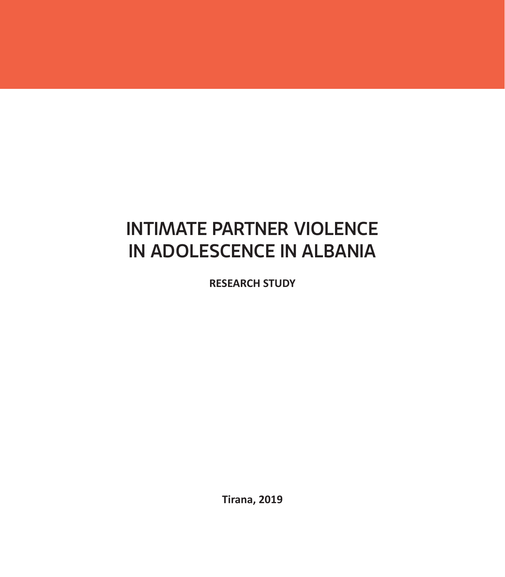# INTIMATE PARTNER VIOLENCE IN ADOLESCENCE IN ALBANIA

**RESEARCH STUDY**

**Tirana, 2019**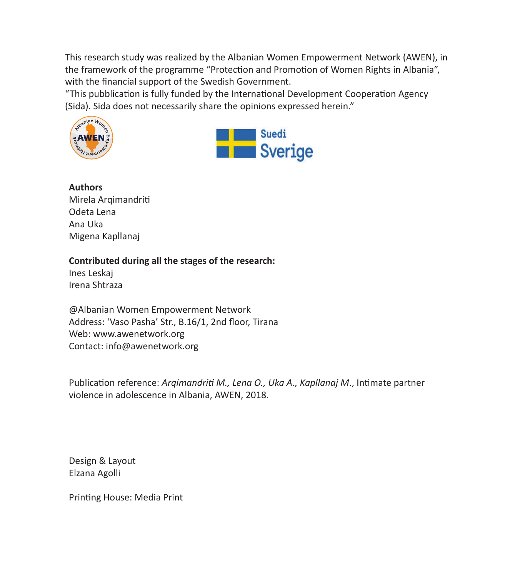This research study was realized by the Albanian Women Empowerment Network (AWEN), in the framework of the programme "Protection and Promotion of Women Rights in Albania", with the financial support of the Swedish Government.

"This pubblication is fully funded by the International Development Cooperation Agency (Sida). Sida does not necessarily share the opinions expressed herein."





**Authors** Mirela Arqimandriti Odeta Lena Ana Uka Migena Kapllanaj

#### **Contributed during all the stages of the research:**

Ines Leskaj Irena Shtraza

@Albanian Women Empowerment Network Address: 'Vaso Pasha' Str., B.16/1, 2nd floor, Tirana Web: www.awenetwork.org Contact: info@awenetwork.org

Publication reference: *Argimandriti M., Lena O., Uka A., Kapllanaj M.*, Intimate partner violence in adolescence in Albania, AWEN, 2018.

Design & Layout Elzana Agolli

Printing House: Media Print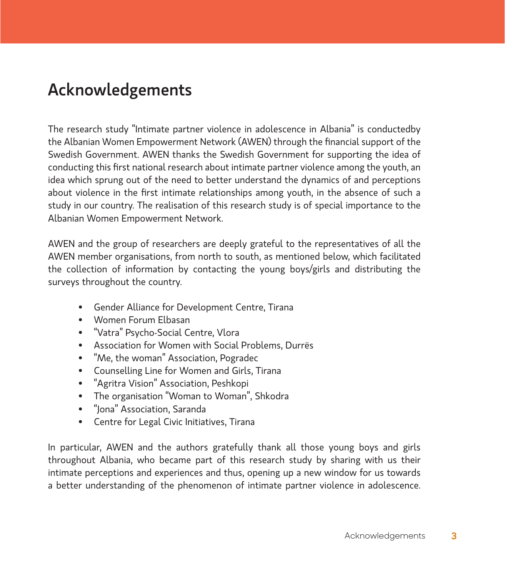# Acknowledgements

The research study "Intimate partner violence in adolescence in Albania" is conductedby the Albanian Women Empowerment Network (AWEN) through the financial support of the Swedish Government. AWEN thanks the Swedish Government for supporting the idea of conducting this first national research about intimate partner violence among the youth, an idea which sprung out of the need to better understand the dynamics of and perceptions about violence in the first intimate relationships among youth, in the absence of such a study in our country. The realisation of this research study is of special importance to the Albanian Women Empowerment Network.

AWEN and the group of researchers are deeply grateful to the representatives of all the AWEN member organisations, from north to south, as mentioned below, which facilitated the collection of information by contacting the young boys/girls and distributing the surveys throughout the country.

- • Gender Alliance for Development Centre, Tirana
- • Women Forum Elbasan
- • "Vatra" Psycho-Social Centre, Vlora
- • Association for Women with Social Problems, Durrës
- "Me, the woman" Association, Pogradec
- • Counselling Line for Women and Girls, Tirana
- • "Agritra Vision" Association, Peshkopi
- • The organisation "Woman to Woman", Shkodra
- • "Jona" Association, Saranda
- • Centre for Legal Civic Initiatives, Tirana

In particular, AWEN and the authors gratefully thank all those young boys and girls throughout Albania, who became part of this research study by sharing with us their intimate perceptions and experiences and thus, opening up a new window for us towards a better understanding of the phenomenon of intimate partner violence in adolescence.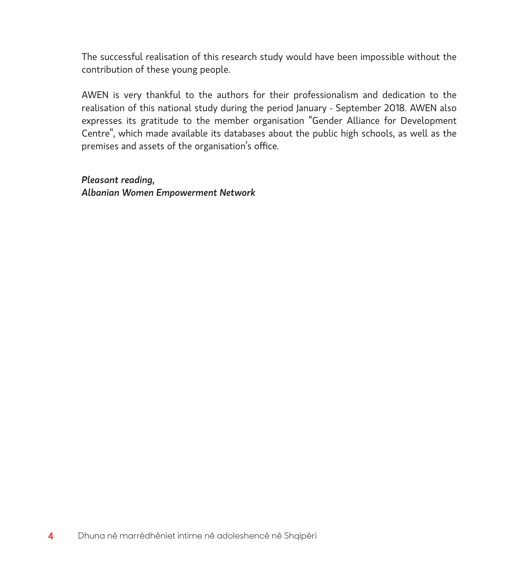The successful realisation of this research study would have been impossible without the contribution of these young people.

AWEN is very thankful to the authors for their professionalism and dedication to the realisation of this national study during the period January - September 2018. AWEN also expresses its gratitude to the member organisation "Gender Alliance for Development Centre", which made available its databases about the public high schools, as well as the premises and assets of the organisation's office.

*Pleasant reading, Albanian Women Empowerment Network*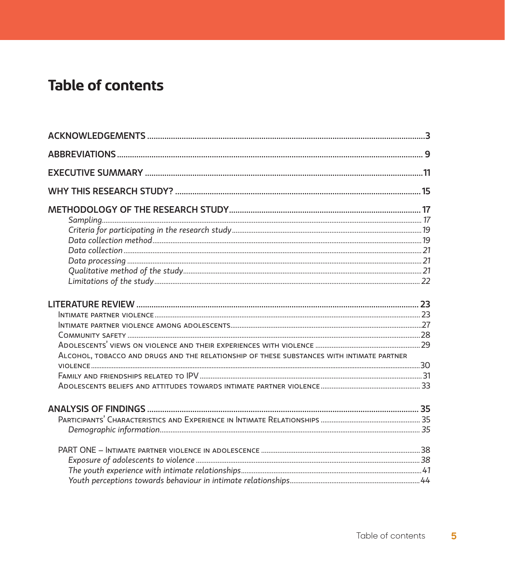# **Table of contents**

| ALCOHOL, TOBACCO AND DRUGS AND THE RELATIONSHIP OF THESE SUBSTANCES WITH INTIMATE PARTNER |  |
|-------------------------------------------------------------------------------------------|--|
|                                                                                           |  |
|                                                                                           |  |
|                                                                                           |  |
|                                                                                           |  |
|                                                                                           |  |
|                                                                                           |  |
|                                                                                           |  |
|                                                                                           |  |
|                                                                                           |  |
|                                                                                           |  |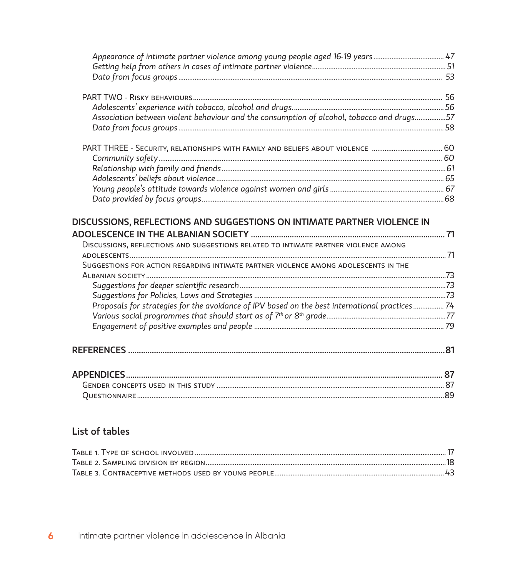| Appearance of intimate partner violence among young people aged 16-19 years 47                 |  |
|------------------------------------------------------------------------------------------------|--|
|                                                                                                |  |
|                                                                                                |  |
|                                                                                                |  |
|                                                                                                |  |
| Association between violent behaviour and the consumption of alcohol, tobacco and drugs57      |  |
|                                                                                                |  |
|                                                                                                |  |
|                                                                                                |  |
|                                                                                                |  |
|                                                                                                |  |
|                                                                                                |  |
|                                                                                                |  |
| DISCUSSIONS, REFLECTIONS AND SUGGESTIONS RELATED TO INTIMATE PARTNER VIOLENCE AMONG            |  |
| SUGGESTIONS FOR ACTION REGARDING INTIMATE PARTNER VIOLENCE AMONG ADOLESCENTS IN THE            |  |
|                                                                                                |  |
|                                                                                                |  |
|                                                                                                |  |
| Proposals for strategies for the avoidance of IPV based on the best international practices 74 |  |
|                                                                                                |  |
|                                                                                                |  |
|                                                                                                |  |
|                                                                                                |  |
|                                                                                                |  |
|                                                                                                |  |
|                                                                                                |  |

## List of tables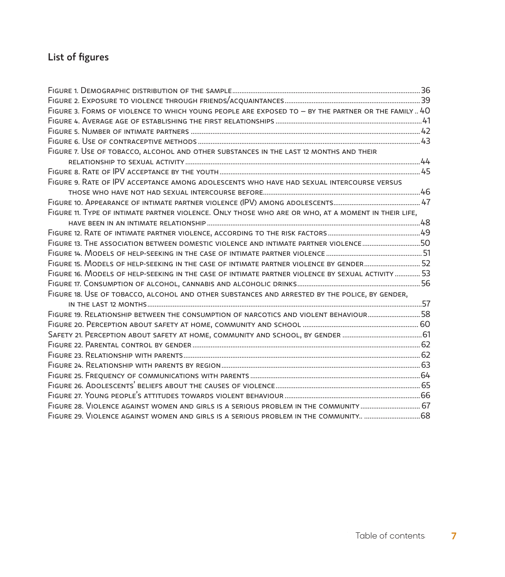## List of figures

| FIGURE 3. FORMS OF VIOLENCE TO WHICH YOUNG PEOPLE ARE EXPOSED TO - BY THE PARTNER OR THE FAMILY 40  |  |
|-----------------------------------------------------------------------------------------------------|--|
|                                                                                                     |  |
|                                                                                                     |  |
|                                                                                                     |  |
| FIGURE 7. USE OF TOBACCO, ALCOHOL AND OTHER SUBSTANCES IN THE LAST 12 MONTHS AND THEIR              |  |
|                                                                                                     |  |
|                                                                                                     |  |
| FIGURE 9. RATE OF IPV ACCEPTANCE AMONG ADOLESCENTS WHO HAVE HAD SEXUAL INTERCOURSE VERSUS           |  |
|                                                                                                     |  |
|                                                                                                     |  |
| FIGURE 11. TYPE OF INTIMATE PARTNER VIOLENCE. ONLY THOSE WHO ARE OR WHO, AT A MOMENT IN THEIR LIFE, |  |
|                                                                                                     |  |
|                                                                                                     |  |
| FIGURE 13. THE ASSOCIATION BETWEEN DOMESTIC VIOLENCE AND INTIMATE PARTNER VIOLENCE 50               |  |
|                                                                                                     |  |
| FIGURE 15. MODELS OF HELP-SEEKING IN THE CASE OF INTIMATE PARTNER VIOLENCE BY GENDER 52             |  |
| FIGURE 16. MODELS OF HELP-SEEKING IN THE CASE OF INTIMATE PARTNER VIOLENCE BY SEXUAL ACTIVITY  53   |  |
|                                                                                                     |  |
| FIGURE 18. USE OF TOBACCO, ALCOHOL AND OTHER SUBSTANCES AND ARRESTED BY THE POLICE, BY GENDER,      |  |
|                                                                                                     |  |
| FIGURE 19. RELATIONSHIP BETWEEN THE CONSUMPTION OF NARCOTICS AND VIOLENT BEHAVIOUR 58               |  |
|                                                                                                     |  |
|                                                                                                     |  |
|                                                                                                     |  |
|                                                                                                     |  |
|                                                                                                     |  |
|                                                                                                     |  |
|                                                                                                     |  |
|                                                                                                     |  |
| FIGURE 28. VIOLENCE AGAINST WOMEN AND GIRLS IS A SERIOUS PROBLEM IN THE COMMUNITY  67               |  |
| FIGURE 29. VIOLENCE AGAINST WOMEN AND GIRLS IS A SERIOUS PROBLEM IN THE COMMUNITY 68                |  |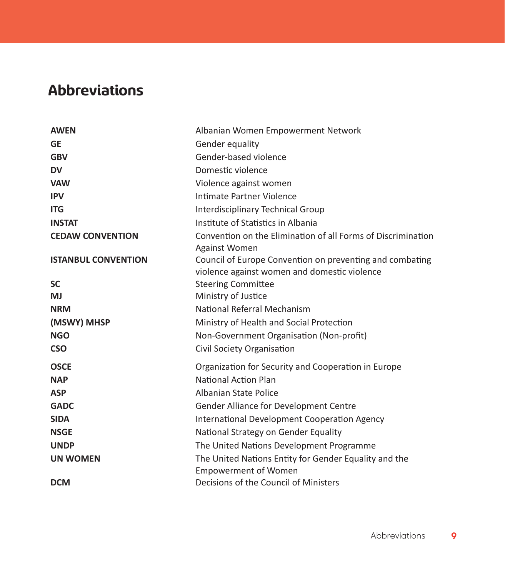# **Abbreviations**

| Albanian Women Empowerment Network                                                                       |
|----------------------------------------------------------------------------------------------------------|
| Gender equality                                                                                          |
| Gender-based violence                                                                                    |
| Domestic violence                                                                                        |
| Violence against women                                                                                   |
| Intimate Partner Violence                                                                                |
| <b>Interdisciplinary Technical Group</b>                                                                 |
| Institute of Statistics in Albania                                                                       |
| Convention on the Elimination of all Forms of Discrimination<br><b>Against Women</b>                     |
| Council of Europe Convention on preventing and combating<br>violence against women and domestic violence |
| <b>Steering Committee</b>                                                                                |
| Ministry of Justice                                                                                      |
| National Referral Mechanism                                                                              |
| Ministry of Health and Social Protection                                                                 |
| Non-Government Organisation (Non-profit)                                                                 |
| Civil Society Organisation                                                                               |
| Organization for Security and Cooperation in Europe                                                      |
| <b>National Action Plan</b>                                                                              |
| Albanian State Police                                                                                    |
| Gender Alliance for Development Centre                                                                   |
| <b>International Development Cooperation Agency</b>                                                      |
| National Strategy on Gender Equality                                                                     |
| The United Nations Development Programme                                                                 |
| The United Nations Entity for Gender Equality and the<br><b>Empowerment of Women</b>                     |
| Decisions of the Council of Ministers                                                                    |
|                                                                                                          |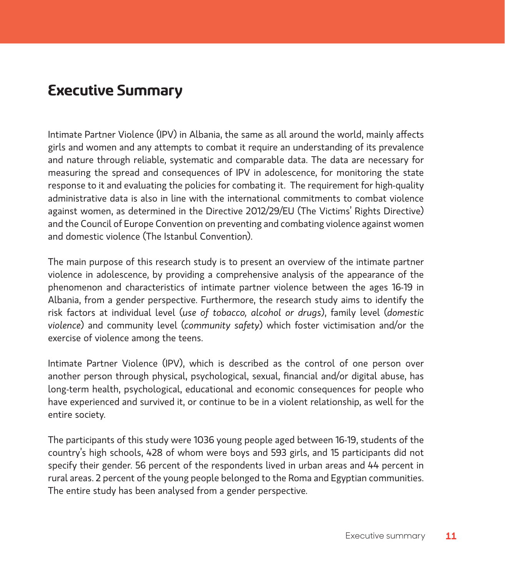## **Executive Summary**

Intimate Partner Violence (IPV) in Albania, the same as all around the world, mainly affects girls and women and any attempts to combat it require an understanding of its prevalence and nature through reliable, systematic and comparable data. The data are necessary for measuring the spread and consequences of IPV in adolescence, for monitoring the state response to it and evaluating the policies for combating it. The requirement for high-quality administrative data is also in line with the international commitments to combat violence against women, as determined in the Directive 2012/29/EU (The Victims' Rights Directive) and the Council of Europe Convention on preventing and combating violence against women and domestic violence (The Istanbul Convention).

The main purpose of this research study is to present an overview of the intimate partner violence in adolescence, by providing a comprehensive analysis of the appearance of the phenomenon and characteristics of intimate partner violence between the ages 16-19 in Albania, from a gender perspective. Furthermore, the research study aims to identify the risk factors at individual level (*use of tobacco, alcohol or drugs*), family level (*domestic violence*) and community level (*community safety*) which foster victimisation and/or the exercise of violence among the teens.

Intimate Partner Violence (IPV), which is described as the control of one person over another person through physical, psychological, sexual, financial and/or digital abuse, has long-term health, psychological, educational and economic consequences for people who have experienced and survived it, or continue to be in a violent relationship, as well for the entire society.

The participants of this study were 1036 young people aged between 16-19, students of the country's high schools, 428 of whom were boys and 593 girls, and 15 participants did not specify their gender. 56 percent of the respondents lived in urban areas and 44 percent in rural areas. 2 percent of the young people belonged to the Roma and Egyptian communities. The entire study has been analysed from a gender perspective.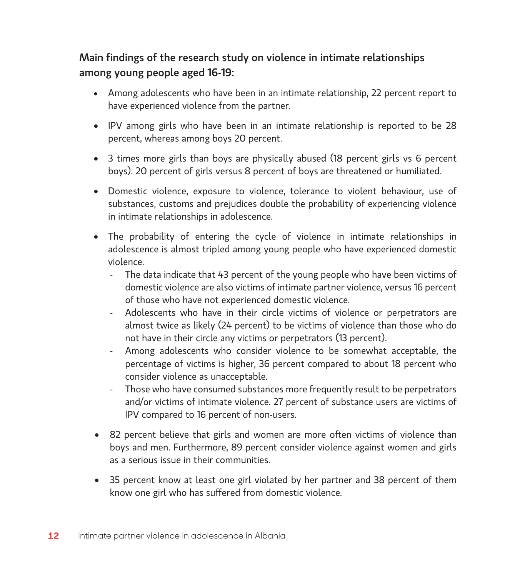## Main findings of the research study on violence in intimate relationships among young people aged 16-19:

- • Among adolescents who have been in an intimate relationship, 22 percent report to have experienced violence from the partner.
- • IPV among girls who have been in an intimate relationship is reported to be 28 percent, whereas among boys 20 percent.
- 3 times more girls than boys are physically abused (18 percent girls vs 6 percent boys). 20 percent of girls versus 8 percent of boys are threatened or humiliated.
- • Domestic violence, exposure to violence, tolerance to violent behaviour, use of substances, customs and prejudices double the probability of experiencing violence in intimate relationships in adolescence.
- The probability of entering the cycle of violence in intimate relationships in adolescence is almost tripled among young people who have experienced domestic violence.
	- The data indicate that 43 percent of the young people who have been victims of domestic violence are also victims of intimate partner violence, versus 16 percent of those who have not experienced domestic violence.
	- Adolescents who have in their circle victims of violence or perpetrators are almost twice as likely (24 percent) to be victims of violence than those who do not have in their circle any victims or perpetrators (13 percent).
	- Among adolescents who consider violence to be somewhat acceptable, the percentage of victims is higher, 36 percent compared to about 18 percent who consider violence as unacceptable.
	- Those who have consumed substances more frequently result to be perpetrators and/or victims of intimate violence. 27 percent of substance users are victims of IPV compared to 16 percent of non-users.
- 82 percent believe that girls and women are more often victims of violence than boys and men. Furthermore, 89 percent consider violence against women and girls as a serious issue in their communities.
- 35 percent know at least one girl violated by her partner and 38 percent of them know one girl who has suffered from domestic violence.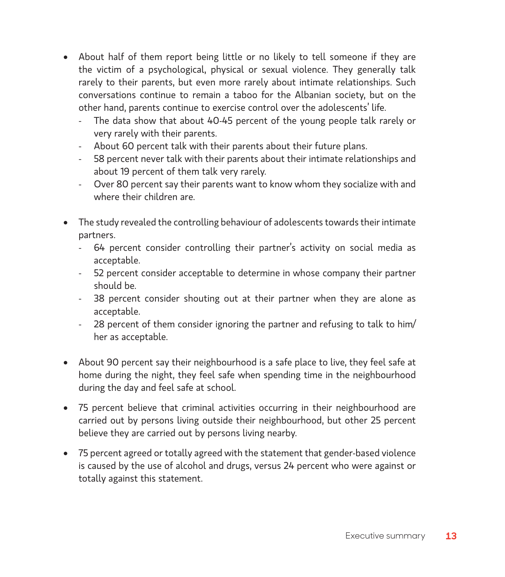- • About half of them report being little or no likely to tell someone if they are the victim of a psychological, physical or sexual violence. They generally talk rarely to their parents, but even more rarely about intimate relationships. Such conversations continue to remain a taboo for the Albanian society, but on the other hand, parents continue to exercise control over the adolescents' life.
	- The data show that about 40-45 percent of the young people talk rarely or very rarely with their parents.
	- About 60 percent talk with their parents about their future plans.
	- 58 percent never talk with their parents about their intimate relationships and about 19 percent of them talk very rarely.
	- Over 80 percent say their parents want to know whom they socialize with and where their children are.
- The study revealed the controlling behaviour of adolescents towards their intimate partners.
	- 64 percent consider controlling their partner's activity on social media as acceptable.
	- 52 percent consider acceptable to determine in whose company their partner should be.
	- 38 percent consider shouting out at their partner when they are alone as acceptable.
	- 28 percent of them consider ignoring the partner and refusing to talk to him/ her as acceptable.
- About 90 percent say their neighbourhood is a safe place to live, they feel safe at home during the night, they feel safe when spending time in the neighbourhood during the day and feel safe at school.
- • 75 percent believe that criminal activities occurring in their neighbourhood are carried out by persons living outside their neighbourhood, but other 25 percent believe they are carried out by persons living nearby.
- • 75 percent agreed or totally agreed with the statement that gender-based violence is caused by the use of alcohol and drugs, versus 24 percent who were against or totally against this statement.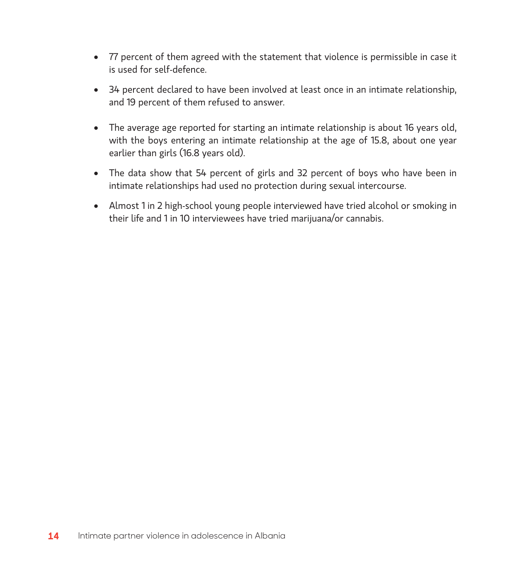- 77 percent of them agreed with the statement that violence is permissible in case it is used for self-defence.
- 34 percent declared to have been involved at least once in an intimate relationship, and 19 percent of them refused to answer.
- The average age reported for starting an intimate relationship is about 16 years old, with the boys entering an intimate relationship at the age of 15.8, about one year earlier than girls (16.8 years old).
- The data show that 54 percent of girls and 32 percent of boys who have been in intimate relationships had used no protection during sexual intercourse.
- Almost 1 in 2 high-school young people interviewed have tried alcohol or smoking in their life and 1 in 10 interviewees have tried marijuana/or cannabis.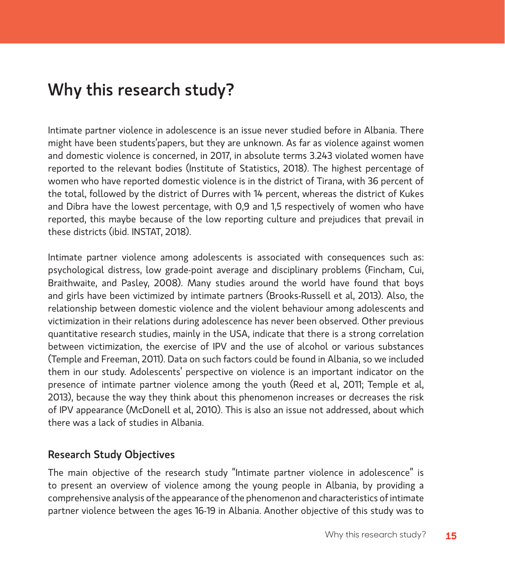# Why this research study?

Intimate partner violence in adolescence is an issue never studied before in Albania. There might have been students'papers, but they are unknown. As far as violence against women and domestic violence is concerned, in 2017, in absolute terms 3.243 violated women have reported to the relevant bodies (Institute of Statistics, 2018). The highest percentage of women who have reported domestic violence is in the district of Tirana, with 36 percent of the total, followed by the district of Durres with 14 percent, whereas the district of Kukes and Dibra have the lowest percentage, with 0,9 and 1,5 respectively of women who have reported, this maybe because of the low reporting culture and prejudices that prevail in these districts (ibid. INSTAT, 2018).

Intimate partner violence among adolescents is associated with consequences such as: psychological distress, low grade-point average and disciplinary problems (Fincham, Cui, Braithwaite, and Pasley, 2008). Many studies around the world have found that boys and girls have been victimized by intimate partners (Brooks-Russell et al, 2013). Also, the relationship between domestic violence and the violent behaviour among adolescents and victimization in their relations during adolescence has never been observed. Other previous quantitative research studies, mainly in the USA, indicate that there is a strong correlation between victimization, the exercise of IPV and the use of alcohol or various substances (Temple and Freeman, 2011). Data on such factors could be found in Albania, so we included them in our study. Adolescents' perspective on violence is an important indicator on the presence of intimate partner violence among the youth (Reed et al, 2011; Temple et al, 2013), because the way they think about this phenomenon increases or decreases the risk of IPV appearance (McDonell et al, 2010). This is also an issue not addressed, about which there was a lack of studies in Albania.

#### Research Study Objectives

The main objective of the research study "Intimate partner violence in adolescence" is to present an overview of violence among the young people in Albania, by providing a comprehensive analysis of the appearance of the phenomenon and characteristics of intimate partner violence between the ages 16-19 in Albania. Another objective of this study was to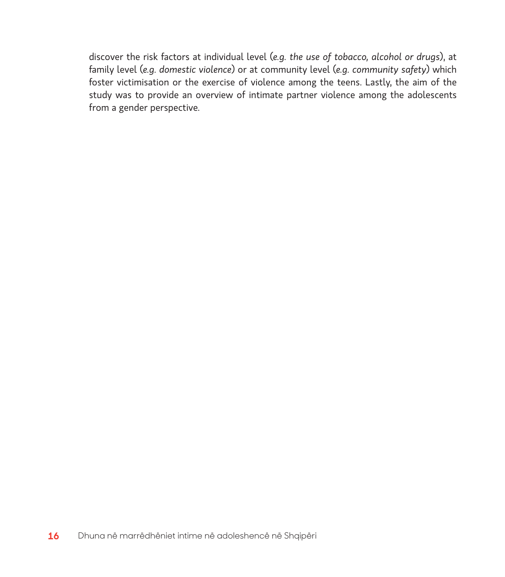discover the risk factors at individual level (*e.g. the use of tobacco, alcohol or drugs*), at family level (*e.g. domestic violence*) or at community level (*e.g. community safety*) which foster victimisation or the exercise of violence among the teens. Lastly, the aim of the study was to provide an overview of intimate partner violence among the adolescents from a gender perspective.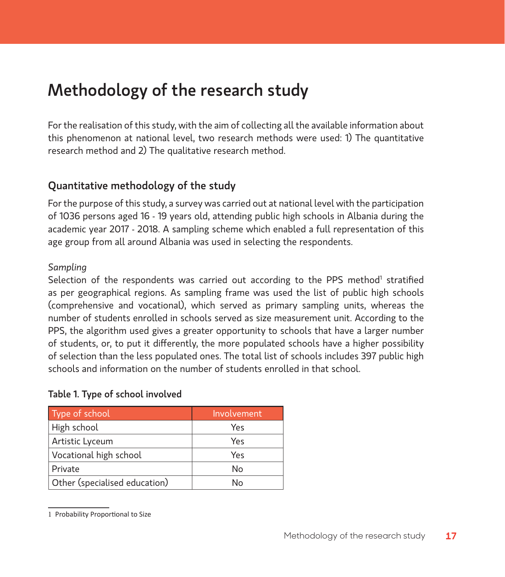# Methodology of the research study

For the realisation of this study, with the aim of collecting all the available information about this phenomenon at national level, two research methods were used: 1) The quantitative research method and 2) The qualitative research method.

### Quantitative methodology of the study

For the purpose of this study, a survey was carried out at national level with the participation of 1036 persons aged 16 - 19 years old, attending public high schools in Albania during the academic year 2017 - 2018. A sampling scheme which enabled a full representation of this age group from all around Albania was used in selecting the respondents.

#### *Sampling*

Selection of the respondents was carried out according to the PPS method<sup>1</sup> stratified as per geographical regions. As sampling frame was used the list of public high schools (comprehensive and vocational), which served as primary sampling units, whereas the number of students enrolled in schools served as size measurement unit. According to the PPS, the algorithm used gives a greater opportunity to schools that have a larger number of students, or, to put it differently, the more populated schools have a higher possibility of selection than the less populated ones. The total list of schools includes 397 public high schools and information on the number of students enrolled in that school.

#### Table 1. Type of school involved

| Type of school                | Involvement |
|-------------------------------|-------------|
| High school                   | Yes         |
| Artistic Lyceum               | Yes         |
| Vocational high school        | Yes         |
| Private                       | No          |
| Other (specialised education) | N٥          |

<sup>1</sup> Probability Proportional to Size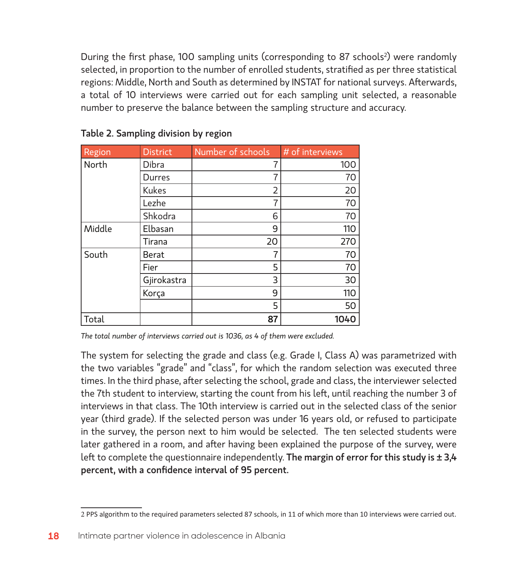During the first phase, 100 sampling units (corresponding to 87 schools<sup>2</sup>) were randomly selected, in proportion to the number of enrolled students, stratified as per three statistical regions: Middle, North and South as determined by INSTAT for national surveys. Afterwards, a total of 10 interviews were carried out for each sampling unit selected, a reasonable number to preserve the balance between the sampling structure and accuracy.

| Region | <b>District</b> | Number of schools | # of interviews |
|--------|-----------------|-------------------|-----------------|
| North  | Dibra           | 7                 | 100             |
|        | Durres          | 7                 | 70              |
|        | <b>Kukes</b>    | $\overline{2}$    | 20              |
|        | Lezhe           | 7                 | 70              |
|        | Shkodra         | 6                 | 70              |
| Middle | Elbasan         | 9                 | 110             |
|        | Tirana          | 20                | 270             |
| South  | Berat           | $\overline{7}$    | 70              |
|        | Fier            | 5                 | 70              |
|        | Gjirokastra     | 3                 | 30              |
|        | Korça           | 9                 | 110             |
|        |                 | 5                 | 50              |
| Total  |                 | 87                | 1040            |

Table 2. Sampling division by region

*The total number of interviews carried out is 1036, as 4 of them were excluded.*

The system for selecting the grade and class (e.g. Grade I, Class A) was parametrized with the two variables "grade" and "class", for which the random selection was executed three times. In the third phase, after selecting the school, grade and class, the interviewer selected the 7th student to interview, starting the count from his left, until reaching the number 3 of interviews in that class. The 10th interview is carried out in the selected class of the senior year (third grade). If the selected person was under 16 years old, or refused to participate in the survey, the person next to him would be selected. The ten selected students were later gathered in a room, and after having been explained the purpose of the survey, were left to complete the questionnaire independently. The margin of error for this study is  $\pm 3.4$ percent, with a confidence interval of 95 percent.

<sup>2</sup> PPS algorithm to the required parameters selected 87 schools, in 11 of which more than 10 interviews were carried out.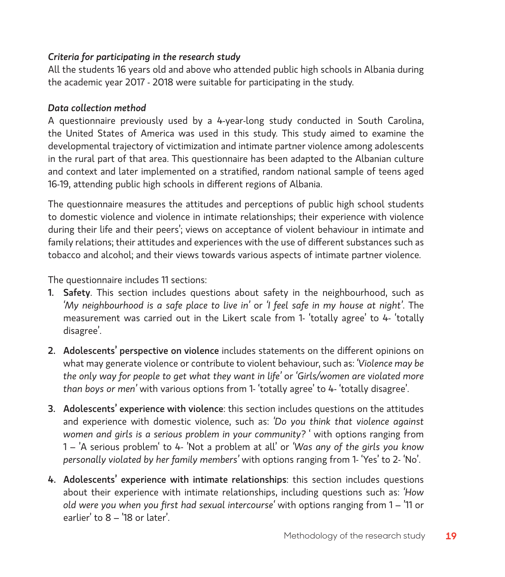#### *Criteria for participating in the research study*

All the students 16 years old and above who attended public high schools in Albania during the academic year 2017 - 2018 were suitable for participating in the study.

#### *Data collection method*

A questionnaire previously used by a 4-year-long study conducted in South Carolina, the United States of America was used in this study. This study aimed to examine the developmental trajectory of victimization and intimate partner violence among adolescents in the rural part of that area. This questionnaire has been adapted to the Albanian culture and context and later implemented on a stratified, random national sample of teens aged 16-19, attending public high schools in different regions of Albania.

The questionnaire measures the attitudes and perceptions of public high school students to domestic violence and violence in intimate relationships; their experience with violence during their life and their peers'; views on acceptance of violent behaviour in intimate and family relations; their attitudes and experiences with the use of different substances such as tobacco and alcohol; and their views towards various aspects of intimate partner violence.

The questionnaire includes 11 sections:

- 1. Safety. This section includes questions about safety in the neighbourhood, such as *'My neighbourhood is a safe place to live in'* or *'I feel safe in my house at night'*. The measurement was carried out in the Likert scale from 1- 'totally agree' to 4- 'totally disagree'.
- 2. Adolescents' perspective on violence includes statements on the different opinions on what may generate violence or contribute to violent behaviour, such as: *'Violence may be the only way for people to get what they want in life'* or *'Girls/women are violated more than boys or men'* with various options from 1- 'totally agree' to 4- 'totally disagree'.
- 3. Adolescents' experience with violence: this section includes questions on the attitudes and experience with domestic violence, such as: *'Do you think that violence against women and girls is a serious problem in your community?* ' with options ranging from 1 – 'A serious problem' to 4- 'Not a problem at all' or *'Was any of the girls you know personally violated by her family members'* with options ranging from 1- 'Yes' to 2- 'No'.
- 4. Adolescents' experience with intimate relationships: this section includes questions about their experience with intimate relationships, including questions such as: *'How old were you when you first had sexual intercourse'* with options ranging from 1 – '11 or earlier' to 8 – '18 or later'.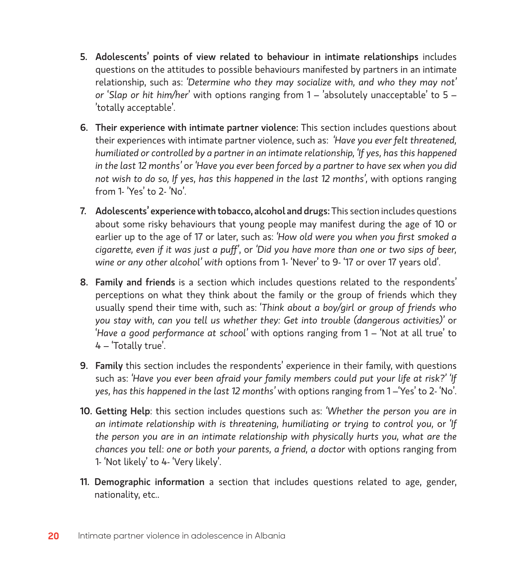- 5. Adolescents' points of view related to behaviour in intimate relationships includes questions on the attitudes to possible behaviours manifested by partners in an intimate relationship, such as: *'Determine who they may socialize with, and who they may not' or* '*Slap or hit him/her*' with options ranging from 1 – 'absolutely unacceptable' to 5 – 'totally acceptable'.
- 6. Their experience with intimate partner violence: This section includes questions about their experiences with intimate partner violence, such as: *'Have you ever felt threatened, humiliated or controlled by a partner in an intimate relationship, 'If yes, has this happened in the last 12 months'* or *'Have you ever been forced by a partner to have sex when you did not wish to do so, If yes, has this happened in the last 12 months',* with options ranging from 1- 'Yes' to 2- 'No'.
- 7. Adolescents' experience with tobacco, alcohol and drugs: This section includes questions about some risky behaviours that young people may manifest during the age of 10 or earlier up to the age of 17 or later, such as: *'How old were you when you first smoked a cigarette, even if it was just a puff'*, or *'Did you have more than one or two sips of beer, wine or any other alcohol' with* options from 1- 'Never' to 9- '17 or over 17 years old'.
- 8. Family and friends is a section which includes questions related to the respondents' perceptions on what they think about the family or the group of friends which they usually spend their time with, such as: '*Think about a boy/girl or group of friends who you stay with, can you tell us whether they: Get into trouble (dangerous activities)'* or '*Have a good performance at school'* with options ranging from 1 – 'Not at all true' to 4 – 'Totally true'.
- 9. Family this section includes the respondents' experience in their family, with questions such as: *'Have you ever been afraid your family members could put your life at risk?' 'If yes, has this happened in the last 12 months'* with options ranging from 1 –'Yes' to 2- 'No'.
- 10. Getting Help: this section includes questions such as: *'Whether the person you are in an intimate relationship with is threatening, humiliating or trying to control you,* or *'If the person you are in an intimate relationship with physically hurts you, what are the chances you tell*: *one or both your parents, a friend, a doctor* with options ranging from 1- 'Not likely' to 4- 'Very likely'.
- 11. Demographic information a section that includes questions related to age, gender, nationality, etc..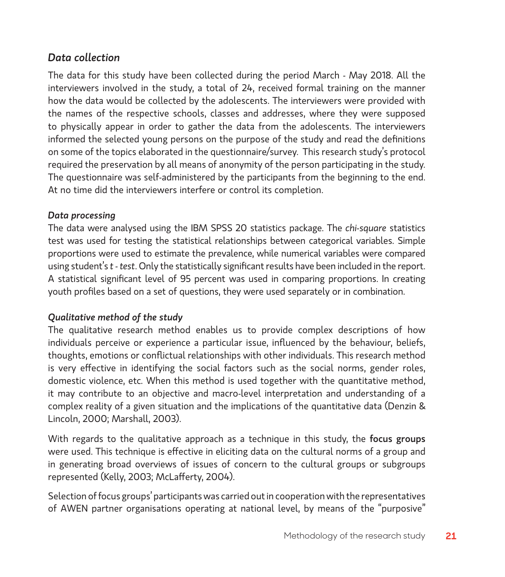### *Data collection*

The data for this study have been collected during the period March - May 2018. All the interviewers involved in the study, a total of 24, received formal training on the manner how the data would be collected by the adolescents. The interviewers were provided with the names of the respective schools, classes and addresses, where they were supposed to physically appear in order to gather the data from the adolescents. The interviewers informed the selected young persons on the purpose of the study and read the definitions on some of the topics elaborated in the questionnaire/survey. This research study's protocol required the preservation by all means of anonymity of the person participating in the study. The questionnaire was self-administered by the participants from the beginning to the end. At no time did the interviewers interfere or control its completion.

#### *Data processing*

The data were analysed using the IBM SPSS 20 statistics package. The *chi-square* statistics test was used for testing the statistical relationships between categorical variables. Simple proportions were used to estimate the prevalence, while numerical variables were compared using student's *t - test*. Only the statistically significant results have been included in the report. A statistical significant level of 95 percent was used in comparing proportions. In creating youth profiles based on a set of questions, they were used separately or in combination.

#### *Qualitative method of the study*

The qualitative research method enables us to provide complex descriptions of how individuals perceive or experience a particular issue, influenced by the behaviour, beliefs, thoughts, emotions or conflictual relationships with other individuals. This research method is very effective in identifying the social factors such as the social norms, gender roles, domestic violence, etc. When this method is used together with the quantitative method, it may contribute to an objective and macro-level interpretation and understanding of a complex reality of a given situation and the implications of the quantitative data (Denzin & Lincoln, 2000; Marshall, 2003).

With regards to the qualitative approach as a technique in this study, the focus groups were used. This technique is effective in eliciting data on the cultural norms of a group and in generating broad overviews of issues of concern to the cultural groups or subgroups represented (Kelly, 2003; McLafferty, 2004).

Selection of focus groups' participants was carried out in cooperation with the representatives of AWEN partner organisations operating at national level, by means of the "purposive"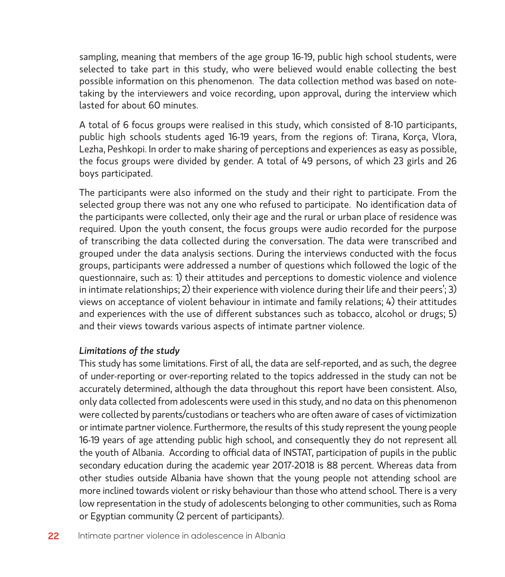sampling, meaning that members of the age group 16-19, public high school students, were selected to take part in this study, who were believed would enable collecting the best possible information on this phenomenon. The data collection method was based on notetaking by the interviewers and voice recording, upon approval, during the interview which lasted for about 60 minutes.

A total of 6 focus groups were realised in this study, which consisted of 8-10 participants, public high schools students aged 16-19 years, from the regions of: Tirana, Korça, Vlora, Lezha, Peshkopi. In order to make sharing of perceptions and experiences as easy as possible, the focus groups were divided by gender. A total of 49 persons, of which 23 girls and 26 boys participated.

The participants were also informed on the study and their right to participate. From the selected group there was not any one who refused to participate. No identification data of the participants were collected, only their age and the rural or urban place of residence was required. Upon the youth consent, the focus groups were audio recorded for the purpose of transcribing the data collected during the conversation. The data were transcribed and grouped under the data analysis sections. During the interviews conducted with the focus groups, participants were addressed a number of questions which followed the logic of the questionnaire, such as: 1) their attitudes and perceptions to domestic violence and violence in intimate relationships; 2) their experience with violence during their life and their peers'; 3) views on acceptance of violent behaviour in intimate and family relations; 4) their attitudes and experiences with the use of different substances such as tobacco, alcohol or drugs; 5) and their views towards various aspects of intimate partner violence.

#### *Limitations of the study*

This study has some limitations. First of all, the data are self-reported, and as such, the degree of under-reporting or over-reporting related to the topics addressed in the study can not be accurately determined, although the data throughout this report have been consistent. Also, only data collected from adolescents were used in this study, and no data on this phenomenon were collected by parents/custodians or teachers who are often aware of cases of victimization or intimate partner violence. Furthermore, the results of this study represent the young people 16-19 years of age attending public high school, and consequently they do not represent all the youth of Albania. According to official data of INSTAT, participation of pupils in the public secondary education during the academic year 2017-2018 is 88 percent. Whereas data from other studies outside Albania have shown that the young people not attending school are more inclined towards violent or risky behaviour than those who attend school. There is a very low representation in the study of adolescents belonging to other communities, such as Roma or Egyptian community (2 percent of participants).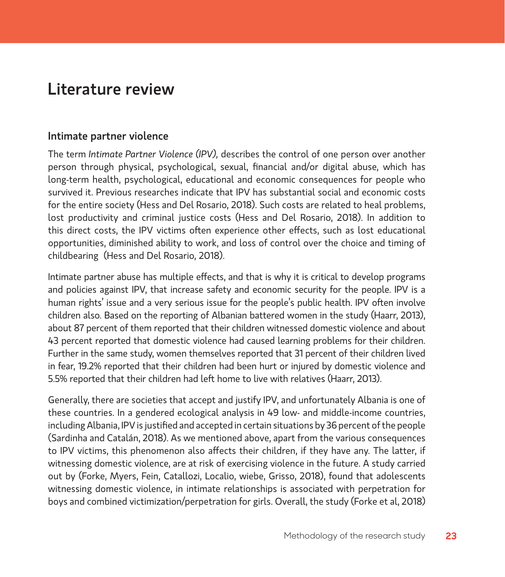# Literature review

#### Intimate partner violence

The term *Intimate Partner Violence (IPV),* describes the control of one person over another person through physical, psychological, sexual, financial and/or digital abuse, which has long-term health, psychological, educational and economic consequences for people who survived it. Previous researches indicate that IPV has substantial social and economic costs for the entire society (Hess and Del Rosario, 2018). Such costs are related to heal problems, lost productivity and criminal justice costs (Hess and Del Rosario, 2018). In addition to this direct costs, the IPV victims often experience other effects, such as lost educational opportunities, diminished ability to work, and loss of control over the choice and timing of childbearing (Hess and Del Rosario, 2018).

Intimate partner abuse has multiple effects, and that is why it is critical to develop programs and policies against IPV, that increase safety and economic security for the people. IPV is a human rights' issue and a very serious issue for the people's public health. IPV often involve children also. Based on the reporting of Albanian battered women in the study (Haarr, 2013), about 87 percent of them reported that their children witnessed domestic violence and about 43 percent reported that domestic violence had caused learning problems for their children. Further in the same study, women themselves reported that 31 percent of their children lived in fear, 19.2% reported that their children had been hurt or injured by domestic violence and 5.5% reported that their children had left home to live with relatives (Haarr, 2013).

Generally, there are societies that accept and justify IPV, and unfortunately Albania is one of these countries. In a gendered ecological analysis in 49 low- and middle-income countries, including Albania, IPV is justified and accepted in certain situations by 36 percent of the people (Sardinha and Catalán, 2018). As we mentioned above, apart from the various consequences to IPV victims, this phenomenon also affects their children, if they have any. The latter, if witnessing domestic violence, are at risk of exercising violence in the future. A study carried out by (Forke, Myers, Fein, Catallozi, Localio, wiebe, Grisso, 2018), found that adolescents witnessing domestic violence, in intimate relationships is associated with perpetration for boys and combined victimization/perpetration for girls. Overall, the study (Forke et al, 2018)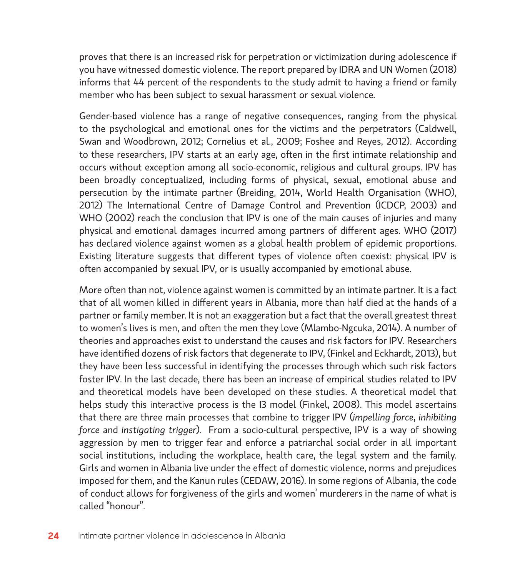proves that there is an increased risk for perpetration or victimization during adolescence if you have witnessed domestic violence. The report prepared by IDRA and UN Women (2018) informs that 44 percent of the respondents to the study admit to having a friend or family member who has been subject to sexual harassment or sexual violence.

Gender-based violence has a range of negative consequences, ranging from the physical to the psychological and emotional ones for the victims and the perpetrators (Caldwell, Swan and Woodbrown, 2012; Cornelius et al., 2009; Foshee and Reyes, 2012). According to these researchers, IPV starts at an early age, often in the first intimate relationship and occurs without exception among all socio-economic, religious and cultural groups. IPV has been broadly conceptualized, including forms of physical, sexual, emotional abuse and persecution by the intimate partner (Breiding, 2014, World Health Organisation (WHO), 2012) The International Centre of Damage Control and Prevention (ICDCP, 2003) and WHO (2002) reach the conclusion that IPV is one of the main causes of injuries and many physical and emotional damages incurred among partners of different ages. WHO (2017) has declared violence against women as a global health problem of epidemic proportions. Existing literature suggests that different types of violence often coexist: physical IPV is often accompanied by sexual IPV, or is usually accompanied by emotional abuse.

More often than not, violence against women is committed by an intimate partner. It is a fact that of all women killed in different years in Albania, more than half died at the hands of a partner or family member. It is not an exaggeration but a fact that the overall greatest threat to women's lives is men, and often the men they love (Mlambo-Ngcuka, 2014). A number of theories and approaches exist to understand the causes and risk factors for IPV. Researchers have identified dozens of risk factors that degenerate to IPV, (Finkel and Eckhardt, 2013), but they have been less successful in identifying the processes through which such risk factors foster IPV. In the last decade, there has been an increase of empirical studies related to IPV and theoretical models have been developed on these studies. A theoretical model that helps study this interactive process is the I3 model (Finkel, 2008). This model ascertains that there are three main processes that combine to trigger IPV (*impelling force*, *inhibiting force* and *instigating trigger*). From a socio-cultural perspective, IPV is a way of showing aggression by men to trigger fear and enforce a patriarchal social order in all important social institutions, including the workplace, health care, the legal system and the family. Girls and women in Albania live under the effect of domestic violence, norms and prejudices imposed for them, and the Kanun rules (CEDAW, 2016). In some regions of Albania, the code of conduct allows for forgiveness of the girls and women' murderers in the name of what is called "honour".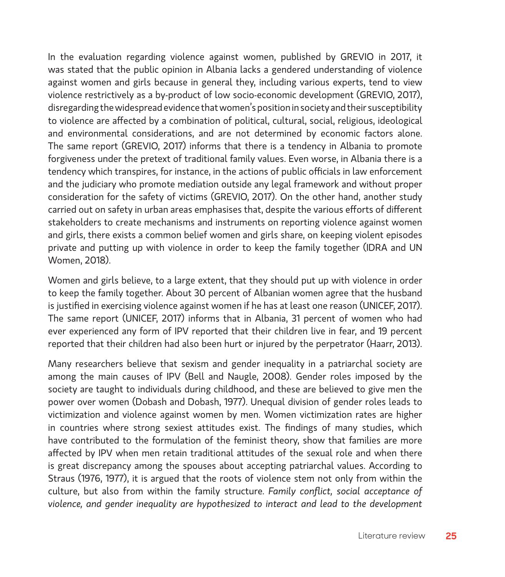In the evaluation regarding violence against women, published by GREVIO in 2017, it was stated that the public opinion in Albania lacks a gendered understanding of violence against women and girls because in general they, including various experts, tend to view violence restrictively as a by-product of low socio-economic development (GREVIO, 2017), disregarding the widespread evidence that women's position in society and their susceptibility to violence are affected by a combination of political, cultural, social, religious, ideological and environmental considerations, and are not determined by economic factors alone. The same report (GREVIO, 2017) informs that there is a tendency in Albania to promote forgiveness under the pretext of traditional family values. Even worse, in Albania there is a tendency which transpires, for instance, in the actions of public officials in law enforcement and the judiciary who promote mediation outside any legal framework and without proper consideration for the safety of victims (GREVIO, 2017). On the other hand, another study carried out on safety in urban areas emphasises that, despite the various efforts of different stakeholders to create mechanisms and instruments on reporting violence against women and girls, there exists a common belief women and girls share, on keeping violent episodes private and putting up with violence in order to keep the family together (IDRA and UN Women, 2018).

Women and girls believe, to a large extent, that they should put up with violence in order to keep the family together. About 30 percent of Albanian women agree that the husband is justified in exercising violence against women if he has at least one reason (UNICEF, 2017). The same report (UNICEF, 2017) informs that in Albania, 31 percent of women who had ever experienced any form of IPV reported that their children live in fear, and 19 percent reported that their children had also been hurt or injured by the perpetrator (Haarr, 2013).

Many researchers believe that sexism and gender inequality in a patriarchal society are among the main causes of IPV (Bell and Naugle, 2008). Gender roles imposed by the society are taught to individuals during childhood, and these are believed to give men the power over women (Dobash and Dobash, 1977). Unequal division of gender roles leads to victimization and violence against women by men. Women victimization rates are higher in countries where strong sexiest attitudes exist. The findings of many studies, which have contributed to the formulation of the feminist theory, show that families are more affected by IPV when men retain traditional attitudes of the sexual role and when there is great discrepancy among the spouses about accepting patriarchal values. According to Straus (1976, 1977), it is argued that the roots of violence stem not only from within the culture, but also from within the family structure. *Family conflict, social acceptance of violence, and gender inequality are hypothesized to interact and lead to the development*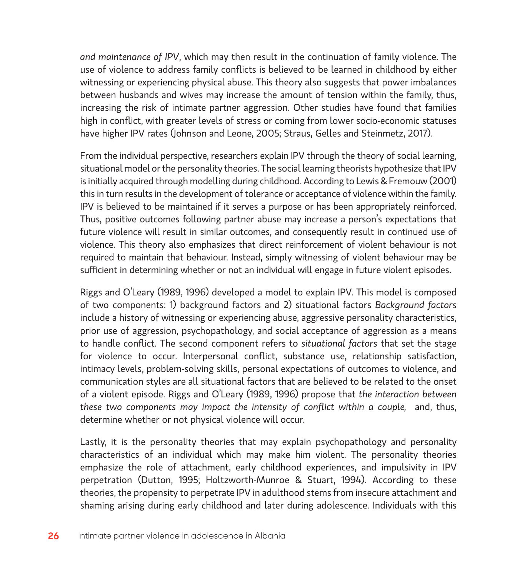*and maintenance of IPV*, which may then result in the continuation of family violence. The use of violence to address family conflicts is believed to be learned in childhood by either witnessing or experiencing physical abuse. This theory also suggests that power imbalances between husbands and wives may increase the amount of tension within the family, thus, increasing the risk of intimate partner aggression. Other studies have found that families high in conflict, with greater levels of stress or coming from lower socio-economic statuses have higher IPV rates (Johnson and Leone, 2005; Straus, Gelles and Steinmetz, 2017).

From the individual perspective, researchers explain IPV through the theory of social learning, situational model or the personality theories. The social learning theorists hypothesize that IPV is initially acquired through modelling during childhood. According to Lewis & Fremouw (2001) this in turn results in the development of tolerance or acceptance of violence within the family. IPV is believed to be maintained if it serves a purpose or has been appropriately reinforced. Thus, positive outcomes following partner abuse may increase a person's expectations that future violence will result in similar outcomes, and consequently result in continued use of violence. This theory also emphasizes that direct reinforcement of violent behaviour is not required to maintain that behaviour. Instead, simply witnessing of violent behaviour may be sufficient in determining whether or not an individual will engage in future violent episodes.

Riggs and O'Leary (1989, 1996) developed a model to explain IPV. This model is composed of two components: 1) background factors and 2) situational factors *Background factors* include a history of witnessing or experiencing abuse, aggressive personality characteristics, prior use of aggression, psychopathology, and social acceptance of aggression as a means to handle conflict. The second component refers to *situational factors* that set the stage for violence to occur. Interpersonal conflict, substance use, relationship satisfaction, intimacy levels, problem-solving skills, personal expectations of outcomes to violence, and communication styles are all situational factors that are believed to be related to the onset of a violent episode. Riggs and O'Leary (1989, 1996) propose that *the interaction between these two components may impact the intensity of conflict within a couple,* and, thus, determine whether or not physical violence will occur.

Lastly, it is the personality theories that may explain psychopathology and personality characteristics of an individual which may make him violent. The personality theories emphasize the role of attachment, early childhood experiences, and impulsivity in IPV perpetration (Dutton, 1995; Holtzworth-Munroe & Stuart, 1994). According to these theories, the propensity to perpetrate IPV in adulthood stems from insecure attachment and shaming arising during early childhood and later during adolescence. Individuals with this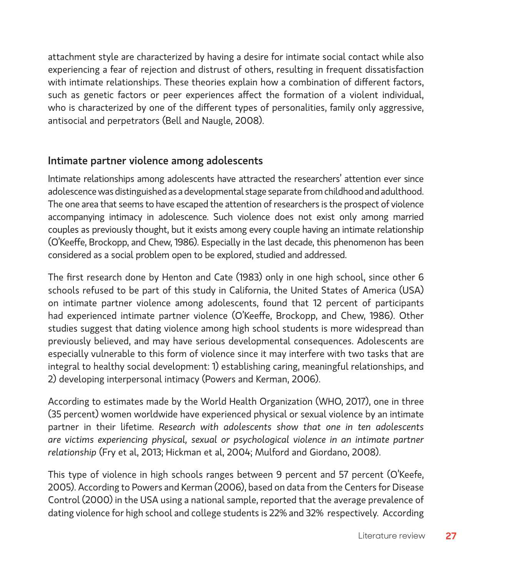attachment style are characterized by having a desire for intimate social contact while also experiencing a fear of rejection and distrust of others, resulting in frequent dissatisfaction with intimate relationships. These theories explain how a combination of different factors, such as genetic factors or peer experiences affect the formation of a violent individual, who is characterized by one of the different types of personalities, family only aggressive, antisocial and perpetrators (Bell and Naugle, 2008).

#### Intimate partner violence among adolescents

Intimate relationships among adolescents have attracted the researchers' attention ever since adolescence was distinguished as a developmental stage separate from childhood and adulthood. The one area that seems to have escaped the attention of researchers is the prospect of violence accompanying intimacy in adolescence. Such violence does not exist only among married couples as previously thought, but it exists among every couple having an intimate relationship (O'Keeffe, Brockopp, and Chew, 1986). Especially in the last decade, this phenomenon has been considered as a social problem open to be explored, studied and addressed.

The first research done by Henton and Cate (1983) only in one high school, since other 6 schools refused to be part of this study in California, the United States of America (USA) on intimate partner violence among adolescents, found that 12 percent of participants had experienced intimate partner violence (O'Keeffe, Brockopp, and Chew, 1986). Other studies suggest that dating violence among high school students is more widespread than previously believed, and may have serious developmental consequences. Adolescents are especially vulnerable to this form of violence since it may interfere with two tasks that are integral to healthy social development: 1) establishing caring, meaningful relationships, and 2) developing interpersonal intimacy (Powers and Kerman, 2006).

According to estimates made by the World Health Organization (WHO, 2017), one in three (35 percent) women worldwide have experienced physical or sexual violence by an intimate partner in their lifetime. *Research with adolescents show that one in ten adolescents are victims experiencing physical, sexual or psychological violence in an intimate partner relationship* (Fry et al, 2013; Hickman et al, 2004; Mulford and Giordano, 2008).

This type of violence in high schools ranges between 9 percent and 57 percent (O'Keefe, 2005). According to Powers and Kerman (2006), based on data from the Centers for Disease Control (2000) in the USA using a national sample, reported that the average prevalence of dating violence for high school and college students is 22% and 32% respectively. According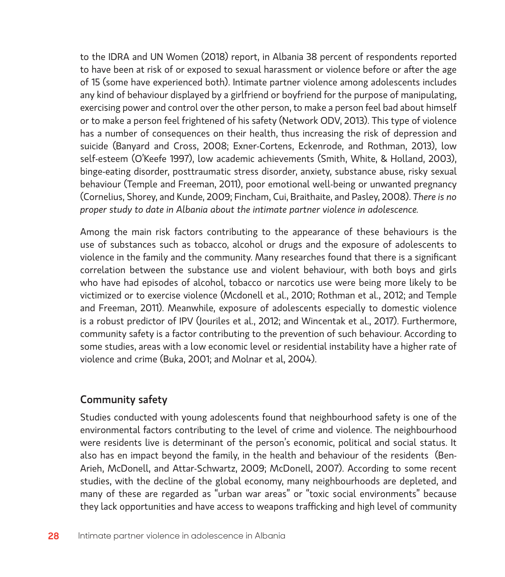to the IDRA and UN Women (2018) report, in Albania 38 percent of respondents reported to have been at risk of or exposed to sexual harassment or violence before or after the age of 15 (some have experienced both). Intimate partner violence among adolescents includes any kind of behaviour displayed by a girlfriend or boyfriend for the purpose of manipulating, exercising power and control over the other person, to make a person feel bad about himself or to make a person feel frightened of his safety (Network ODV, 2013). This type of violence has a number of consequences on their health, thus increasing the risk of depression and suicide (Banyard and Cross, 2008; Exner-Cortens, Eckenrode, and Rothman, 2013), low self-esteem (O'Keefe 1997), low academic achievements (Smith, White, & Holland, 2003), binge-eating disorder, posttraumatic stress disorder, anxiety, substance abuse, risky sexual behaviour (Temple and Freeman, 2011), poor emotional well-being or unwanted pregnancy (Cornelius, Shorey, and Kunde, 2009; Fincham, Cui, Braithaite, and Pasley, 2008). *There is no proper study to date in Albania about the intimate partner violence in adolescence.*

Among the main risk factors contributing to the appearance of these behaviours is the use of substances such as tobacco, alcohol or drugs and the exposure of adolescents to violence in the family and the community. Many researches found that there is a significant correlation between the substance use and violent behaviour, with both boys and girls who have had episodes of alcohol, tobacco or narcotics use were being more likely to be victimized or to exercise violence (Mcdonell et al., 2010; Rothman et al., 2012; and Temple and Freeman, 2011). Meanwhile, exposure of adolescents especially to domestic violence is a robust predictor of IPV (Jouriles et al., 2012; and Wincentak et al., 2017). Furthermore, community safety is a factor contributing to the prevention of such behaviour. According to some studies, areas with a low economic level or residential instability have a higher rate of violence and crime (Buka, 2001; and Molnar et al, 2004).

### Community safety

Studies conducted with young adolescents found that neighbourhood safety is one of the environmental factors contributing to the level of crime and violence. The neighbourhood were residents live is determinant of the person's economic, political and social status. It also has en impact beyond the family, in the health and behaviour of the residents (Ben-Arieh, McDonell, and Attar-Schwartz, 2009; McDonell, 2007). According to some recent studies, with the decline of the global economy, many neighbourhoods are depleted, and many of these are regarded as "urban war areas" or "toxic social environments" because they lack opportunities and have access to weapons trafficking and high level of community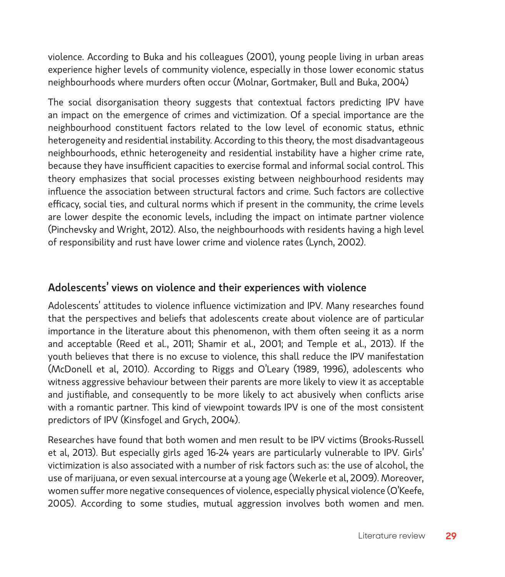violence. According to Buka and his colleagues (2001), young people living in urban areas experience higher levels of community violence, especially in those lower economic status neighbourhoods where murders often occur (Molnar, Gortmaker, Bull and Buka, 2004)

The social disorganisation theory suggests that contextual factors predicting IPV have an impact on the emergence of crimes and victimization. Of a special importance are the neighbourhood constituent factors related to the low level of economic status, ethnic heterogeneity and residential instability. According to this theory, the most disadvantageous neighbourhoods, ethnic heterogeneity and residential instability have a higher crime rate, because they have insufficient capacities to exercise formal and informal social control. This theory emphasizes that social processes existing between neighbourhood residents may influence the association between structural factors and crime. Such factors are collective efficacy, social ties, and cultural norms which if present in the community, the crime levels are lower despite the economic levels, including the impact on intimate partner violence (Pinchevsky and Wright, 2012). Also, the neighbourhoods with residents having a high level of responsibility and rust have lower crime and violence rates (Lynch, 2002).

#### Adolescents' views on violence and their experiences with violence

Adolescents' attitudes to violence influence victimization and IPV. Many researches found that the perspectives and beliefs that adolescents create about violence are of particular importance in the literature about this phenomenon, with them often seeing it as a norm and acceptable (Reed et al., 2011; Shamir et al., 2001; and Temple et al., 2013). If the youth believes that there is no excuse to violence, this shall reduce the IPV manifestation (McDonell et al, 2010). According to Riggs and O'Leary (1989, 1996), adolescents who witness aggressive behaviour between their parents are more likely to view it as acceptable and justifiable, and consequently to be more likely to act abusively when conflicts arise with a romantic partner. This kind of viewpoint towards IPV is one of the most consistent predictors of IPV (Kinsfogel and Grych, 2004).

Researches have found that both women and men result to be IPV victims (Brooks-Russell et al, 2013). But especially girls aged 16-24 years are particularly vulnerable to IPV. Girls' victimization is also associated with a number of risk factors such as: the use of alcohol, the use of marijuana, or even sexual intercourse at a young age (Wekerle et al, 2009). Moreover, women suffer more negative consequences of violence, especially physical violence (O'Keefe, 2005). According to some studies, mutual aggression involves both women and men.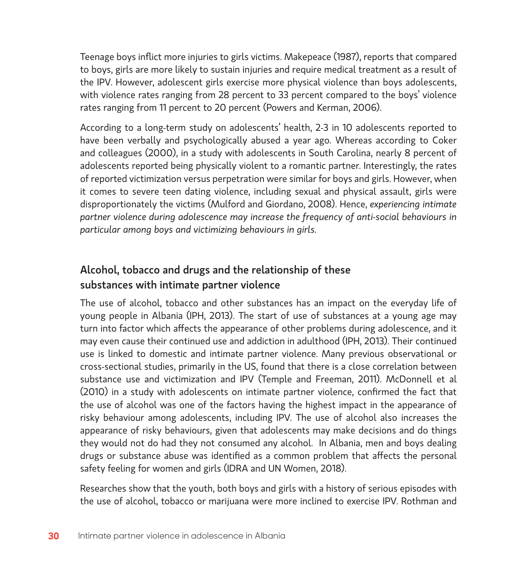Teenage boys inflict more injuries to girls victims. Makepeace (1987), reports that compared to boys, girls are more likely to sustain injuries and require medical treatment as a result of the IPV. However, adolescent girls exercise more physical violence than boys adolescents, with violence rates ranging from 28 percent to 33 percent compared to the boys' violence rates ranging from 11 percent to 20 percent (Powers and Kerman, 2006).

According to a long-term study on adolescents' health, 2-3 in 10 adolescents reported to have been verbally and psychologically abused a year ago. Whereas according to Coker and colleagues (2000), in a study with adolescents in South Carolina, nearly 8 percent of adolescents reported being physically violent to a romantic partner. Interestingly, the rates of reported victimization versus perpetration were similar for boys and girls. However, when it comes to severe teen dating violence, including sexual and physical assault, girls were disproportionately the victims (Mulford and Giordano, 2008). Hence, *experiencing intimate partner violence during adolescence may increase the frequency of anti-social behaviours in particular among boys and victimizing behaviours in girls.*

## Alcohol, tobacco and drugs and the relationship of these substances with intimate partner violence

The use of alcohol, tobacco and other substances has an impact on the everyday life of young people in Albania (IPH, 2013). The start of use of substances at a young age may turn into factor which affects the appearance of other problems during adolescence, and it may even cause their continued use and addiction in adulthood (IPH, 2013). Their continued use is linked to domestic and intimate partner violence. Many previous observational or cross-sectional studies, primarily in the US, found that there is a close correlation between substance use and victimization and IPV (Temple and Freeman, 2011). McDonnell et al (2010) in a study with adolescents on intimate partner violence, confirmed the fact that the use of alcohol was one of the factors having the highest impact in the appearance of risky behaviour among adolescents, including IPV. The use of alcohol also increases the appearance of risky behaviours, given that adolescents may make decisions and do things they would not do had they not consumed any alcohol. In Albania, men and boys dealing drugs or substance abuse was identified as a common problem that affects the personal safety feeling for women and girls (IDRA and UN Women, 2018).

Researches show that the youth, both boys and girls with a history of serious episodes with the use of alcohol, tobacco or marijuana were more inclined to exercise IPV. Rothman and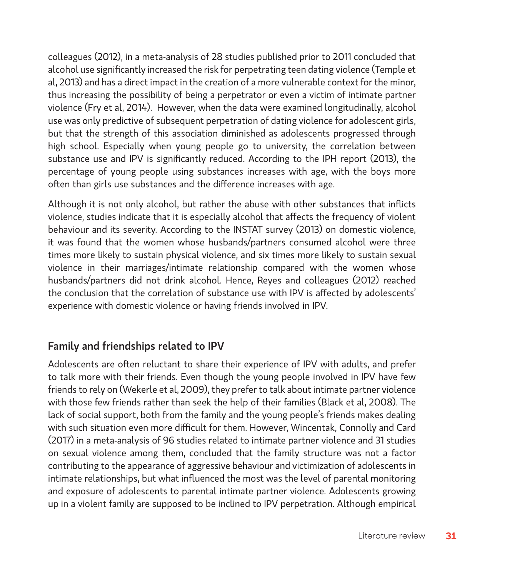colleagues (2012), in a meta-analysis of 28 studies published prior to 2011 concluded that alcohol use significantly increased the risk for perpetrating teen dating violence (Temple et al, 2013) and has a direct impact in the creation of a more vulnerable context for the minor, thus increasing the possibility of being a perpetrator or even a victim of intimate partner violence (Fry et al, 2014). However, when the data were examined longitudinally, alcohol use was only predictive of subsequent perpetration of dating violence for adolescent girls, but that the strength of this association diminished as adolescents progressed through high school. Especially when young people go to university, the correlation between substance use and IPV is significantly reduced. According to the IPH report (2013), the percentage of young people using substances increases with age, with the boys more often than girls use substances and the difference increases with age.

Although it is not only alcohol, but rather the abuse with other substances that inflicts violence, studies indicate that it is especially alcohol that affects the frequency of violent behaviour and its severity. According to the INSTAT survey (2013) on domestic violence, it was found that the women whose husbands/partners consumed alcohol were three times more likely to sustain physical violence, and six times more likely to sustain sexual violence in their marriages/intimate relationship compared with the women whose husbands/partners did not drink alcohol. Hence, Reyes and colleagues (2012) reached the conclusion that the correlation of substance use with IPV is affected by adolescents' experience with domestic violence or having friends involved in IPV.

### Family and friendships related to IPV

Adolescents are often reluctant to share their experience of IPV with adults, and prefer to talk more with their friends. Even though the young people involved in IPV have few friends to rely on (Wekerle et al, 2009), they prefer to talk about intimate partner violence with those few friends rather than seek the help of their families (Black et al, 2008). The lack of social support, both from the family and the young people's friends makes dealing with such situation even more difficult for them. However, Wincentak, Connolly and Card (2017) in a meta-analysis of 96 studies related to intimate partner violence and 31 studies on sexual violence among them, concluded that the family structure was not a factor contributing to the appearance of aggressive behaviour and victimization of adolescents in intimate relationships, but what influenced the most was the level of parental monitoring and exposure of adolescents to parental intimate partner violence. Adolescents growing up in a violent family are supposed to be inclined to IPV perpetration. Although empirical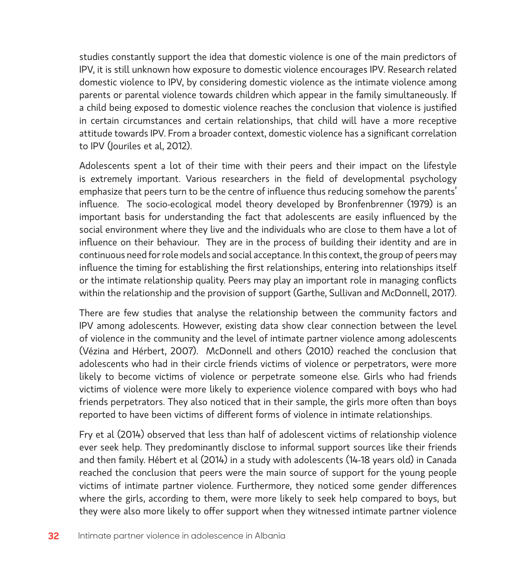studies constantly support the idea that domestic violence is one of the main predictors of IPV, it is still unknown how exposure to domestic violence encourages IPV. Research related domestic violence to IPV, by considering domestic violence as the intimate violence among parents or parental violence towards children which appear in the family simultaneously. If a child being exposed to domestic violence reaches the conclusion that violence is justified in certain circumstances and certain relationships, that child will have a more receptive attitude towards IPV. From a broader context, domestic violence has a significant correlation to IPV (Jouriles et al, 2012).

Adolescents spent a lot of their time with their peers and their impact on the lifestyle is extremely important. Various researchers in the field of developmental psychology emphasize that peers turn to be the centre of influence thus reducing somehow the parents' influence. The socio-ecological model theory developed by Bronfenbrenner (1979) is an important basis for understanding the fact that adolescents are easily influenced by the social environment where they live and the individuals who are close to them have a lot of influence on their behaviour. They are in the process of building their identity and are in continuous need for role models and social acceptance. In this context, the group of peers may influence the timing for establishing the first relationships, entering into relationships itself or the intimate relationship quality. Peers may play an important role in managing conflicts within the relationship and the provision of support (Garthe, Sullivan and McDonnell, 2017).

There are few studies that analyse the relationship between the community factors and IPV among adolescents. However, existing data show clear connection between the level of violence in the community and the level of intimate partner violence among adolescents (Vézina and Hérbert, 2007). McDonnell and others (2010) reached the conclusion that adolescents who had in their circle friends victims of violence or perpetrators, were more likely to become victims of violence or perpetrate someone else. Girls who had friends victims of violence were more likely to experience violence compared with boys who had friends perpetrators. They also noticed that in their sample, the girls more often than boys reported to have been victims of different forms of violence in intimate relationships.

Fry et al (2014) observed that less than half of adolescent victims of relationship violence ever seek help. They predominantly disclose to informal support sources like their friends and then family. Hébert et al (2014) in a study with adolescents (14-18 years old) in Canada reached the conclusion that peers were the main source of support for the young people victims of intimate partner violence. Furthermore, they noticed some gender differences where the girls, according to them, were more likely to seek help compared to boys, but they were also more likely to offer support when they witnessed intimate partner violence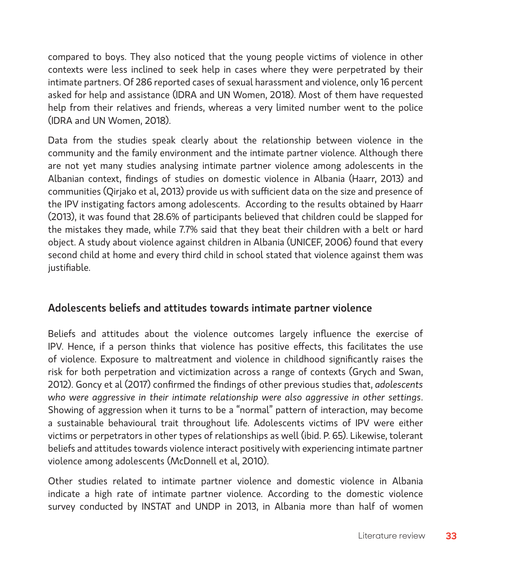compared to boys. They also noticed that the young people victims of violence in other contexts were less inclined to seek help in cases where they were perpetrated by their intimate partners. Of 286 reported cases of sexual harassment and violence, only 16 percent asked for help and assistance (IDRA and UN Women, 2018). Most of them have requested help from their relatives and friends, whereas a very limited number went to the police (IDRA and UN Women, 2018).

Data from the studies speak clearly about the relationship between violence in the community and the family environment and the intimate partner violence. Although there are not yet many studies analysing intimate partner violence among adolescents in the Albanian context, findings of studies on domestic violence in Albania (Haarr, 2013) and communities (Qirjako et al, 2013) provide us with sufficient data on the size and presence of the IPV instigating factors among adolescents. According to the results obtained by Haarr (2013), it was found that 28.6% of participants believed that children could be slapped for the mistakes they made, while 7.7% said that they beat their children with a belt or hard object. A study about violence against children in Albania (UNICEF, 2006) found that every second child at home and every third child in school stated that violence against them was justifiable.

#### Adolescents beliefs and attitudes towards intimate partner violence

Beliefs and attitudes about the violence outcomes largely influence the exercise of IPV. Hence, if a person thinks that violence has positive effects, this facilitates the use of violence. Exposure to maltreatment and violence in childhood significantly raises the risk for both perpetration and victimization across a range of contexts (Grych and Swan, 2012). Goncy et al (2017) confirmed the findings of other previous studies that, *adolescents who were aggressive in their intimate relationship were also aggressive in other settings*. Showing of aggression when it turns to be a "normal" pattern of interaction, may become a sustainable behavioural trait throughout life. Adolescents victims of IPV were either victims or perpetrators in other types of relationships as well (ibid. P. 65). Likewise, tolerant beliefs and attitudes towards violence interact positively with experiencing intimate partner violence among adolescents (McDonnell et al, 2010).

Other studies related to intimate partner violence and domestic violence in Albania indicate a high rate of intimate partner violence. According to the domestic violence survey conducted by INSTAT and UNDP in 2013, in Albania more than half of women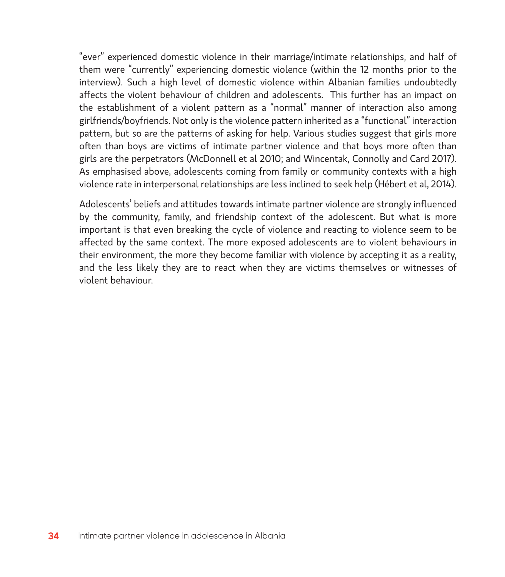"ever" experienced domestic violence in their marriage/intimate relationships, and half of them were "currently" experiencing domestic violence (within the 12 months prior to the interview). Such a high level of domestic violence within Albanian families undoubtedly affects the violent behaviour of children and adolescents. This further has an impact on the establishment of a violent pattern as a "normal" manner of interaction also among girlfriends/boyfriends. Not only is the violence pattern inherited as a "functional" interaction pattern, but so are the patterns of asking for help. Various studies suggest that girls more often than boys are victims of intimate partner violence and that boys more often than girls are the perpetrators (McDonnell et al 2010; and Wincentak, Connolly and Card 2017). As emphasised above, adolescents coming from family or community contexts with a high violence rate in interpersonal relationships are less inclined to seek help (Hébert et al, 2014).

Adolescents' beliefs and attitudes towards intimate partner violence are strongly influenced by the community, family, and friendship context of the adolescent. But what is more important is that even breaking the cycle of violence and reacting to violence seem to be affected by the same context. The more exposed adolescents are to violent behaviours in their environment, the more they become familiar with violence by accepting it as a reality, and the less likely they are to react when they are victims themselves or witnesses of violent behaviour.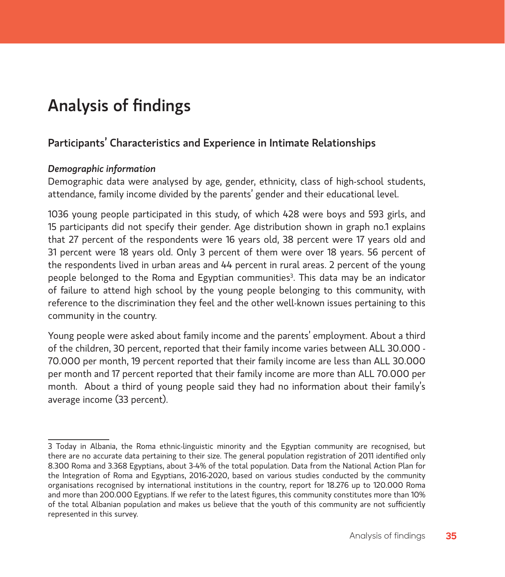# Analysis of findings

### Participants' Characteristics and Experience in Intimate Relationships

#### *Demographic information*

Demographic data were analysed by age, gender, ethnicity, class of high-school students, attendance, family income divided by the parents' gender and their educational level.

1036 young people participated in this study, of which 428 were boys and 593 girls, and 15 participants did not specify their gender. Age distribution shown in graph no.1 explains that 27 percent of the respondents were 16 years old, 38 percent were 17 years old and 31 percent were 18 years old. Only 3 percent of them were over 18 years. 56 percent of the respondents lived in urban areas and 44 percent in rural areas. 2 percent of the young people belonged to the Roma and Egyptian communities<sup>3</sup>. This data may be an indicator of failure to attend high school by the young people belonging to this community, with reference to the discrimination they feel and the other well-known issues pertaining to this community in the country.

Young people were asked about family income and the parents' employment. About a third of the children, 30 percent, reported that their family income varies between ALL 30.000 - 70.000 per month, 19 percent reported that their family income are less than ALL 30.000 per month and 17 percent reported that their family income are more than ALL 70.000 per month. About a third of young people said they had no information about their family's average income (33 percent).

<sup>3</sup> Today in Albania, the Roma ethnic-linguistic minority and the Egyptian community are recognised, but there are no accurate data pertaining to their size. The general population registration of 2011 identified only 8.300 Roma and 3.368 Egyptians, about 3-4% of the total population. Data from the National Action Plan for the Integration of Roma and Egyptians, 2016-2020, based on various studies conducted by the community organisations recognised by international institutions in the country, report for 18.276 up to 120.000 Roma and more than 200.000 Egyptians. If we refer to the latest figures, this community constitutes more than 10% of the total Albanian population and makes us believe that the youth of this community are not sufficiently represented in this survey.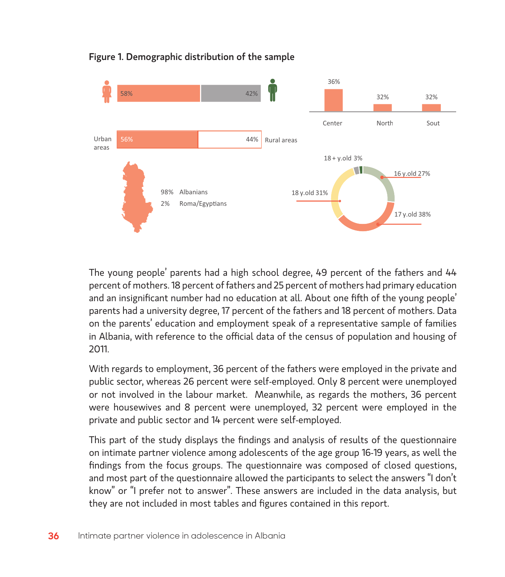

#### Figure 1. Demographic distribution of the sample

The young people' parents had a high school degree, 49 percent of the fathers and 44 percent of mothers. 18 percent of fathers and 25 percent of mothers had primary education and an insignificant number had no education at all. About one fifth of the young people' parents had a university degree, 17 percent of the fathers and 18 percent of mothers. Data on the parents' education and employment speak of a representative sample of families in Albania, with reference to the official data of the census of population and housing of 2011.

With regards to employment, 36 percent of the fathers were employed in the private and public sector, whereas 26 percent were self-employed. Only 8 percent were unemployed or not involved in the labour market. Meanwhile, as regards the mothers, 36 percent were housewives and 8 percent were unemployed, 32 percent were employed in the private and public sector and 14 percent were self-employed.

This part of the study displays the findings and analysis of results of the questionnaire on intimate partner violence among adolescents of the age group 16-19 years, as well the findings from the focus groups. The questionnaire was composed of closed questions, and most part of the questionnaire allowed the participants to select the answers "I don't know" or "I prefer not to answer". These answers are included in the data analysis, but they are not included in most tables and figures contained in this report.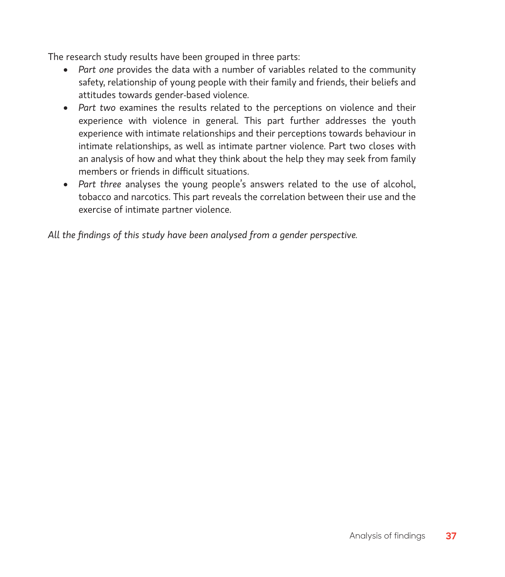The research study results have been grouped in three parts:

- • *Part one* provides the data with a number of variables related to the community safety, relationship of young people with their family and friends, their beliefs and attitudes towards gender-based violence.
- • *Part two* examines the results related to the perceptions on violence and their experience with violence in general. This part further addresses the youth experience with intimate relationships and their perceptions towards behaviour in intimate relationships, as well as intimate partner violence. Part two closes with an analysis of how and what they think about the help they may seek from family members or friends in difficult situations.
- • *Part three* analyses the young people's answers related to the use of alcohol, tobacco and narcotics. This part reveals the correlation between their use and the exercise of intimate partner violence.

*All the findings of this study have been analysed from a gender perspective.*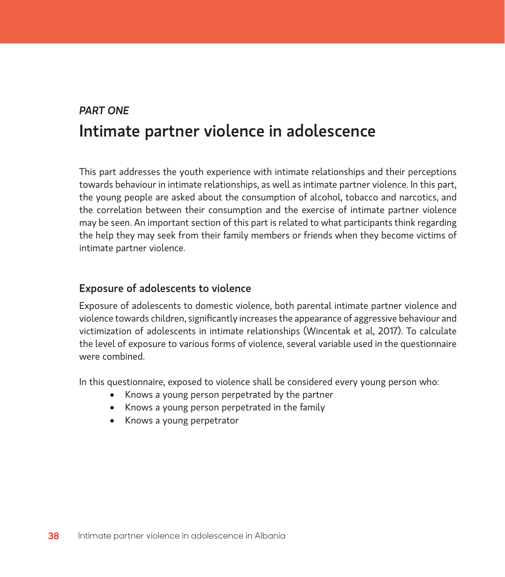# *PART ONE* Intimate partner violence in adolescence

This part addresses the youth experience with intimate relationships and their perceptions towards behaviour in intimate relationships, as well as intimate partner violence. In this part, the young people are asked about the consumption of alcohol, tobacco and narcotics, and the correlation between their consumption and the exercise of intimate partner violence may be seen. An important section of this part is related to what participants think regarding the help they may seek from their family members or friends when they become victims of intimate partner violence.

## Exposure of adolescents to violence

Exposure of adolescents to domestic violence, both parental intimate partner violence and violence towards children, significantly increases the appearance of aggressive behaviour and victimization of adolescents in intimate relationships (Wincentak et al, 2017). To calculate the level of exposure to various forms of violence, several variable used in the questionnaire were combined.

In this questionnaire, exposed to violence shall be considered every young person who:

- Knows a young person perpetrated by the partner
- Knows a young person perpetrated in the family
- Knows a young perpetrator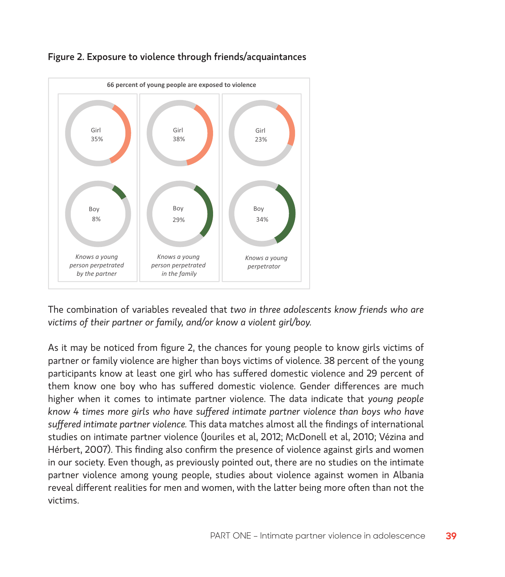

# Figure 2. Exposure to violence through friends/acquaintances

The combination of variables revealed that *two in three adolescents know friends who are victims of their partner or family, and/or know a violent girl/boy.*

As it may be noticed from figure 2, the chances for young people to know girls victims of partner or family violence are higher than boys victims of violence. 38 percent of the young participants know at least one girl who has suffered domestic violence and 29 percent of them know one boy who has suffered domestic violence. Gender differences are much higher when it comes to intimate partner violence. The data indicate that *young people know 4 times more girls who have suffered intimate partner violence than boys who have suffered intimate partner violence.* This data matches almost all the findings of international studies on intimate partner violence (Jouriles et al, 2012; McDonell et al, 2010; Vézina and Hérbert, 2007). This finding also confirm the presence of violence against girls and women in our society. Even though, as previously pointed out, there are no studies on the intimate partner violence among young people, studies about violence against women in Albania reveal different realities for men and women, with the latter being more often than not the victims.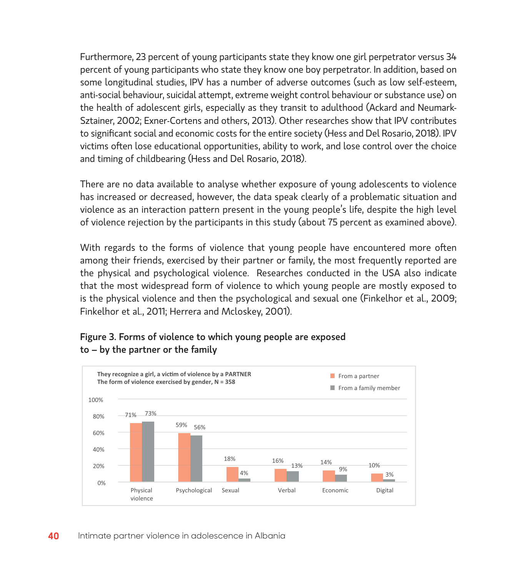Furthermore, 23 percent of young participants state they know one girl perpetrator versus 34 percent of young participants who state they know one boy perpetrator. In addition, based on some longitudinal studies, IPV has a number of adverse outcomes (such as low self-esteem, anti-social behaviour, suicidal attempt, extreme weight control behaviour or substance use) on the health of adolescent girls, especially as they transit to adulthood (Ackard and Neumark-Sztainer, 2002; Exner-Cortens and others, 2013). Other researches show that IPV contributes to significant social and economic costs for the entire society (Hess and Del Rosario, 2018). IPV victims often lose educational opportunities, ability to work, and lose control over the choice and timing of childbearing (Hess and Del Rosario, 2018).

There are no data available to analyse whether exposure of young adolescents to violence has increased or decreased, however, the data speak clearly of a problematic situation and violence as an interaction pattern present in the young people's life, despite the high level of violence rejection by the participants in this study (about 75 percent as examined above).

With regards to the forms of violence that young people have encountered more often among their friends, exercised by their partner or family, the most frequently reported are the physical and psychological violence. Researches conducted in the USA also indicate that the most widespread form of violence to which young people are mostly exposed to is the physical violence and then the psychological and sexual one (Finkelhor et al., 2009; Finkelhor et al., 2011; Herrera and Mcloskey, 2001).



### Figure 3. Forms of violence to which young people are exposed to – by the partner or the family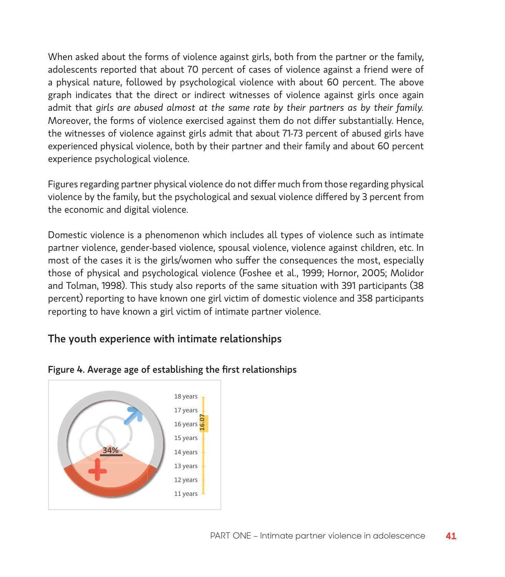When asked about the forms of violence against girls, both from the partner or the family, adolescents reported that about 70 percent of cases of violence against a friend were of a physical nature, followed by psychological violence with about 60 percent. The above graph indicates that the direct or indirect witnesses of violence against girls once again admit that *girls are abused almost at the same rate by their partners as by their family.*  Moreover, the forms of violence exercised against them do not differ substantially. Hence, the witnesses of violence against girls admit that about 71-73 percent of abused girls have experienced physical violence, both by their partner and their family and about 60 percent experience psychological violence.

Figures regarding partner physical violence do not differ much from those regarding physical violence by the family, but the psychological and sexual violence differed by 3 percent from the economic and digital violence.

Domestic violence is a phenomenon which includes all types of violence such as intimate partner violence, gender-based violence, spousal violence, violence against children, etc. In most of the cases it is the girls/women who suffer the consequences the most, especially those of physical and psychological violence (Foshee et al., 1999; Hornor, 2005; Molidor and Tolman, 1998). This study also reports of the same situation with 391 participants (38 percent) reporting to have known one girl victim of domestic violence and 358 participants reporting to have known a girl victim of intimate partner violence.

## The youth experience with intimate relationships



#### Figure 4. Average age of establishing the first relationships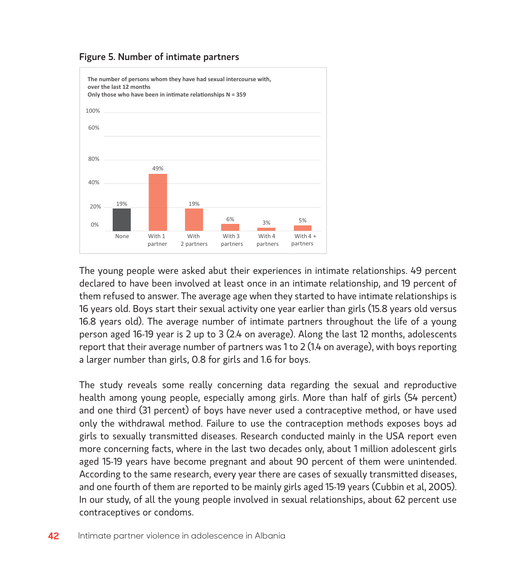

#### Figure 5. Number of intimate partners

The young people were asked abut their experiences in intimate relationships. 49 percent declared to have been involved at least once in an intimate relationship, and 19 percent of them refused to answer. The average age when they started to have intimate relationships is 16 years old. Boys start their sexual activity one year earlier than girls (15.8 years old versus 16.8 years old). The average number of intimate partners throughout the life of a young person aged 16-19 year is 2 up to 3 (2.4 on average). Along the last 12 months, adolescents report that their average number of partners was 1 to 2 (1.4 on average), with boys reporting a larger number than girls, 0.8 for girls and 1.6 for boys.

The study reveals some really concerning data regarding the sexual and reproductive health among young people, especially among girls. More than half of girls (54 percent) and one third (31 percent) of boys have never used a contraceptive method, or have used only the withdrawal method. Failure to use the contraception methods exposes boys ad girls to sexually transmitted diseases. Research conducted mainly in the USA report even more concerning facts, where in the last two decades only, about 1 million adolescent girls aged 15-19 years have become pregnant and about 90 percent of them were unintended. According to the same research, every year there are cases of sexually transmitted diseases, and one fourth of them are reported to be mainly girls aged 15-19 years (Cubbin et al, 2005). In our study, of all the young people involved in sexual relationships, about 62 percent use contraceptives or condoms.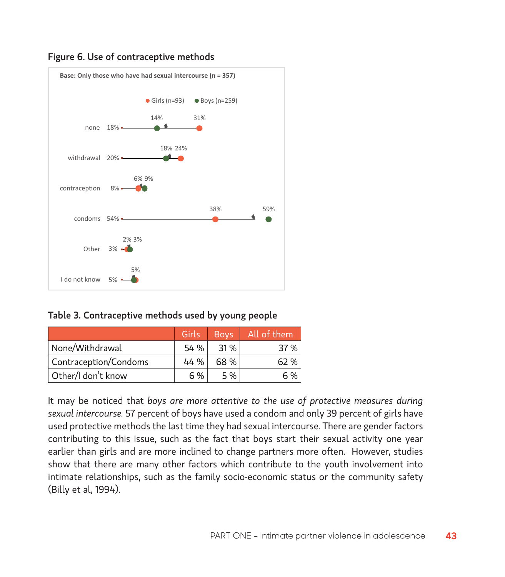

#### Figure 6. Use of contraceptive methods

#### Table 3. Contraceptive methods used by young people

|                       | Girls | <b>Boys</b> | All of them |
|-----------------------|-------|-------------|-------------|
| None/Withdrawal       | 54 %  | 31 %        | 37 %        |
| Contraception/Condoms | 44 %  | 68 %        | 62 %        |
| Other/I don't know    | 6 %   | 5 %         | 6 %         |

It may be noticed that *boys are more attentive to the use of protective measures during sexual intercourse.* 57 percent of boys have used a condom and only 39 percent of girls have used protective methods the last time they had sexual intercourse. There are gender factors contributing to this issue, such as the fact that boys start their sexual activity one year earlier than girls and are more inclined to change partners more often. However, studies show that there are many other factors which contribute to the youth involvement into intimate relationships, such as the family socio-economic status or the community safety (Billy et al, 1994).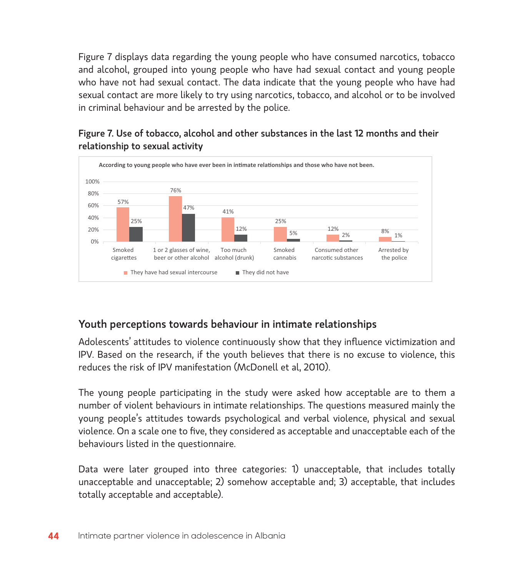Figure 7 displays data regarding the young people who have consumed narcotics, tobacco and alcohol, grouped into young people who have had sexual contact and young people who have not had sexual contact. The data indicate that the young people who have had sexual contact are more likely to try using narcotics, tobacco, and alcohol or to be involved in criminal behaviour and be arrested by the police.

### Figure 7. Use of tobacco, alcohol and other substances in the last 12 months and their relationship to sexual activity



# Youth perceptions towards behaviour in intimate relationships

Adolescents' attitudes to violence continuously show that they influence victimization and IPV. Based on the research, if the youth believes that there is no excuse to violence, this reduces the risk of IPV manifestation (McDonell et al, 2010).

The young people participating in the study were asked how acceptable are to them a number of violent behaviours in intimate relationships. The questions measured mainly the young people's attitudes towards psychological and verbal violence, physical and sexual violence. On a scale one to five, they considered as acceptable and unacceptable each of the behaviours listed in the questionnaire.

Data were later grouped into three categories: 1) unacceptable, that includes totally unacceptable and unacceptable; 2) somehow acceptable and; 3) acceptable, that includes totally acceptable and acceptable).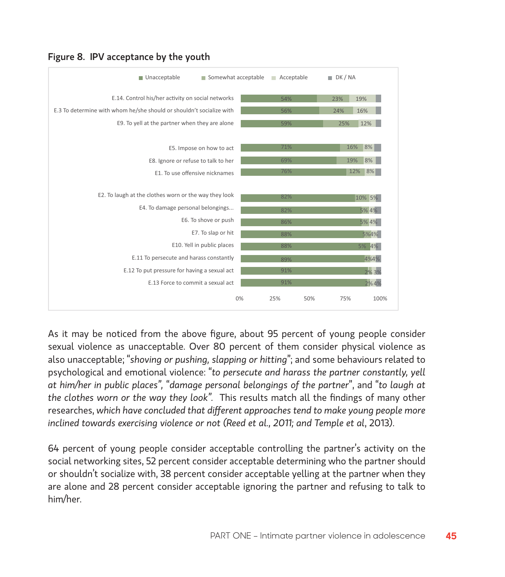| Somewhat acceptable<br>Unacceptable                                  |    | Acceptable | $\blacksquare$ DK / NA |
|----------------------------------------------------------------------|----|------------|------------------------|
| E.14. Control his/her activity on social networks                    |    | 54%        | 23%<br>19%             |
| E.3 To determine with whom he/she should or shouldn't socialize with |    | 56%        | 24%<br>16%             |
| E9. To yell at the partner when they are alone                       |    | 59%        | 12%<br>25%             |
| E5. Impose on how to act                                             |    | 71%        | 16%<br>8%              |
| E8. Ignore or refuse to talk to her                                  |    | 69%        | 19%<br>8%              |
| E1. To use offensive nicknames                                       |    | 76%        | 12%<br>8%              |
| E2. To laugh at the clothes worn or the way they look                |    | 82%        | 10% 5%                 |
| E4. To damage personal belongings                                    |    | 82%        | 5% 4%                  |
| E6. To shove or push                                                 |    | 86%        | 5% 4%                  |
| E7. To slap or hit                                                   |    | 88%        | 5%4%                   |
| E10. Yell in public places                                           |    | 88%        | 5% 4%                  |
| E.11 To persecute and harass constantly                              |    | 89%        | 4%4%                   |
| E.12 To put pressure for having a sexual act                         |    | 91%        | 2% 3%                  |
| E.13 Force to commit a sexual act                                    |    | 91%        | 2%4%                   |
|                                                                      | 0% | 25%        | 75%<br>50%<br>100%     |

### Figure 8. IPV acceptance by the youth

As it may be noticed from the above figure, about 95 percent of young people consider sexual violence as unacceptable. Over 80 percent of them consider physical violence as also unacceptable; "*shoving or pushing, slapping or hitting*"; and some behaviours related to psychological and emotional violence: "*to persecute and harass the partner constantly, yell at him/her in public places",* "*damage personal belongings of the partner*", and "*to laugh at the clothes worn or the way they look".* This results match all the findings of many other researches, *which have concluded that different approaches tend to make young people more inclined towards exercising violence or not (Reed et al., 2011; and Temple et al*, 2013).

64 percent of young people consider acceptable controlling the partner's activity on the social networking sites, 52 percent consider acceptable determining who the partner should or shouldn't socialize with, 38 percent consider acceptable yelling at the partner when they are alone and 28 percent consider acceptable ignoring the partner and refusing to talk to him/her.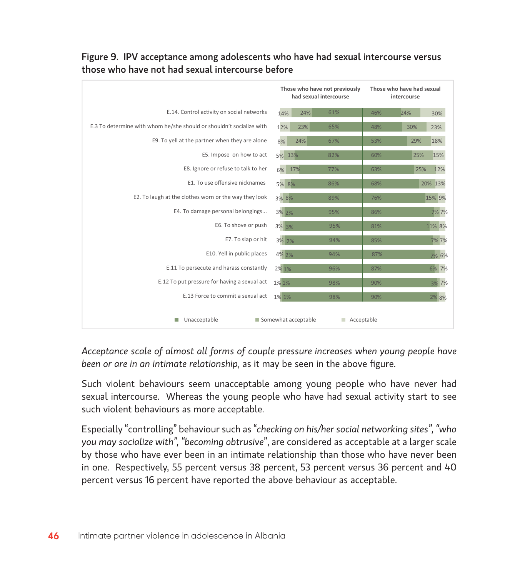|                                                                      |            | Those who have not previously<br>had sexual intercourse | Those who have had sexual<br>intercourse |            |  |  |  |
|----------------------------------------------------------------------|------------|---------------------------------------------------------|------------------------------------------|------------|--|--|--|
| E.14. Control activity on social networks                            | 24%<br>14% | 61%                                                     | 46%                                      | 24%<br>30% |  |  |  |
| E.3 To determine with whom he/she should or shouldn't socialize with | 23%<br>12% | 65%                                                     | 48%                                      | 30%<br>23% |  |  |  |
| E9. To yell at the partner when they are alone                       | 8%<br>24%  | 67%                                                     | 53%                                      | 18%<br>29% |  |  |  |
| E5. Impose on how to act                                             | 5% 13%     | 82%                                                     | 60%                                      | 15%<br>25% |  |  |  |
| E8. Ignore or refuse to talk to her                                  | 6% 17%     | 77%                                                     | 63%                                      | 12%<br>25% |  |  |  |
| E1. To use offensive nicknames                                       | 5% 8%      | 86%                                                     | 68%                                      | 20% 13%    |  |  |  |
| E2. To laugh at the clothes worn or the way they look                | 3% 8%      | 89%                                                     | 76%                                      | 15% 9%     |  |  |  |
| E4. To damage personal belongings                                    | 3% 2%      | 95%                                                     | 86%                                      | 7% 7%      |  |  |  |
| E6. To shove or push                                                 | 3% 3%      | 95%                                                     | 81%                                      | 11% 8%     |  |  |  |
| E7. To slap or hit                                                   | 3% 2%      | 94%                                                     | 85%                                      | 7%7%       |  |  |  |
| E10. Yell in public places                                           | 4% 2%      | 94%                                                     | 87%                                      | 7% 6%      |  |  |  |
| E.11 To persecute and harass constantly                              | 2% 1%      | 96%                                                     | 87%                                      | 6% 7%      |  |  |  |
| E.12 To put pressure for having a sexual act                         | 1% 1%      | 98%                                                     | 90%                                      | 3% 7%      |  |  |  |
| E.13 Force to commit a sexual act                                    | 1% 1%      | 98%                                                     | 90%                                      | 2% 8%      |  |  |  |
| Unacceptable<br>Somewhat acceptable<br>Acceptable                    |            |                                                         |                                          |            |  |  |  |

## Figure 9. IPV acceptance among adolescents who have had sexual intercourse versus those who have not had sexual intercourse before

*Acceptance scale of almost all forms of couple pressure increases when young people have been or are in an intimate relationship*, as it may be seen in the above figure.

Such violent behaviours seem unacceptable among young people who have never had sexual intercourse. Whereas the young people who have had sexual activity start to see such violent behaviours as more acceptable.

Especially "controlling" behaviour such as "*checking on his/her social networking sites", "who you may socialize with", "becoming obtrusive*", are considered as acceptable at a larger scale by those who have ever been in an intimate relationship than those who have never been in one. Respectively, 55 percent versus 38 percent, 53 percent versus 36 percent and 40 percent versus 16 percent have reported the above behaviour as acceptable.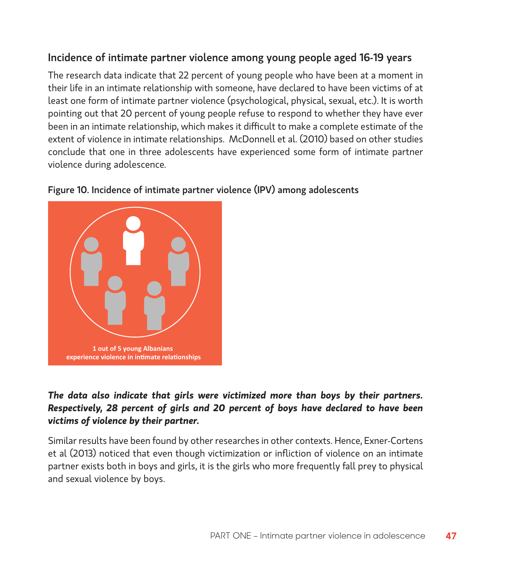# Incidence of intimate partner violence among young people aged 16-19 years

The research data indicate that 22 percent of young people who have been at a moment in their life in an intimate relationship with someone, have declared to have been victims of at least one form of intimate partner violence (psychological, physical, sexual, etc.). It is worth pointing out that 20 percent of young people refuse to respond to whether they have ever been in an intimate relationship, which makes it difficult to make a complete estimate of the extent of violence in intimate relationships. McDonnell et al. (2010) based on other studies conclude that one in three adolescents have experienced some form of intimate partner violence during adolescence.



#### Figure 10. Incidence of intimate partner violence (IPV) among adolescents

## *The data also indicate that girls were victimized more than boys by their partners. Respectively, 28 percent of girls and 20 percent of boys have declared to have been victims of violence by their partner.*

Similar results have been found by other researches in other contexts. Hence, Exner-Cortens et al (2013) noticed that even though victimization or infliction of violence on an intimate partner exists both in boys and girls, it is the girls who more frequently fall prey to physical and sexual violence by boys.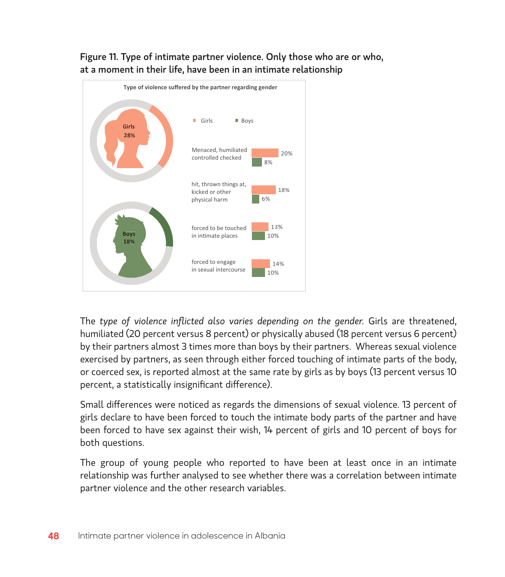

Figure 11. Type of intimate partner violence. Only those who are or who, at a moment in their life, have been in an intimate relationship

The *type of violence inflicted also varies depending on the gender.* Girls are threatened, humiliated (20 percent versus 8 percent) or physically abused (18 percent versus 6 percent) by their partners almost 3 times more than boys by their partners. Whereas sexual violence exercised by partners, as seen through either forced touching of intimate parts of the body, or coerced sex, is reported almost at the same rate by girls as by boys (13 percent versus 10 percent, a statistically insignificant difference).

Small differences were noticed as regards the dimensions of sexual violence. 13 percent of girls declare to have been forced to touch the intimate body parts of the partner and have been forced to have sex against their wish, 14 percent of girls and 10 percent of boys for both questions.

The group of young people who reported to have been at least once in an intimate relationship was further analysed to see whether there was a correlation between intimate partner violence and the other research variables.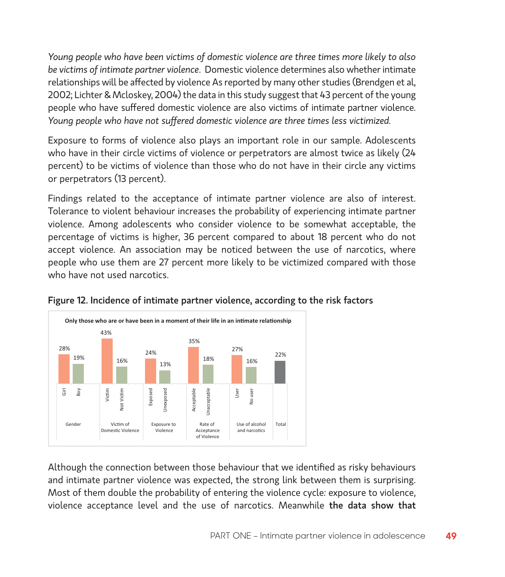*Young people who have been victims of domestic violence are three times more likely to also be victims of intimate partner violence*. Domestic violence determines also whether intimate relationships will be affected by violence As reported by many other studies (Brendgen et al, 2002; Lichter & Mcloskey, 2004) the data in this study suggest that 43 percent of the young people who have suffered domestic violence are also victims of intimate partner violence. *Young people who have not suffered domestic violence are three times less victimized.* 

Exposure to forms of violence also plays an important role in our sample. Adolescents who have in their circle victims of violence or perpetrators are almost twice as likely (24 percent) to be victims of violence than those who do not have in their circle any victims or perpetrators (13 percent).

Findings related to the acceptance of intimate partner violence are also of interest. Tolerance to violent behaviour increases the probability of experiencing intimate partner violence. Among adolescents who consider violence to be somewhat acceptable, the percentage of victims is higher, 36 percent compared to about 18 percent who do not accept violence. An association may be noticed between the use of narcotics, where people who use them are 27 percent more likely to be victimized compared with those who have not used narcotics.



#### Figure 12. Incidence of intimate partner violence, according to the risk factors

Although the connection between those behaviour that we identified as risky behaviours and intimate partner violence was expected, the strong link between them is surprising. Most of them double the probability of entering the violence cycle*:* exposure to violence, violence acceptance level and the use of narcotics. Meanwhile the data show that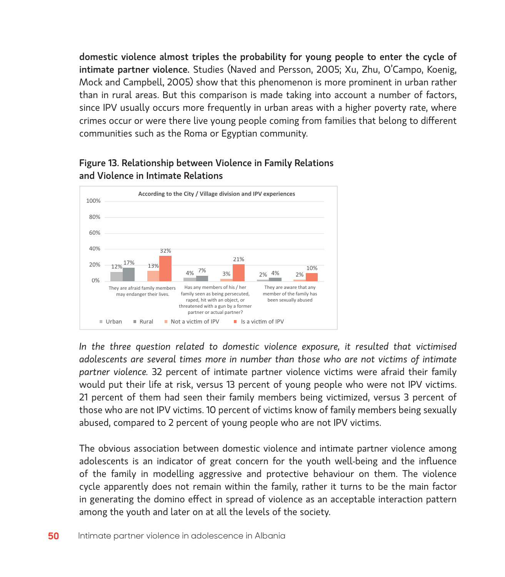domestic violence almost triples the probability for young people to enter the cycle of intimate partner violence. Studies (Naved and Persson, 2005; Xu, Zhu, O'Campo, Koenig, Mock and Campbell, 2005) show that this phenomenon is more prominent in urban rather than in rural areas. But this comparison is made taking into account a number of factors, since IPV usually occurs more frequently in urban areas with a higher poverty rate, where crimes occur or were there live young people coming from families that belong to different communities such as the Roma or Egyptian community.



### Figure 13. Relationship between Violence in Family Relations and Violence in Intimate Relations

*In the three question related to domestic violence exposure, it resulted that victimised adolescents are several times more in number than those who are not victims of intimate partner violence.* 32 percent of intimate partner violence victims were afraid their family would put their life at risk, versus 13 percent of young people who were not IPV victims. 21 percent of them had seen their family members being victimized, versus 3 percent of those who are not IPV victims. 10 percent of victims know of family members being sexually abused, compared to 2 percent of young people who are not IPV victims.

The obvious association between domestic violence and intimate partner violence among adolescents is an indicator of great concern for the youth well-being and the influence of the family in modelling aggressive and protective behaviour on them. The violence cycle apparently does not remain within the family, rather it turns to be the main factor in generating the domino effect in spread of violence as an acceptable interaction pattern among the youth and later on at all the levels of the society.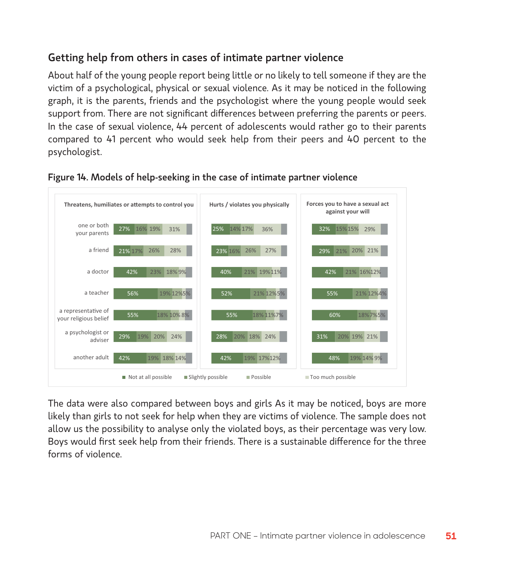# Getting help from others in cases of intimate partner violence

About half of the young people report being little or no likely to tell someone if they are the victim of a psychological, physical or sexual violence. As it may be noticed in the following graph, it is the parents, friends and the psychologist where the young people would seek support from. There are not significant differences between preferring the parents or peers. In the case of sexual violence, 44 percent of adolescents would rather go to their parents compared to 41 percent who would seek help from their peers and 40 percent to the psychologist.





The data were also compared between boys and girls As it may be noticed, boys are more likely than girls to not seek for help when they are victims of violence. The sample does not allow us the possibility to analyse only the violated boys, as their percentage was very low. Boys would first seek help from their friends. There is a sustainable difference for the three forms of violence.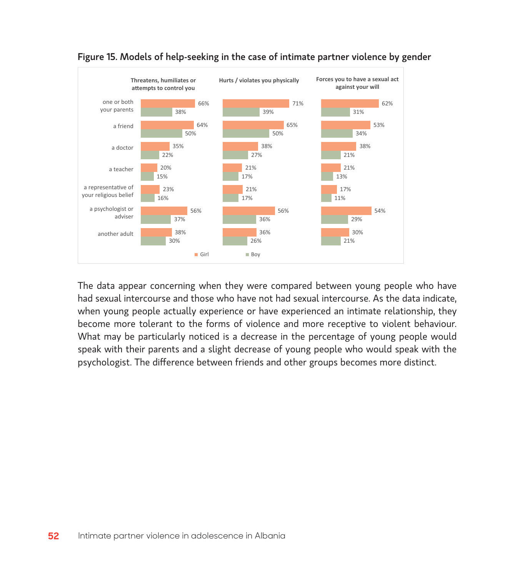



The data appear concerning when they were compared between young people who have had sexual intercourse and those who have not had sexual intercourse. As the data indicate, when young people actually experience or have experienced an intimate relationship, they become more tolerant to the forms of violence and more receptive to violent behaviour. What may be particularly noticed is a decrease in the percentage of young people would speak with their parents and a slight decrease of young people who would speak with the psychologist. The difference between friends and other groups becomes more distinct.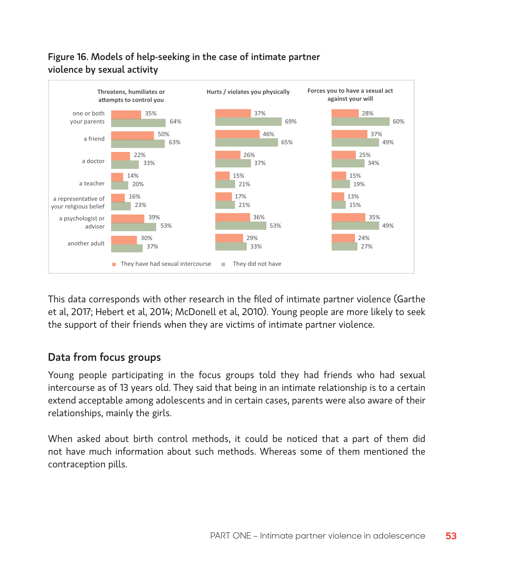



This data corresponds with other research in the filed of intimate partner violence (Garthe et al, 2017; Hebert et al, 2014; McDonell et al, 2010). Young people are more likely to seek the support of their friends when they are victims of intimate partner violence.

## Data from focus groups

Young people participating in the focus groups told they had friends who had sexual intercourse as of 13 years old. They said that being in an intimate relationship is to a certain extend acceptable among adolescents and in certain cases, parents were also aware of their relationships, mainly the girls.

When asked about birth control methods, it could be noticed that a part of them did not have much information about such methods. Whereas some of them mentioned the contraception pills.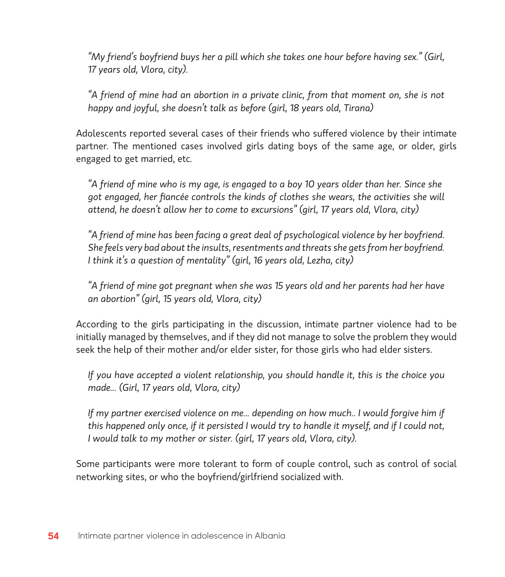*"My friend's boyfriend buys her a pill which she takes one hour before having sex." (Girl, 17 years old, Vlora, city).* 

*"A friend of mine had an abortion in a private clinic, from that moment on, she is not happy and joyful, she doesn't talk as before (girl, 18 years old, Tirana)*

Adolescents reported several cases of their friends who suffered violence by their intimate partner. The mentioned cases involved girls dating boys of the same age, or older, girls engaged to get married, etc.

*"A friend of mine who is my age, is engaged to a boy 10 years older than her. Since she got engaged, her fiancée controls the kinds of clothes she wears, the activities she will attend, he doesn't allow her to come to excursions" (girl, 17 years old, Vlora, city)*

*"A friend of mine has been facing a great deal of psychological violence by her boyfriend. She feels very bad about the insults, resentments and threats she gets from her boyfriend. I think it's a question of mentality" (girl, 16 years old, Lezha, city)*

*"A friend of mine got pregnant when she was 15 years old and her parents had her have an abortion" (girl, 15 years old, Vlora, city)*

According to the girls participating in the discussion, intimate partner violence had to be initially managed by themselves, and if they did not manage to solve the problem they would seek the help of their mother and/or elder sister, for those girls who had elder sisters.

*If you have accepted a violent relationship, you should handle it, this is the choice you made... (Girl, 17 years old, Vlora, city)*

*If my partner exercised violence on me... depending on how much.. I would forgive him if this happened only once, if it persisted I would try to handle it myself, and if I could not, I would talk to my mother or sister. (girl, 17 years old, Vlora, city).*

Some participants were more tolerant to form of couple control, such as control of social networking sites, or who the boyfriend/girlfriend socialized with.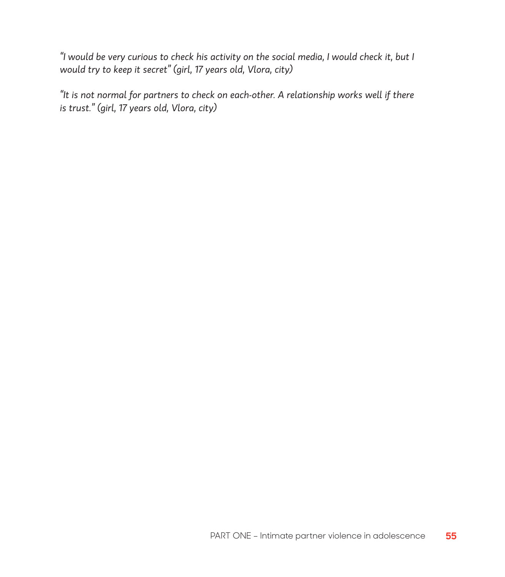*"I would be very curious to check his activity on the social media, I would check it, but I would try to keep it secret" (girl, 17 years old, Vlora, city)*

*"It is not normal for partners to check on each-other. A relationship works well if there is trust." (girl, 17 years old, Vlora, city)*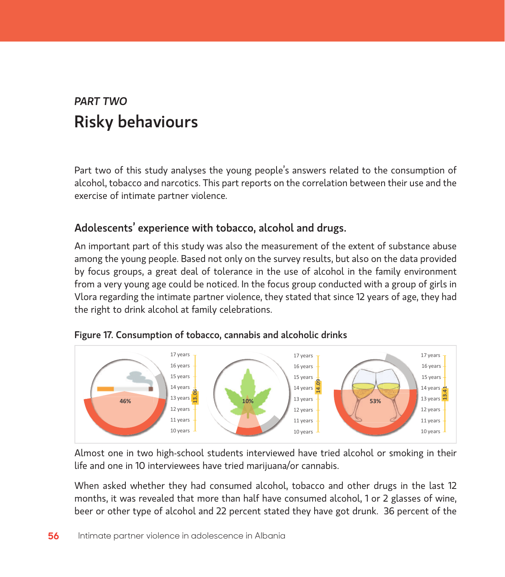# *PART TWO* Risky behaviours

Part two of this study analyses the young people's answers related to the consumption of alcohol, tobacco and narcotics. This part reports on the correlation between their use and the exercise of intimate partner violence.

# Adolescents' experience with tobacco, alcohol and drugs.

An important part of this study was also the measurement of the extent of substance abuse among the young people. Based not only on the survey results, but also on the data provided by focus groups, a great deal of tolerance in the use of alcohol in the family environment from a very young age could be noticed. In the focus group conducted with a group of girls in Vlora regarding the intimate partner violence, they stated that since 12 years of age, they had the right to drink alcohol at family celebrations.



#### Figure 17. Consumption of tobacco, cannabis and alcoholic drinks

Almost one in two high-school students interviewed have tried alcohol or smoking in their life and one in 10 interviewees have tried marijuana/or cannabis.

When asked whether they had consumed alcohol, tobacco and other drugs in the last 12 months, it was revealed that more than half have consumed alcohol, 1 or 2 glasses of wine, beer or other type of alcohol and 22 percent stated they have got drunk. 36 percent of the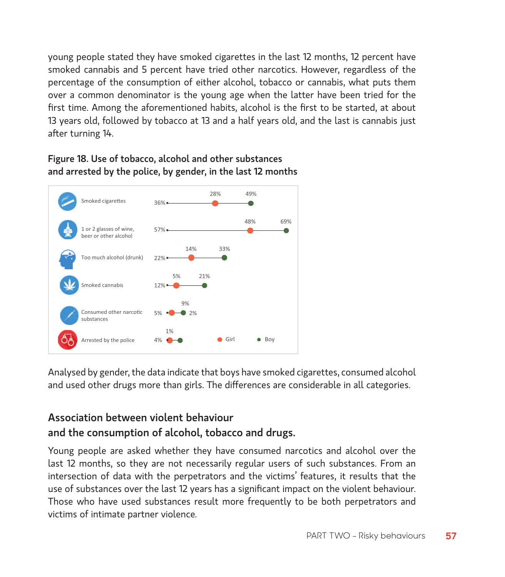young people stated they have smoked cigarettes in the last 12 months, 12 percent have smoked cannabis and 5 percent have tried other narcotics. However, regardless of the percentage of the consumption of either alcohol, tobacco or cannabis, what puts them over a common denominator is the young age when the latter have been tried for the first time. Among the aforementioned habits, alcohol is the first to be started, at about 13 years old, followed by tobacco at 13 and a half years old, and the last is cannabis just after turning 14.

## Figure 18. Use of tobacco, alcohol and other substances and arrested by the police, by gender, in the last 12 months



Analysed by gender, the data indicate that boys have smoked cigarettes, consumed alcohol and used other drugs more than girls. The differences are considerable in all categories.

# Association between violent behaviour and the consumption of alcohol, tobacco and drugs.

Young people are asked whether they have consumed narcotics and alcohol over the last 12 months, so they are not necessarily regular users of such substances. From an intersection of data with the perpetrators and the victims' features, it results that the use of substances over the last 12 years has a significant impact on the violent behaviour. Those who have used substances result more frequently to be both perpetrators and victims of intimate partner violence.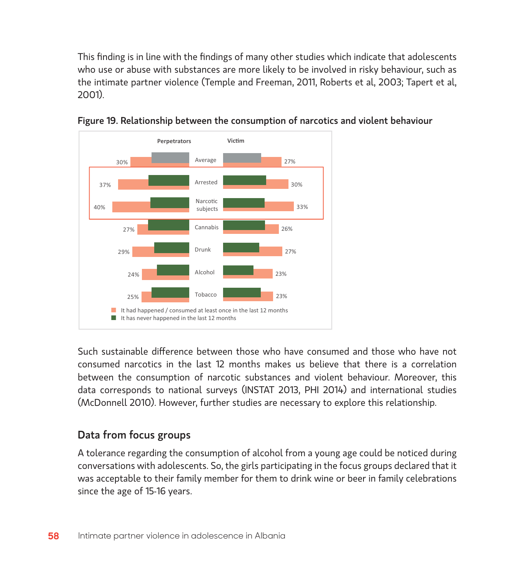This finding is in line with the findings of many other studies which indicate that adolescents who use or abuse with substances are more likely to be involved in risky behaviour, such as the intimate partner violence (Temple and Freeman, 2011, Roberts et al, 2003; Tapert et al, 2001).





Such sustainable difference between those who have consumed and those who have not consumed narcotics in the last 12 months makes us believe that there is a correlation between the consumption of narcotic substances and violent behaviour. Moreover, this data corresponds to national surveys (INSTAT 2013, PHI 2014) and international studies (McDonnell 2010). However, further studies are necessary to explore this relationship.

# Data from focus groups

A tolerance regarding the consumption of alcohol from a young age could be noticed during conversations with adolescents. So, the girls participating in the focus groups declared that it was acceptable to their family member for them to drink wine or beer in family celebrations since the age of 15-16 years.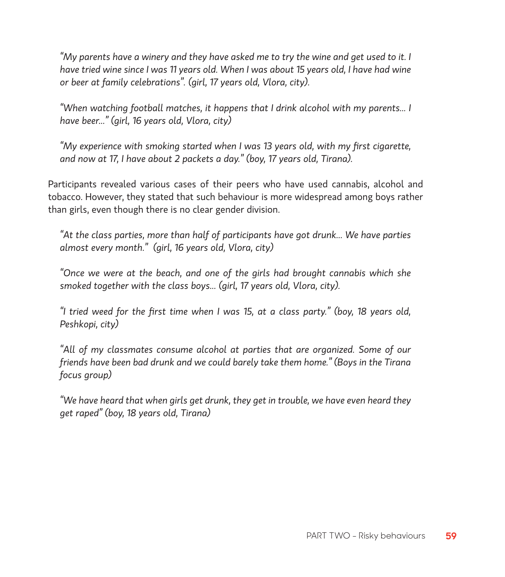*"My parents have a winery and they have asked me to try the wine and get used to it. I have tried wine since I was 11 years old. When I was about 15 years old, I have had wine or beer at family celebrations". (girl, 17 years old, Vlora, city).*

*"When watching football matches, it happens that I drink alcohol with my parents... I have beer..." (girl, 16 years old, Vlora, city)*

*"My experience with smoking started when I was 13 years old, with my first cigarette, and now at 17, I have about 2 packets a day." (boy, 17 years old, Tirana).*

Participants revealed various cases of their peers who have used cannabis, alcohol and tobacco. However, they stated that such behaviour is more widespread among boys rather than girls, even though there is no clear gender division.

*"At the class parties, more than half of participants have got drunk... We have parties almost every month." (girl, 16 years old, Vlora, city)* 

*"Once we were at the beach, and one of the girls had brought cannabis which she smoked together with the class boys... (girl, 17 years old, Vlora, city).*

*"I tried weed for the first time when I was 15, at a class party." (boy, 18 years old, Peshkopi, city)*

*"All of my classmates consume alcohol at parties that are organized. Some of our friends have been bad drunk and we could barely take them home." (Boys in the Tirana focus group)* 

*"We have heard that when girls get drunk, they get in trouble, we have even heard they get raped" (boy, 18 years old, Tirana)*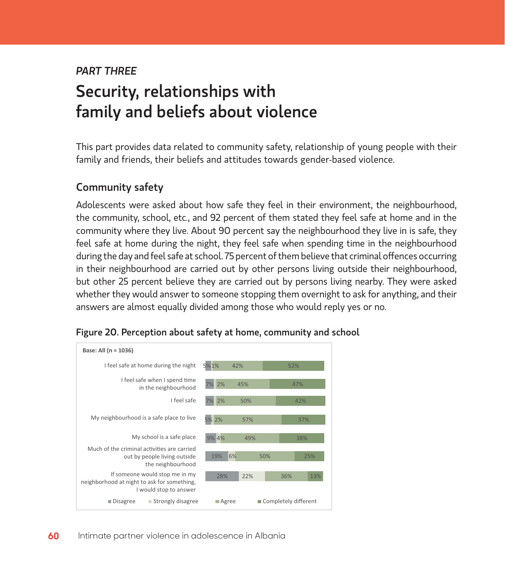# *PART THREE*  Security, relationships with family and beliefs about violence

This part provides data related to community safety, relationship of young people with their family and friends, their beliefs and attitudes towards gender-based violence.

## Community safety

Adolescents were asked about how safe they feel in their environment, the neighbourhood, the community, school, etc., and 92 percent of them stated they feel safe at home and in the community where they live. About 90 percent say the neighbourhood they live in is safe, they feel safe at home during the night, they feel safe when spending time in the neighbourhood during the day and feel safe at school. 75 percent of them believe that criminal offences occurring in their neighbourhood are carried out by other persons living outside their neighbourhood, but other 25 percent believe they are carried out by persons living nearby. They were asked whether they would answer to someone stopping them overnight to ask for anything, and their answers are almost equally divided among those who would reply yes or no.



#### Figure 20. Perception about safety at home, community and school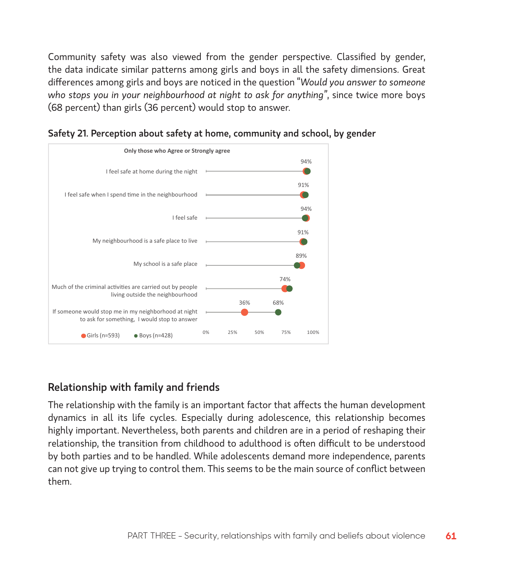Community safety was also viewed from the gender perspective. Classified by gender, the data indicate similar patterns among girls and boys in all the safety dimensions. Great differences among girls and boys are noticed in the question "*Would you answer to someone who stops you in your neighbourhood at night to ask for anything"*, since twice more boys (68 percent) than girls (36 percent) would stop to answer.



Safety 21. Perception about safety at home, community and school, by gender

# Relationship with family and friends

The relationship with the family is an important factor that affects the human development dynamics in all its life cycles. Especially during adolescence, this relationship becomes highly important. Nevertheless, both parents and children are in a period of reshaping their relationship, the transition from childhood to adulthood is often difficult to be understood by both parties and to be handled. While adolescents demand more independence, parents can not give up trying to control them. This seems to be the main source of conflict between them.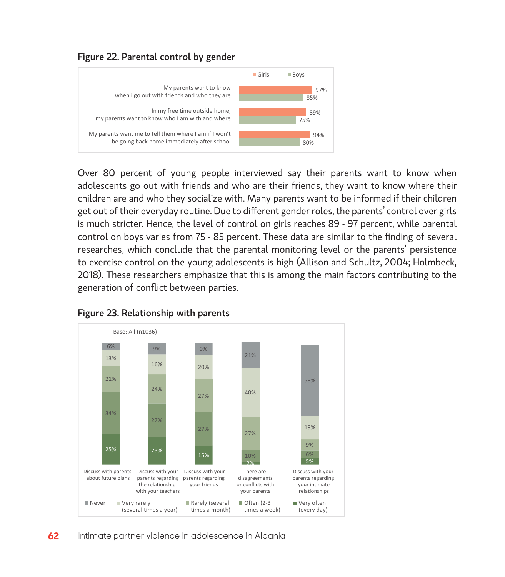



Over 80 percent of young people interviewed say their parents want to know when adolescents go out with friends and who are their friends, they want to know where their children are and who they socialize with. Many parents want to be informed if their children get out of their everyday routine. Due to different gender roles, the parents' control over girls is much stricter. Hence, the level of control on girls reaches 89 - 97 percent, while parental control on boys varies from 75 - 85 percent. These data are similar to the finding of several researches, which conclude that the parental monitoring level or the parents' persistence to exercise control on the young adolescents is high (Allison and Schultz, 2004; Holmbeck, 2018). These researchers emphasize that this is among the main factors contributing to the generation of conflict between parties.



#### Figure 23. Relationship with parents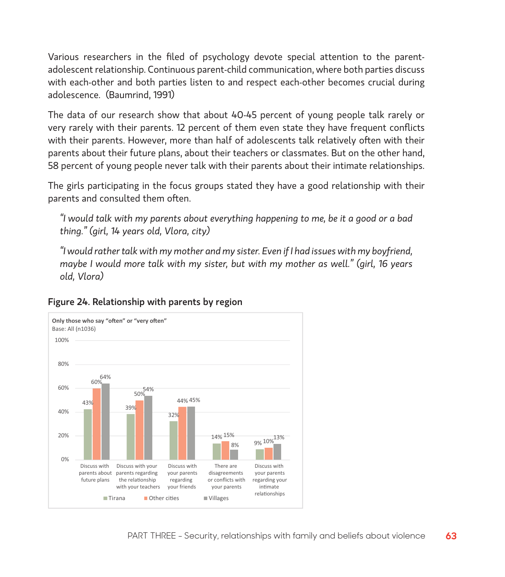Various researchers in the filed of psychology devote special attention to the parentadolescent relationship. Continuous parent-child communication, where both parties discuss with each-other and both parties listen to and respect each-other becomes crucial during adolescence. (Baumrind, 1991)

The data of our research show that about 40-45 percent of young people talk rarely or very rarely with their parents. 12 percent of them even state they have frequent conflicts with their parents. However, more than half of adolescents talk relatively often with their parents about their future plans, about their teachers or classmates. But on the other hand, 58 percent of young people never talk with their parents about their intimate relationships.

The girls participating in the focus groups stated they have a good relationship with their parents and consulted them often.

*"I would talk with my parents about everything happening to me, be it a good or a bad thing." (girl, 14 years old, Vlora, city)*

*"I would rather talk with my mother and my sister. Even if I had issues with my boyfriend, maybe I would more talk with my sister, but with my mother as well." (girl, 16 years old, Vlora)*



#### Figure 24. Relationship with parents by region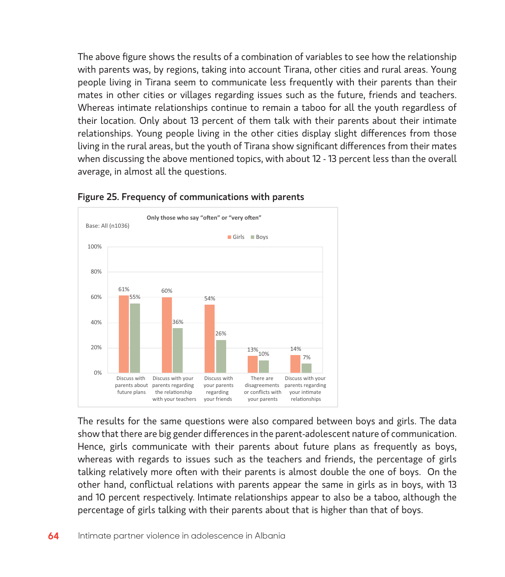The above figure shows the results of a combination of variables to see how the relationship with parents was, by regions, taking into account Tirana, other cities and rural areas. Young people living in Tirana seem to communicate less frequently with their parents than their mates in other cities or villages regarding issues such as the future, friends and teachers. Whereas intimate relationships continue to remain a taboo for all the youth regardless of their location. Only about 13 percent of them talk with their parents about their intimate relationships. Young people living in the other cities display slight differences from those living in the rural areas, but the youth of Tirana show significant differences from their mates when discussing the above mentioned topics, with about 12 - 13 percent less than the overall average, in almost all the questions.



#### Figure 25. Frequency of communications with parents

The results for the same questions were also compared between boys and girls. The data show that there are big gender differences in the parent-adolescent nature of communication. Hence, girls communicate with their parents about future plans as frequently as boys, whereas with regards to issues such as the teachers and friends, the percentage of girls talking relatively more often with their parents is almost double the one of boys. On the other hand, conflictual relations with parents appear the same in girls as in boys, with 13 and 10 percent respectively. Intimate relationships appear to also be a taboo, although the percentage of girls talking with their parents about that is higher than that of boys.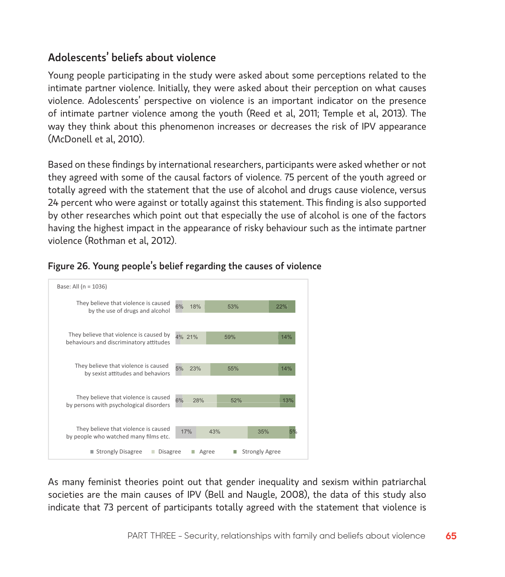# Adolescents' beliefs about violence

Young people participating in the study were asked about some perceptions related to the intimate partner violence. Initially, they were asked about their perception on what causes violence. Adolescents' perspective on violence is an important indicator on the presence of intimate partner violence among the youth (Reed et al, 2011; Temple et al, 2013). The way they think about this phenomenon increases or decreases the risk of IPV appearance (McDonell et al, 2010).

Based on these findings by international researchers, participants were asked whether or not they agreed with some of the causal factors of violence. 75 percent of the youth agreed or totally agreed with the statement that the use of alcohol and drugs cause violence, versus 24 percent who were against or totally against this statement. This finding is also supported by other researches which point out that especially the use of alcohol is one of the factors having the highest impact in the appearance of risky behaviour such as the intimate partner violence (Rothman et al, 2012).



#### Figure 26. Young people's belief regarding the causes of violence

As many feminist theories point out that gender inequality and sexism within patriarchal societies are the main causes of IPV (Bell and Naugle, 2008), the data of this study also indicate that 73 percent of participants totally agreed with the statement that violence is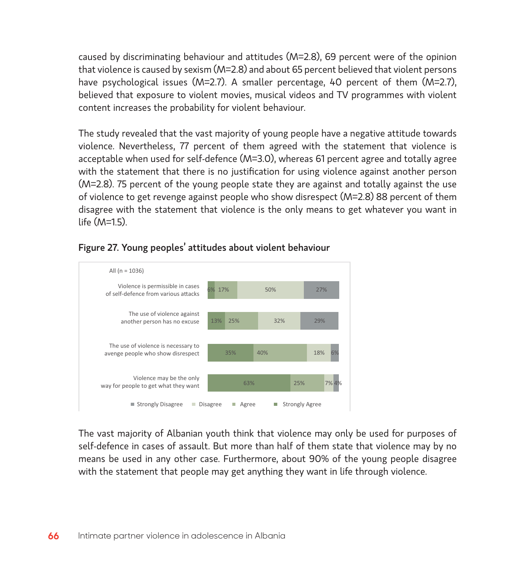caused by discriminating behaviour and attitudes (M=2.8), 69 percent were of the opinion that violence is caused by sexism (M=2.8) and about 65 percent believed that violent persons have psychological issues (M=2.7). A smaller percentage, 40 percent of them (M=2.7), believed that exposure to violent movies, musical videos and TV programmes with violent content increases the probability for violent behaviour.

The study revealed that the vast majority of young people have a negative attitude towards violence. Nevertheless, 77 percent of them agreed with the statement that violence is acceptable when used for self-defence (M=3.0), whereas 61 percent agree and totally agree with the statement that there is no justification for using violence against another person (M=2.8). 75 percent of the young people state they are against and totally against the use of violence to get revenge against people who show disrespect (M=2.8) 88 percent of them disagree with the statement that violence is the only means to get whatever you want in  $l$ ife  $(M=1.5)$ .



#### Figure 27. Young peoples' attitudes about violent behaviour

The vast majority of Albanian youth think that violence may only be used for purposes of self-defence in cases of assault. But more than half of them state that violence may by no means be used in any other case. Furthermore, about 90% of the young people disagree with the statement that people may get anything they want in life through violence.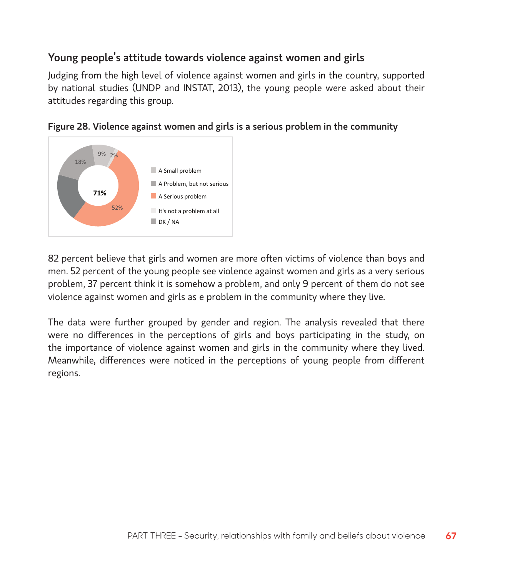# Young people's attitude towards violence against women and girls

Judging from the high level of violence against women and girls in the country, supported by national studies (UNDP and INSTAT, 2013), the young people were asked about their attitudes regarding this group.





82 percent believe that girls and women are more often victims of violence than boys and men. 52 percent of the young people see violence against women and girls as a very serious problem, 37 percent think it is somehow a problem, and only 9 percent of them do not see violence against women and girls as e problem in the community where they live.

The data were further grouped by gender and region. The analysis revealed that there were no differences in the perceptions of girls and boys participating in the study, on the importance of violence against women and girls in the community where they lived. Meanwhile, differences were noticed in the perceptions of young people from different regions.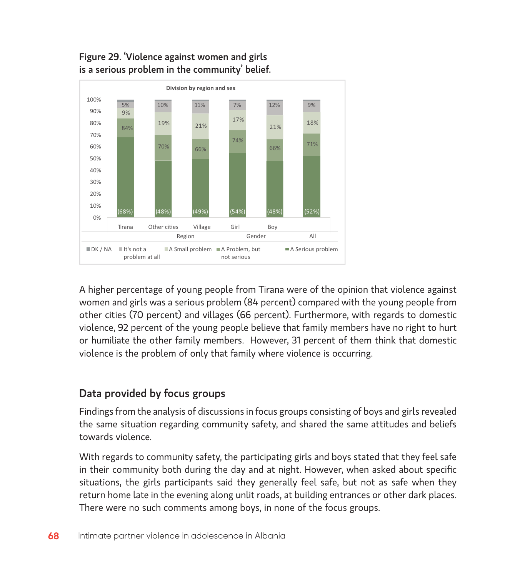

# Figure 29. 'Violence against women and girls is a serious problem in the community' belief.

A higher percentage of young people from Tirana were of the opinion that violence against women and girls was a serious problem (84 percent) compared with the young people from other cities (70 percent) and villages (66 percent). Furthermore, with regards to domestic violence, 92 percent of the young people believe that family members have no right to hurt or humiliate the other family members. However, 31 percent of them think that domestic violence is the problem of only that family where violence is occurring.

# Data provided by focus groups

Findings from the analysis of discussions in focus groups consisting of boys and girls revealed the same situation regarding community safety, and shared the same attitudes and beliefs towards violence.

With regards to community safety, the participating girls and boys stated that they feel safe in their community both during the day and at night. However, when asked about specific situations, the girls participants said they generally feel safe, but not as safe when they return home late in the evening along unlit roads, at building entrances or other dark places. There were no such comments among boys, in none of the focus groups.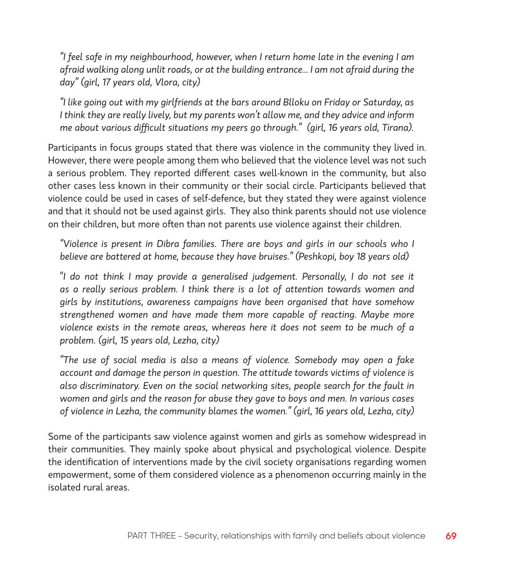*"I feel safe in my neighbourhood, however, when I return home late in the evening I am afraid walking along unlit roads, or at the building entrance... I am not afraid during the day" (girl, 17 years old, Vlora, city)*

*"I like going out with my girlfriends at the bars around Blloku on Friday or Saturday, as I think they are really lively, but my parents won't allow me, and they advice and inform me about various difficult situations my peers go through." (girl, 16 years old, Tirana).*

Participants in focus groups stated that there was violence in the community they lived in. However, there were people among them who believed that the violence level was not such a serious problem. They reported different cases well-known in the community, but also other cases less known in their community or their social circle. Participants believed that violence could be used in cases of self-defence, but they stated they were against violence and that it should not be used against girls. They also think parents should not use violence on their children, but more often than not parents use violence against their children.

*"Violence is present in Dibra families. There are boys and girls in our schools who I believe are battered at home, because they have bruises." (Peshkopi, boy 18 years old)*

"*I do not think I may provide a generalised judgement. Personally, I do not see it as a really serious problem. I think there is a lot of attention towards women and girls by institutions, awareness campaigns have been organised that have somehow strengthened women and have made them more capable of reacting. Maybe more violence exists in the remote areas, whereas here it does not seem to be much of a problem. (girl, 15 years old, Lezha, city)*

*"The use of social media is also a means of violence. Somebody may open a fake account and damage the person in question. The attitude towards victims of violence is also discriminatory. Even on the social networking sites, people search for the fault in women and girls and the reason for abuse they gave to boys and men. In various cases of violence in Lezha, the community blames the women." (girl, 16 years old, Lezha, city)*

Some of the participants saw violence against women and girls as somehow widespread in their communities. They mainly spoke about physical and psychological violence. Despite the identification of interventions made by the civil society organisations regarding women empowerment, some of them considered violence as a phenomenon occurring mainly in the isolated rural areas.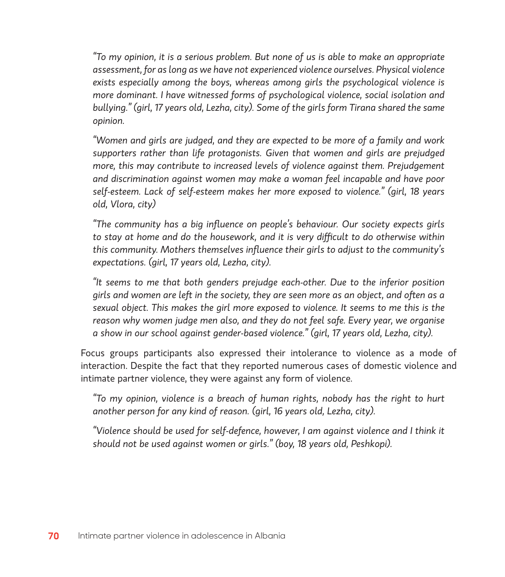*"To my opinion, it is a serious problem. But none of us is able to make an appropriate assessment, for as long as we have not experienced violence ourselves. Physical violence exists especially among the boys, whereas among girls the psychological violence is more dominant. I have witnessed forms of psychological violence, social isolation and bullying." (girl, 17 years old, Lezha, city). Some of the girls form Tirana shared the same opinion.* 

*"Women and girls are judged, and they are expected to be more of a family and work supporters rather than life protagonists. Given that women and girls are prejudged more, this may contribute to increased levels of violence against them. Prejudgement and discrimination against women may make a woman feel incapable and have poor self-esteem. Lack of self-esteem makes her more exposed to violence." (girl, 18 years old, Vlora, city)*

*"The community has a big influence on people's behaviour. Our society expects girls to stay at home and do the housework, and it is very difficult to do otherwise within this community. Mothers themselves influence their girls to adjust to the community's expectations. (girl, 17 years old, Lezha, city).*

*"It seems to me that both genders prejudge each-other. Due to the inferior position girls and women are left in the society, they are seen more as an object, and often as a sexual object. This makes the girl more exposed to violence. It seems to me this is the reason why women judge men also, and they do not feel safe. Every year, we organise a show in our school against gender-based violence." (girl, 17 years old, Lezha, city).*

Focus groups participants also expressed their intolerance to violence as a mode of interaction. Despite the fact that they reported numerous cases of domestic violence and intimate partner violence, they were against any form of violence.

*"To my opinion, violence is a breach of human rights, nobody has the right to hurt another person for any kind of reason. (girl, 16 years old, Lezha, city).*

*"Violence should be used for self-defence, however, I am against violence and I think it should not be used against women or girls." (boy, 18 years old, Peshkopi).*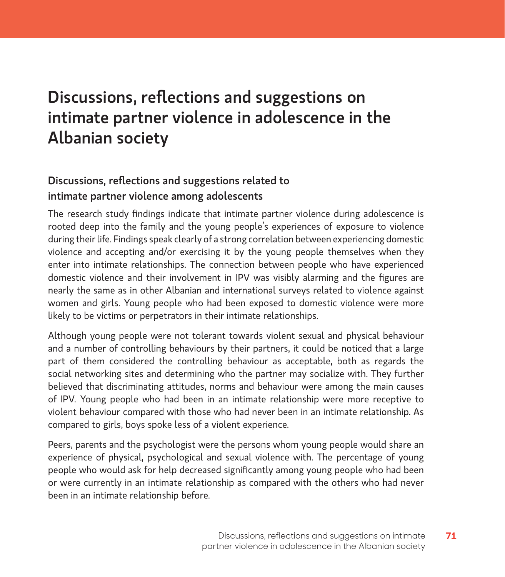# Discussions, reflections and suggestions on intimate partner violence in adolescence in the Albanian society

# Discussions, reflections and suggestions related to intimate partner violence among adolescents

The research study findings indicate that intimate partner violence during adolescence is rooted deep into the family and the young people's experiences of exposure to violence during their life. Findings speak clearly of a strong correlation between experiencing domestic violence and accepting and/or exercising it by the young people themselves when they enter into intimate relationships. The connection between people who have experienced domestic violence and their involvement in IPV was visibly alarming and the figures are nearly the same as in other Albanian and international surveys related to violence against women and girls. Young people who had been exposed to domestic violence were more likely to be victims or perpetrators in their intimate relationships.

Although young people were not tolerant towards violent sexual and physical behaviour and a number of controlling behaviours by their partners, it could be noticed that a large part of them considered the controlling behaviour as acceptable, both as regards the social networking sites and determining who the partner may socialize with. They further believed that discriminating attitudes, norms and behaviour were among the main causes of IPV. Young people who had been in an intimate relationship were more receptive to violent behaviour compared with those who had never been in an intimate relationship. As compared to girls, boys spoke less of a violent experience.

Peers, parents and the psychologist were the persons whom young people would share an experience of physical, psychological and sexual violence with. The percentage of young people who would ask for help decreased significantly among young people who had been or were currently in an intimate relationship as compared with the others who had never been in an intimate relationship before.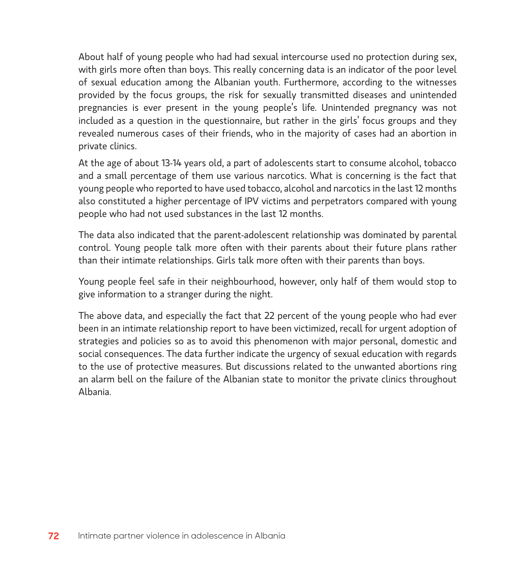About half of young people who had had sexual intercourse used no protection during sex, with girls more often than boys. This really concerning data is an indicator of the poor level of sexual education among the Albanian youth. Furthermore, according to the witnesses provided by the focus groups, the risk for sexually transmitted diseases and unintended pregnancies is ever present in the young people's life. Unintended pregnancy was not included as a question in the questionnaire, but rather in the girls' focus groups and they revealed numerous cases of their friends, who in the majority of cases had an abortion in private clinics.

At the age of about 13-14 years old, a part of adolescents start to consume alcohol, tobacco and a small percentage of them use various narcotics. What is concerning is the fact that young people who reported to have used tobacco, alcohol and narcotics in the last 12 months also constituted a higher percentage of IPV victims and perpetrators compared with young people who had not used substances in the last 12 months.

The data also indicated that the parent-adolescent relationship was dominated by parental control. Young people talk more often with their parents about their future plans rather than their intimate relationships. Girls talk more often with their parents than boys.

Young people feel safe in their neighbourhood, however, only half of them would stop to give information to a stranger during the night.

The above data, and especially the fact that 22 percent of the young people who had ever been in an intimate relationship report to have been victimized, recall for urgent adoption of strategies and policies so as to avoid this phenomenon with major personal, domestic and social consequences. The data further indicate the urgency of sexual education with regards to the use of protective measures. But discussions related to the unwanted abortions ring an alarm bell on the failure of the Albanian state to monitor the private clinics throughout Albania.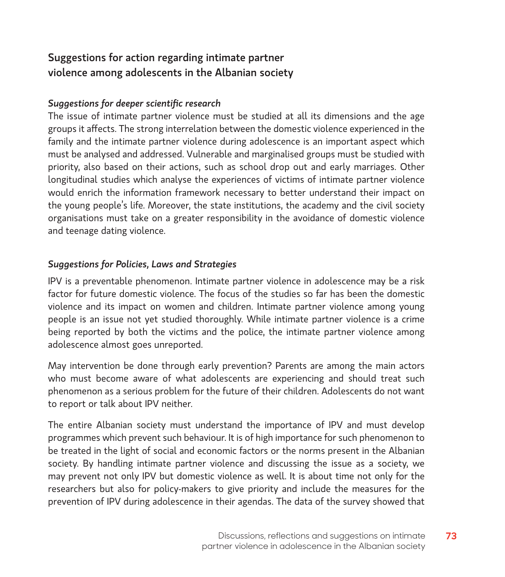## Suggestions for action regarding intimate partner violence among adolescents in the Albanian society

#### *Suggestions for deeper scientific research*

The issue of intimate partner violence must be studied at all its dimensions and the age groups it affects. The strong interrelation between the domestic violence experienced in the family and the intimate partner violence during adolescence is an important aspect which must be analysed and addressed. Vulnerable and marginalised groups must be studied with priority, also based on their actions, such as school drop out and early marriages. Other longitudinal studies which analyse the experiences of victims of intimate partner violence would enrich the information framework necessary to better understand their impact on the young people's life. Moreover, the state institutions, the academy and the civil society organisations must take on a greater responsibility in the avoidance of domestic violence and teenage dating violence.

#### *Suggestions for Policies, Laws and Strategies*

IPV is a preventable phenomenon. Intimate partner violence in adolescence may be a risk factor for future domestic violence. The focus of the studies so far has been the domestic violence and its impact on women and children. Intimate partner violence among young people is an issue not yet studied thoroughly. While intimate partner violence is a crime being reported by both the victims and the police, the intimate partner violence among adolescence almost goes unreported.

May intervention be done through early prevention? Parents are among the main actors who must become aware of what adolescents are experiencing and should treat such phenomenon as a serious problem for the future of their children. Adolescents do not want to report or talk about IPV neither.

The entire Albanian society must understand the importance of IPV and must develop programmes which prevent such behaviour. It is of high importance for such phenomenon to be treated in the light of social and economic factors or the norms present in the Albanian society. By handling intimate partner violence and discussing the issue as a society, we may prevent not only IPV but domestic violence as well. It is about time not only for the researchers but also for policy-makers to give priority and include the measures for the prevention of IPV during adolescence in their agendas. The data of the survey showed that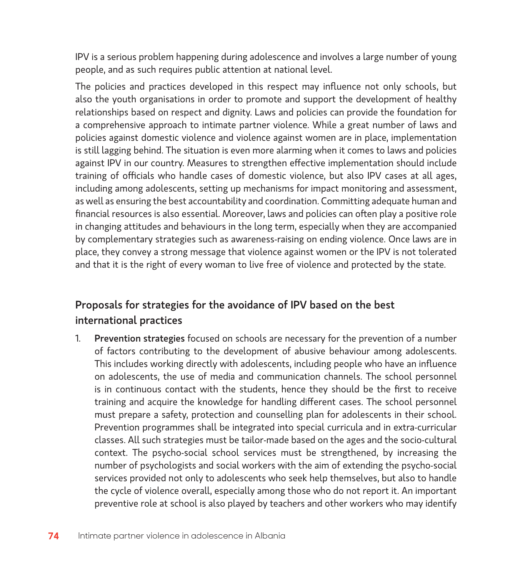IPV is a serious problem happening during adolescence and involves a large number of young people, and as such requires public attention at national level.

The policies and practices developed in this respect may influence not only schools, but also the youth organisations in order to promote and support the development of healthy relationships based on respect and dignity. Laws and policies can provide the foundation for a comprehensive approach to intimate partner violence. While a great number of laws and policies against domestic violence and violence against women are in place, implementation is still lagging behind. The situation is even more alarming when it comes to laws and policies against IPV in our country. Measures to strengthen effective implementation should include training of officials who handle cases of domestic violence, but also IPV cases at all ages, including among adolescents, setting up mechanisms for impact monitoring and assessment, as well as ensuring the best accountability and coordination. Committing adequate human and financial resources is also essential. Moreover, laws and policies can often play a positive role in changing attitudes and behaviours in the long term, especially when they are accompanied by complementary strategies such as awareness-raising on ending violence. Once laws are in place, they convey a strong message that violence against women or the IPV is not tolerated and that it is the right of every woman to live free of violence and protected by the state.

# Proposals for strategies for the avoidance of IPV based on the best international practices

1. Prevention strategies focused on schools are necessary for the prevention of a number of factors contributing to the development of abusive behaviour among adolescents. This includes working directly with adolescents, including people who have an influence on adolescents, the use of media and communication channels. The school personnel is in continuous contact with the students, hence they should be the first to receive training and acquire the knowledge for handling different cases. The school personnel must prepare a safety, protection and counselling plan for adolescents in their school. Prevention programmes shall be integrated into special curricula and in extra-curricular classes. All such strategies must be tailor-made based on the ages and the socio-cultural context. The psycho-social school services must be strengthened, by increasing the number of psychologists and social workers with the aim of extending the psycho-social services provided not only to adolescents who seek help themselves, but also to handle the cycle of violence overall, especially among those who do not report it. An important preventive role at school is also played by teachers and other workers who may identify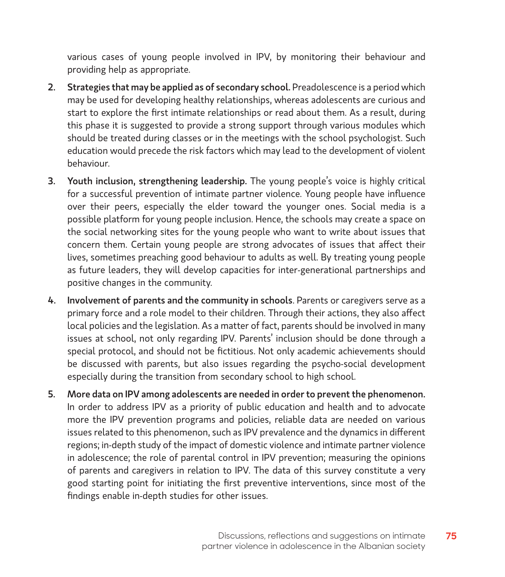various cases of young people involved in IPV, by monitoring their behaviour and providing help as appropriate.

- 2. Strategies that may be applied as of secondary school. Preadolescence is a period which may be used for developing healthy relationships, whereas adolescents are curious and start to explore the first intimate relationships or read about them. As a result, during this phase it is suggested to provide a strong support through various modules which should be treated during classes or in the meetings with the school psychologist. Such education would precede the risk factors which may lead to the development of violent behaviour.
- 3. Youth inclusion, strengthening leadership. The young people's voice is highly critical for a successful prevention of intimate partner violence. Young people have influence over their peers, especially the elder toward the younger ones. Social media is a possible platform for young people inclusion. Hence, the schools may create a space on the social networking sites for the young people who want to write about issues that concern them. Certain young people are strong advocates of issues that affect their lives, sometimes preaching good behaviour to adults as well. By treating young people as future leaders, they will develop capacities for inter-generational partnerships and positive changes in the community.
- 4. Involvement of parents and the community in schools. Parents or caregivers serve as a primary force and a role model to their children. Through their actions, they also affect local policies and the legislation. As a matter of fact, parents should be involved in many issues at school, not only regarding IPV. Parents' inclusion should be done through a special protocol, and should not be fictitious. Not only academic achievements should be discussed with parents, but also issues regarding the psycho-social development especially during the transition from secondary school to high school.
- 5. More data on IPV among adolescents are needed in order to prevent the phenomenon. In order to address IPV as a priority of public education and health and to advocate more the IPV prevention programs and policies, reliable data are needed on various issues related to this phenomenon, such as IPV prevalence and the dynamics in different regions; in-depth study of the impact of domestic violence and intimate partner violence in adolescence; the role of parental control in IPV prevention; measuring the opinions of parents and caregivers in relation to IPV. The data of this survey constitute a very good starting point for initiating the first preventive interventions, since most of the findings enable in-depth studies for other issues.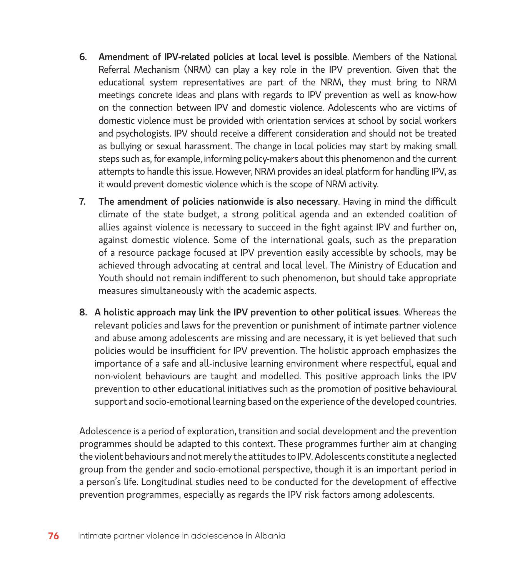- 6. Amendment of IPV-related policies at local level is possible. Members of the National Referral Mechanism (NRM) can play a key role in the IPV prevention. Given that the educational system representatives are part of the NRM, they must bring to NRM meetings concrete ideas and plans with regards to IPV prevention as well as know-how on the connection between IPV and domestic violence. Adolescents who are victims of domestic violence must be provided with orientation services at school by social workers and psychologists. IPV should receive a different consideration and should not be treated as bullying or sexual harassment. The change in local policies may start by making small steps such as, for example, informing policy-makers about this phenomenon and the current attempts to handle this issue. However, NRM provides an ideal platform for handling IPV, as it would prevent domestic violence which is the scope of NRM activity.
- 7. The amendment of policies nationwide is also necessary. Having in mind the difficult climate of the state budget, a strong political agenda and an extended coalition of allies against violence is necessary to succeed in the fight against IPV and further on, against domestic violence. Some of the international goals, such as the preparation of a resource package focused at IPV prevention easily accessible by schools, may be achieved through advocating at central and local level. The Ministry of Education and Youth should not remain indifferent to such phenomenon, but should take appropriate measures simultaneously with the academic aspects.
- 8. A holistic approach may link the IPV prevention to other political issues. Whereas the relevant policies and laws for the prevention or punishment of intimate partner violence and abuse among adolescents are missing and are necessary, it is yet believed that such policies would be insufficient for IPV prevention. The holistic approach emphasizes the importance of a safe and all-inclusive learning environment where respectful, equal and non-violent behaviours are taught and modelled. This positive approach links the IPV prevention to other educational initiatives such as the promotion of positive behavioural support and socio-emotional learning based on the experience of the developed countries.

Adolescence is a period of exploration, transition and social development and the prevention programmes should be adapted to this context. These programmes further aim at changing the violent behaviours and not merely the attitudes to IPV. Adolescents constitute a neglected group from the gender and socio-emotional perspective, though it is an important period in a person's life. Longitudinal studies need to be conducted for the development of effective prevention programmes, especially as regards the IPV risk factors among adolescents.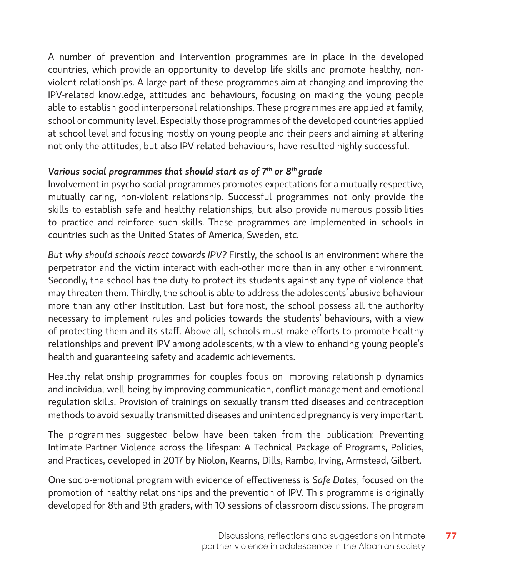A number of prevention and intervention programmes are in place in the developed countries, which provide an opportunity to develop life skills and promote healthy, nonviolent relationships. A large part of these programmes aim at changing and improving the IPV-related knowledge, attitudes and behaviours, focusing on making the young people able to establish good interpersonal relationships. These programmes are applied at family, school or community level. Especially those programmes of the developed countries applied at school level and focusing mostly on young people and their peers and aiming at altering not only the attitudes, but also IPV related behaviours, have resulted highly successful.

#### *Various social programmes that should start as of 7th or 8th grade*

Involvement in psycho-social programmes promotes expectations for a mutually respective, mutually caring, non-violent relationship. Successful programmes not only provide the skills to establish safe and healthy relationships, but also provide numerous possibilities to practice and reinforce such skills. These programmes are implemented in schools in countries such as the United States of America, Sweden, etc.

*But why should schools react towards IPV?* Firstly, the school is an environment where the perpetrator and the victim interact with each-other more than in any other environment. Secondly, the school has the duty to protect its students against any type of violence that may threaten them. Thirdly, the school is able to address the adolescents' abusive behaviour more than any other institution. Last but foremost, the school possess all the authority necessary to implement rules and policies towards the students' behaviours, with a view of protecting them and its staff. Above all, schools must make efforts to promote healthy relationships and prevent IPV among adolescents, with a view to enhancing young people's health and guaranteeing safety and academic achievements.

Healthy relationship programmes for couples focus on improving relationship dynamics and individual well-being by improving communication, conflict management and emotional regulation skills. Provision of trainings on sexually transmitted diseases and contraception methods to avoid sexually transmitted diseases and unintended pregnancy is very important.

The programmes suggested below have been taken from the publication: Preventing Intimate Partner Violence across the lifespan: A Technical Package of Programs, Policies, and Practices, developed in 2017 by Niolon, Kearns, Dills, Rambo, Irving, Armstead, Gilbert.

One socio-emotional program with evidence of effectiveness is *Safe Dates*, focused on the promotion of healthy relationships and the prevention of IPV. This programme is originally developed for 8th and 9th graders, with 10 sessions of classroom discussions. The program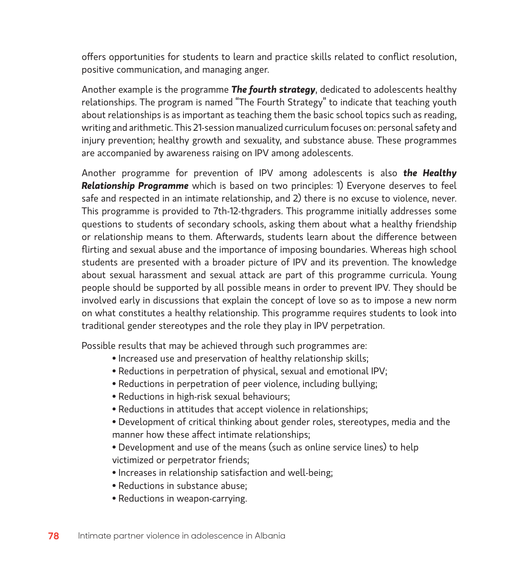offers opportunities for students to learn and practice skills related to conflict resolution, positive communication, and managing anger.

Another example is the programme *The fourth strategy*, dedicated to adolescents healthy relationships. The program is named "The Fourth Strategy" to indicate that teaching youth about relationships is as important as teaching them the basic school topics such as reading, writing and arithmetic. This 21-session manualized curriculum focuses on: personal safety and injury prevention; healthy growth and sexuality, and substance abuse. These programmes are accompanied by awareness raising on IPV among adolescents.

Another programme for prevention of IPV among adolescents is also *the Healthy Relationship Programme* which is based on two principles: 1) Everyone deserves to feel safe and respected in an intimate relationship, and 2) there is no excuse to violence, never. This programme is provided to 7th-12-thgraders. This programme initially addresses some questions to students of secondary schools, asking them about what a healthy friendship or relationship means to them. Afterwards, students learn about the difference between flirting and sexual abuse and the importance of imposing boundaries. Whereas high school students are presented with a broader picture of IPV and its prevention. The knowledge about sexual harassment and sexual attack are part of this programme curricula. Young people should be supported by all possible means in order to prevent IPV. They should be involved early in discussions that explain the concept of love so as to impose a new norm on what constitutes a healthy relationship. This programme requires students to look into traditional gender stereotypes and the role they play in IPV perpetration.

Possible results that may be achieved through such programmes are:

- Increased use and preservation of healthy relationship skills;
- Reductions in perpetration of physical, sexual and emotional IPV;
- Reductions in perpetration of peer violence, including bullying;
- Reductions in high-risk sexual behaviours;
- Reductions in attitudes that accept violence in relationships;
- Development of critical thinking about gender roles, stereotypes, media and the manner how these affect intimate relationships;
- Development and use of the means (such as online service lines) to help victimized or perpetrator friends;
- Increases in relationship satisfaction and well-being;
- Reductions in substance abuse;
- Reductions in weapon-carrying.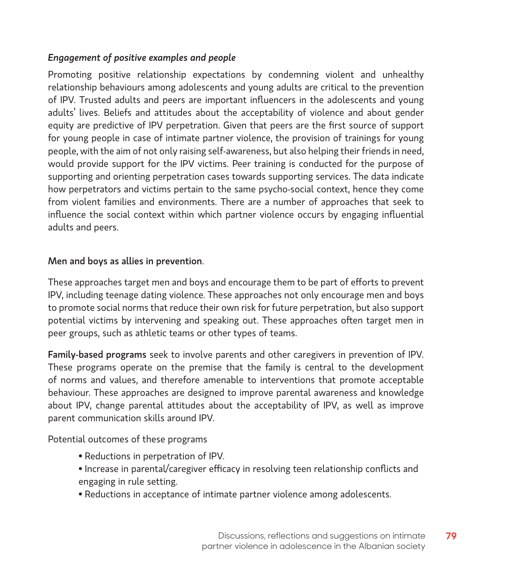#### *Engagement of positive examples and people*

Promoting positive relationship expectations by condemning violent and unhealthy relationship behaviours among adolescents and young adults are critical to the prevention of IPV. Trusted adults and peers are important influencers in the adolescents and young adults' lives. Beliefs and attitudes about the acceptability of violence and about gender equity are predictive of IPV perpetration. Given that peers are the first source of support for young people in case of intimate partner violence, the provision of trainings for young people, with the aim of not only raising self-awareness, but also helping their friends in need, would provide support for the IPV victims. Peer training is conducted for the purpose of supporting and orienting perpetration cases towards supporting services. The data indicate how perpetrators and victims pertain to the same psycho-social context, hence they come from violent families and environments. There are a number of approaches that seek to influence the social context within which partner violence occurs by engaging influential adults and peers.

#### Men and boys as allies in prevention.

These approaches target men and boys and encourage them to be part of efforts to prevent IPV, including teenage dating violence. These approaches not only encourage men and boys to promote social norms that reduce their own risk for future perpetration, but also support potential victims by intervening and speaking out. These approaches often target men in peer groups, such as athletic teams or other types of teams.

Family-based programs seek to involve parents and other caregivers in prevention of IPV. These programs operate on the premise that the family is central to the development of norms and values, and therefore amenable to interventions that promote acceptable behaviour. These approaches are designed to improve parental awareness and knowledge about IPV, change parental attitudes about the acceptability of IPV, as well as improve parent communication skills around IPV.

Potential outcomes of these programs

- Reductions in perpetration of IPV.
- Increase in parental/caregiver efficacy in resolving teen relationship conflicts and engaging in rule setting.
- Reductions in acceptance of intimate partner violence among adolescents.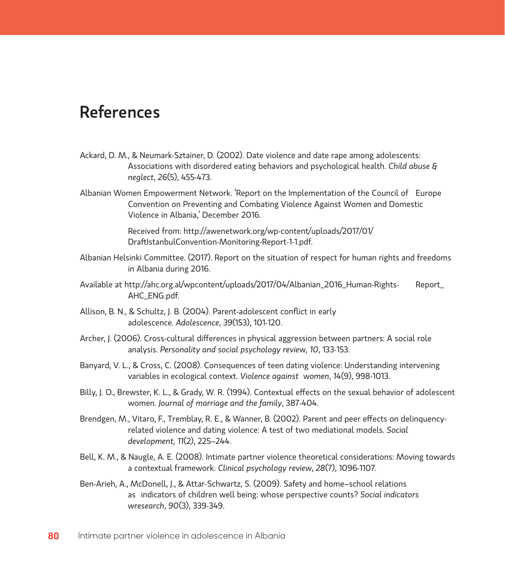# **References**

- Ackard, D. M., & Neumark-Sztainer, D. (2002). Date violence and date rape among adolescents: Associations with disordered eating behaviors and psychological health. *Child abuse & neglect*, *26*(5), 455-473.
- Albanian Women Empowerment Network. 'Report on the Implementation of the Council of Europe Convention on Preventing and Combating Violence Against Women and Domestic Violence in Albania,' December 2016.

Received from: http://awenetwork.org/wp-content/uploads/2017/01/ DraftIstanbulConvention-Monitoring-Report-1-1.pdf.

- Albanian Helsinki Committee. (2017). Report on the situation of respect for human rights and freedoms in Albania during 2016.
- Available at http://ahc.org.al/wpcontent/uploads/2017/04/Albanian\_2016\_Human-Rights- Report\_ AHC\_ENG.pdf.
- Allison, B. N., & Schultz, J. B. (2004). Parent-adolescent conflict in early adolescence. *Adolescence*, *39*(153), 101-120.
- Archer, J. (2006). Cross-cultural differences in physical aggression between partners: A social role analysis. *Personality and social psychology revie*w*, 10*, 133-153.
- Banyard, V. L., & Cross, C. (2008). Consequences of teen dating violence: Understanding intervening variables in ecological context. *Violence against* w*omen*, *14*(9), 998-1013.
- Billy, J. O., Brewster, K. L., & Grady, W. R. (1994). Contextual effects on the sexual behavior of adolescent women. *Journal of marriage and the family*, 387-404.
- Brendgen, M., Vitaro, F., Tremblay, R. E., & Wanner, B. (2002). Parent and peer effects on delinquencyrelated violence and dating violence: A test of two mediational models. *Social development, 11*(2), 225–244.
- Bell, K. M., & Naugle, A. E. (2008). Intimate partner violence theoretical considerations: Moving towards a contextual framework. *Clinical psychology review*, *28*(7), 1096-1107.
- Ben-Arieh, A., McDonell, J., & Attar-Schwartz, S. (2009). Safety and home–school relations as indicators of children well being: whose perspective counts? *Social indicators wresearch*, *90*(3), 339-349.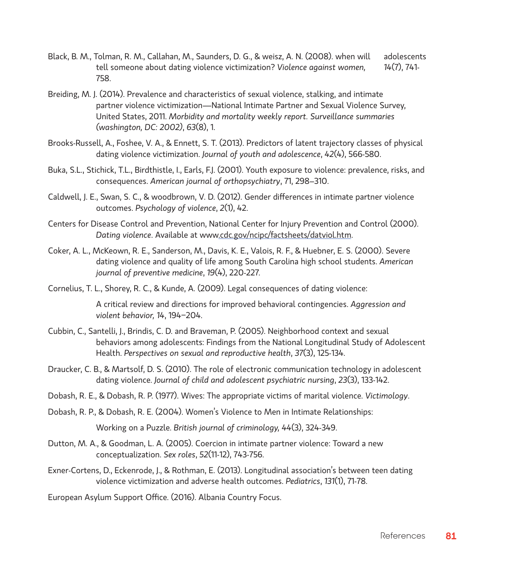- Black, B. M., Tolman, R. M., Callahan, M., Saunders, D. G., & weisz, A. N. (2008). when will adolescents tell someone about dating violence victimization? *Violence against women, 14*(7), 741- 758.
- Breiding, M. J. (2014). Prevalence and characteristics of sexual violence, stalking, and intimate partner violence victimization—National Intimate Partner and Sexual Violence Survey, United States, 2011. *Morbidity and mortality* w*eekly report. Surveillance summaries (washington, DC: 2002)*, *63*(8), 1.
- Brooks-Russell, A., Foshee, V. A., & Ennett, S. T. (2013). Predictors of latent trajectory classes of physical dating violence victimization. *Journal of youth and adolescence*, *42*(4), 566-580.
- Buka, S.L., Stichick, T.L., Birdthistle, I., Earls, F.J. (2001). Youth exposure to violence: prevalence, risks, and consequences. *American journal of orthopsychiatry*, 71, 298–310.
- Caldwell, J. E., Swan, S. C., & woodbrown, V. D. (2012). Gender differences in intimate partner violence outcomes. *Psychology of violence*, *2*(1), 42.
- Centers for Disease Control and Prevention, National Center for Injury Prevention and Control (2000). *Dating violence*. Available at www.cdc.gov/ncipc/factsheets/datviol.htm.
- Coker, A. L., McKeown, R. E., Sanderson, M., Davis, K. E., Valois, R. F., & Huebner, E. S. (2000). Severe dating violence and quality of life among South Carolina high school students. *American journal of preventive medicine*, *19*(4), 220-227.
- Cornelius, T. L., Shorey, R. C., & Kunde, A. (2009). Legal consequences of dating violence:

A critical review and directions for improved behavioral contingencies. *Aggression and violent behavior, 14*, 194−204.

- Cubbin, C., Santelli, J., Brindis, C. D. and Braveman, P. (2005). Neighborhood context and sexual behaviors among adolescents: Findings from the National Longitudinal Study of Adolescent Health. *Perspectives on sexual and reproductive health*, *37*(3), 125-134.
- Draucker, C. B., & Martsolf, D. S. (2010). The role of electronic communication technology in adolescent dating violence. *Journal of child and adolescent psychiatric nursing*, *23*(3), 133-142.
- Dobash, R. E., & Dobash, R. P. (1977). Wives: The appropriate victims of marital violence. *Victimology*.
- Dobash, R. P., & Dobash, R. E. (2004). Women's Violence to Men in Intimate Relationships:

Working on a Puzzle. *British journal of criminology, 44*(3), 324-349.

- Dutton, M. A., & Goodman, L. A. (2005). Coercion in intimate partner violence: Toward a new conceptualization. *Sex roles*, *52*(11-12), 743-756.
- Exner-Cortens, D., Eckenrode, J., & Rothman, E. (2013). Longitudinal association's between teen dating violence victimization and adverse health outcomes. *Pediatrics*, *131*(1), 71-78.

European Asylum Support Office. (2016). Albania Country Focus.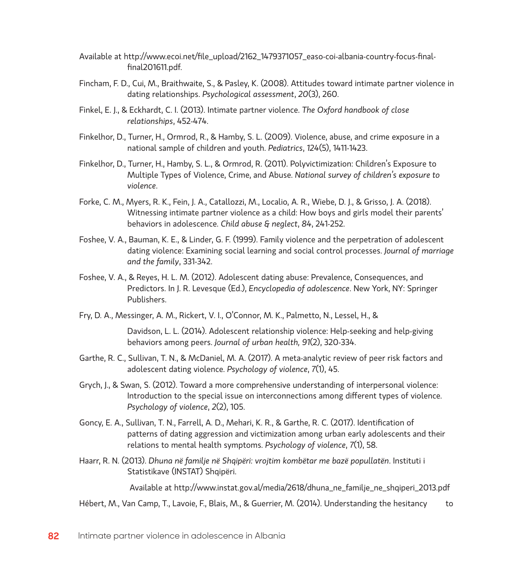- Available at http://www.ecoi.net/file\_upload/2162\_1479371057\_easo-coi-albania-country-focus-finalfinal201611.pdf.
- Fincham, F. D., Cui, M., Braithwaite, S., & Pasley, K. (2008). Attitudes toward intimate partner violence in dating relationships. *Psychological assessment*, *20*(3), 260.
- Finkel, E. J., & Eckhardt, C. I. (2013). Intimate partner violence. *The Oxford handbook of close relationships*, 452-474.
- Finkelhor, D., Turner, H., Ormrod, R., & Hamby, S. L. (2009). Violence, abuse, and crime exposure in a national sample of children and youth. *Pediatrics*, *124*(5), 1411-1423.
- Finkelhor, D., Turner, H., Hamby, S. L., & Ormrod, R. (2011). Polyvictimization: Children's Exposure to Multiple Types of Violence, Crime, and Abuse. *National survey of children's exposure to violence*.
- Forke, C. M., Myers, R. K., Fein, J. A., Catallozzi, M., Localio, A. R., Wiebe, D. J., & Grisso, J. A. (2018). Witnessing intimate partner violence as a child: How boys and girls model their parents' behaviors in adolescence. *Child abuse & neglect*, *84*, 241-252.
- Foshee, V. A., Bauman, K. E., & Linder, G. F. (1999). Family violence and the perpetration of adolescent dating violence: Examining social learning and social control processes. *Journal of marriage and the family*, 331-342.
- Foshee, V. A., & Reyes, H. L. M. (2012). Adolescent dating abuse: Prevalence, Consequences, and Predictors. In J. R. Levesque (Ed.), *Encyclopedia of adolescence*. New York, NY: Springer Publishers.
- Fry, D. A., Messinger, A. M., Rickert, V. I., O'Connor, M. K., Palmetto, N., Lessel, H., &

Davidson, L. L. (2014). Adolescent relationship violence: Help-seeking and help-giving behaviors among peers. *Journal of urban health, 91*(2), 320-334.

- Garthe, R. C., Sullivan, T. N., & McDaniel, M. A. (2017). A meta-analytic review of peer risk factors and adolescent dating violence. *Psychology of violence*, *7*(1), 45.
- Grych, J., & Swan, S. (2012). Toward a more comprehensive understanding of interpersonal violence: Introduction to the special issue on interconnections among different types of violence. *Psychology of violence*, *2*(2), 105.
- Goncy, E. A., Sullivan, T. N., Farrell, A. D., Mehari, K. R., & Garthe, R. C. (2017). Identification of patterns of dating aggression and victimization among urban early adolescents and their relations to mental health symptoms. *Psychology of violence*, *7*(1), 58.
- Haarr, R. N. (2013). *Dhuna në familje në Shqipëri: vrojtim kombëtar me bazë popullatën*. Instituti i Statistikave (INSTAT) Shqipëri.

Available at http://www.instat.gov.al/media/2618/dhuna\_ne\_familje\_ne\_shqiperi\_2013.pdf

Hébert, M., Van Camp, T., Lavoie, F., Blais, M., & Guerrier, M. (2014). Understanding the hesitancy to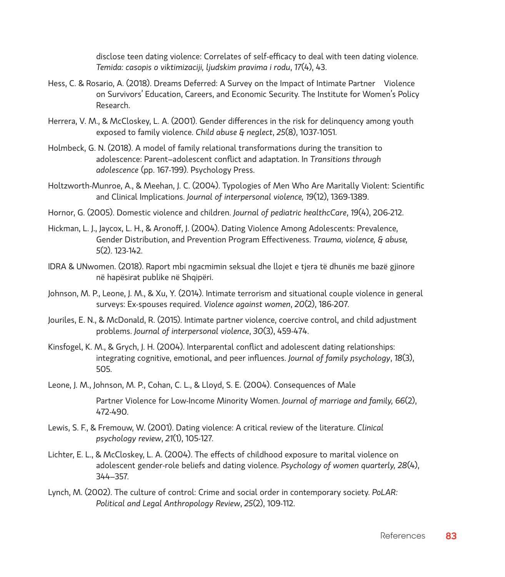disclose teen dating violence: Correlates of self-efficacy to deal with teen dating violence. *Temida: casopis o viktimizaciji, ljudskim pravima i rodu*, *17*(4), 43.

- Hess, C. & Rosario, A. (2018). Dreams Deferred: A Survey on the Impact of Intimate Partner Violence on Survivors' Education, Careers, and Economic Security. The Institute for Women's Policy Research.
- Herrera, V. M., & McCloskey, L. A. (2001). Gender differences in the risk for delinquency among youth exposed to family violence. *Child abuse & neglect*, *25*(8), 1037-1051.
- Holmbeck, G. N. (2018). A model of family relational transformations during the transition to adolescence: Parent–adolescent conflict and adaptation. In *Transitions through adolescence* (pp. 167-199). Psychology Press.
- Holtzworth-Munroe, A., & Meehan, J. C. (2004). Typologies of Men Who Are Maritally Violent: Scientific and Clinical Implications. *Journal of interpersonal violence, 19*(12), 1369-1389.
- Hornor, G. (2005). Domestic violence and children. *Journal of pediatric healthcCare*, *19*(4), 206-212.
- Hickman, L. J., Jaycox, L. H., & Aronoff, J. (2004). Dating Violence Among Adolescents: Prevalence, Gender Distribution, and Prevention Program Effectiveness. *Trauma, violence, & abuse, 5*(2). 123-142.
- IDRA & UNwomen. (2018). Raport mbi ngacmimin seksual dhe llojet e tjera të dhunës me bazë gjinore në hapësirat publike në Shqipëri.
- Johnson, M. P., Leone, J. M., & Xu, Y. (2014). Intimate terrorism and situational couple violence in general surveys: Ex-spouses required. *Violence against women*, *20*(2), 186-207.
- Jouriles, E. N., & McDonald, R. (2015). Intimate partner violence, coercive control, and child adjustment problems. *Journal of interpersonal violence*, *30*(3), 459-474.
- Kinsfogel, K. M., & Grych, J. H. (2004). Interparental conflict and adolescent dating relationships: integrating cognitive, emotional, and peer influences. *Journal of family psychology*, *18*(3), 505.
- Leone, J. M., Johnson, M. P., Cohan, C. L., & Lloyd, S. E. (2004). Consequences of Male

Partner Violence for Low-Income Minority Women. *Journal of marriage and family, 66*(2), 472-490.

- Lewis, S. F., & Fremouw, W. (2001). Dating violence: A critical review of the literature. *Clinical psychology review*, *21*(1), 105-127.
- Lichter, E. L., & McCloskey, L. A. (2004). The effects of childhood exposure to marital violence on adolescent gender-role beliefs and dating violence. *Psychology of women quarterly, 28*(4), 344–357.
- Lynch, M. (2002). The culture of control: Crime and social order in contemporary society. *PoLAR: Political and Legal Anthropology Review*, *25*(2), 109-112.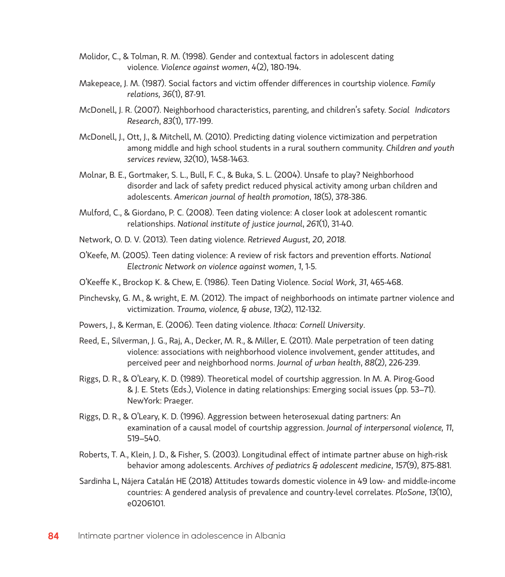- Molidor, C., & Tolman, R. M. (1998). Gender and contextual factors in adolescent dating violence. *Violence against women*, *4*(2), 180-194.
- Makepeace, J. M. (1987). Social factors and victim offender differences in courtship violence. *Family relations, 36*(1), 87-91.
- McDonell, J. R. (2007). Neighborhood characteristics, parenting, and children's safety. *Social Indicators Research*, *83*(1), 177-199.
- McDonell, J., Ott, J., & Mitchell, M. (2010). Predicting dating violence victimization and perpetration among middle and high school students in a rural southern community. *Children and youth services revie*w, *32*(10), 1458-1463.
- Molnar, B. E., Gortmaker, S. L., Bull, F. C., & Buka, S. L. (2004). Unsafe to play? Neighborhood disorder and lack of safety predict reduced physical activity among urban children and adolescents. *American journal of health promotion*, *18*(5), 378-386.
- Mulford, C., & Giordano, P. C. (2008). Teen dating violence: A closer look at adolescent romantic relationships. *National institute of justice journal*, *261*(1), 31-40.
- Network, O. D. V. (2013). Teen dating violence. *Retrieved August, 20, 2018.*
- O'Keefe, M. (2005). Teen dating violence: A review of risk factors and prevention efforts. *National Electronic Net*w*ork on violence against* w*omen*, *1*, 1-5.
- O'Keeffe K., Brockop K. & Chew, E. (1986). Teen Dating Violence. *Social Work, 31*, 465-468.
- Pinchevsky, G. M., & wright, E. M. (2012). The impact of neighborhoods on intimate partner violence and victimization. *Trauma, violence, & abuse*, *13*(2), 112-132.
- Powers, J., & Kerman, E. (2006). Teen dating violence. *Ithaca: Cornell University*.
- Reed, E., Silverman, J. G., Raj, A., Decker, M. R., & Miller, E. (2011). Male perpetration of teen dating violence: associations with neighborhood violence involvement, gender attitudes, and perceived peer and neighborhood norms. *Journal of urban health*, *88*(2), 226-239.
- Riggs, D. R., & O'Leary, K. D. (1989). Theoretical model of courtship aggression. In M. A. Pirog-Good & J. E. Stets (Eds.), Violence in dating relationships: Emerging social issues (pp. 53–71). NewYork: Praeger.
- Riggs, D. R., & O'Leary, K. D. (1996). Aggression between heterosexual dating partners: An examination of a causal model of courtship aggression. *Journal of interpersonal violence, 11*, 519–540.
- Roberts, T. A., Klein, J. D., & Fisher, S. (2003). Longitudinal effect of intimate partner abuse on high-risk behavior among adolescents. *Archives of pediatrics & adolescent medicine*, *157*(9), 875-881.
- Sardinha L, Nájera Catalán HE (2018) Attitudes towards domestic violence in 49 low- and middle-income countries: A gendered analysis of prevalence and country-level correlates. *PloSone*, *13*(10), e0206101.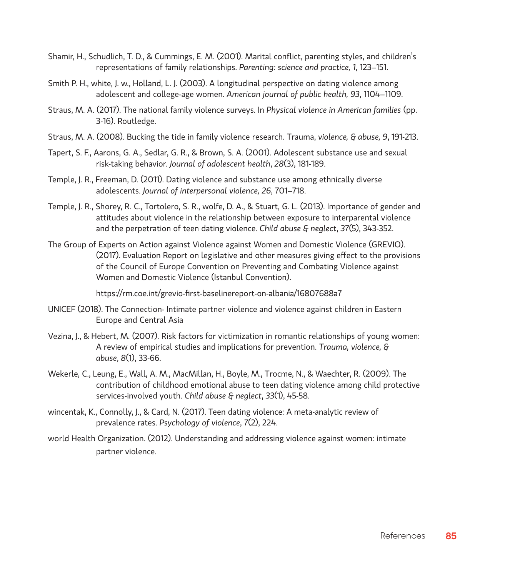- Shamir, H., Schudlich, T. D., & Cummings, E. M. (2001). Marital conflict, parenting styles, and children's representations of family relationships. *Parenting: science and practice, 1*, 123–151.
- Smith P. H., white, J. w., Holland, L. J. (2003). A longitudinal perspective on dating violence among adolescent and college-age women. *American journal of public health, 93*, 1104–1109.
- Straus, M. A. (2017). The national family violence surveys. In *Physical violence in American families* (pp. 3-16). Routledge.
- Straus, M. A. (2008). Bucking the tide in family violence research. Trauma, *violence, & abuse, 9*, 191-213.
- Tapert, S. F., Aarons, G. A., Sedlar, G. R., & Brown, S. A. (2001). Adolescent substance use and sexual risk-taking behavior. *Journal of adolescent health*, *28*(3), 181-189.
- Temple, J. R., Freeman, D. (2011). Dating violence and substance use among ethnically diverse adolescents. *Journal of interpersonal violence, 26*, 701–718.
- Temple, J. R., Shorey, R. C., Tortolero, S. R., wolfe, D. A., & Stuart, G. L. (2013). Importance of gender and attitudes about violence in the relationship between exposure to interparental violence and the perpetration of teen dating violence. *Child abuse & neglect*, *37*(5), 343-352.
- The Group of Experts on Action against Violence against Women and Domestic Violence (GREVIO). (2017). Evaluation Report on legislative and other measures giving effect to the provisions of the Council of Europe Convention on Preventing and Combating Violence against Women and Domestic Violence (Istanbul Convention).

https://rm.coe.int/grevio-first-baselinereport-on-albania/16807688a7

- UNICEF (2018). The Connection- Intimate partner violence and violence against children in Eastern Europe and Central Asia
- Vezina, J., & Hebert, M. (2007). Risk factors for victimization in romantic relationships of young women: A review of empirical studies and implications for prevention. *Trauma, violence, & abuse*, *8*(1), 33-66.
- Wekerle, C., Leung, E., Wall, A. M., MacMillan, H., Boyle, M., Trocme, N., & Waechter, R. (2009). The contribution of childhood emotional abuse to teen dating violence among child protective services-involved youth. *Child abuse & neglect*, *33*(1), 45-58.
- wincentak, K., Connolly, J., & Card, N. (2017). Teen dating violence: A meta-analytic review of prevalence rates. *Psychology of violence*, *7*(2), 224.
- world Health Organization. (2012). Understanding and addressing violence against women: intimate partner violence.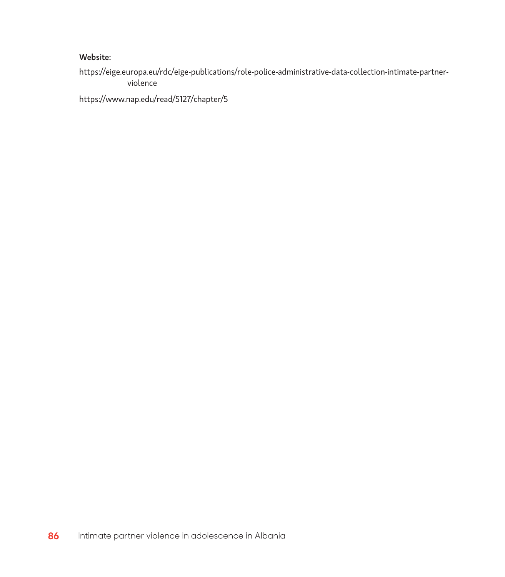#### Website:

https://eige.europa.eu/rdc/eige-publications/role-police-administrative-data-collection-intimate-partnerviolence

https://www.nap.edu/read/5127/chapter/5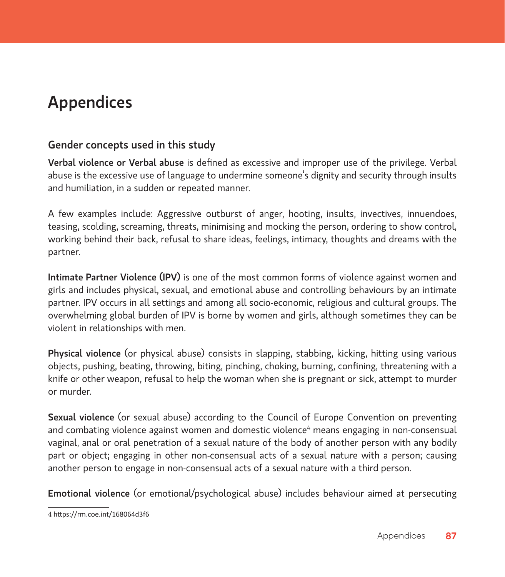# Appendices

### Gender concepts used in this study

Verbal violence or Verbal abuse is defined as excessive and improper use of the privilege. Verbal abuse is the excessive use of language to undermine someone's dignity and security through insults and humiliation, in a sudden or repeated manner.

A few examples include: Aggressive outburst of anger, hooting, insults, invectives, innuendoes, teasing, scolding, screaming, threats, minimising and mocking the person, ordering to show control, working behind their back, refusal to share ideas, feelings, intimacy, thoughts and dreams with the partner.

Intimate Partner Violence (IPV) is one of the most common forms of violence against women and girls and includes physical, sexual, and emotional abuse and controlling behaviours by an intimate partner. IPV occurs in all settings and among all socio-economic, religious and cultural groups. The overwhelming global burden of IPV is borne by women and girls, although sometimes they can be violent in relationships with men.

Physical violence (or physical abuse) consists in slapping, stabbing, kicking, hitting using various objects, pushing, beating, throwing, biting, pinching, choking, burning, confining, threatening with a knife or other weapon, refusal to help the woman when she is pregnant or sick, attempt to murder or murder.

Sexual violence (or sexual abuse) according to the Council of Europe Convention on preventing and combating violence against women and domestic violence<sup>4</sup> means engaging in non-consensual vaginal, anal or oral penetration of a sexual nature of the body of another person with any bodily part or object; engaging in other non-consensual acts of a sexual nature with a person; causing another person to engage in non-consensual acts of a sexual nature with a third person.

Emotional violence (or emotional/psychological abuse) includes behaviour aimed at persecuting

<sup>4</sup> https://rm.coe.int/168064d3f6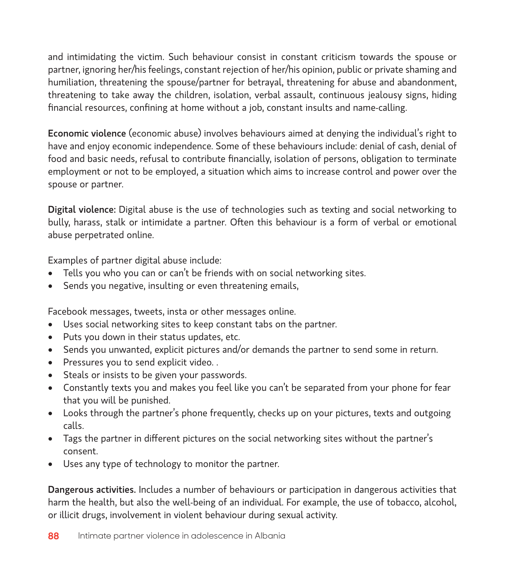and intimidating the victim. Such behaviour consist in constant criticism towards the spouse or partner, ignoring her/his feelings, constant rejection of her/his opinion, public or private shaming and humiliation, threatening the spouse/partner for betrayal, threatening for abuse and abandonment, threatening to take away the children, isolation, verbal assault, continuous jealousy signs, hiding financial resources, confining at home without a job, constant insults and name-calling.

Economic violence (economic abuse) involves behaviours aimed at denying the individual's right to have and enjoy economic independence. Some of these behaviours include: denial of cash, denial of food and basic needs, refusal to contribute financially, isolation of persons, obligation to terminate employment or not to be employed, a situation which aims to increase control and power over the spouse or partner.

Digital violence: Digital abuse is the use of technologies such as texting and social networking to bully, harass, stalk or intimidate a partner. Often this behaviour is a form of verbal or emotional abuse perpetrated online.

Examples of partner digital abuse include:

- Tells you who you can or can't be friends with on social networking sites.
- Sends you negative, insulting or even threatening emails,

Facebook messages, tweets, insta or other messages online.

- Uses social networking sites to keep constant tabs on the partner.
- Puts you down in their status updates, etc.
- Sends you unwanted, explicit pictures and/or demands the partner to send some in return.
- • Pressures you to send explicit video. .
- Steals or insists to be given your passwords.
- Constantly texts you and makes you feel like you can't be separated from your phone for fear that you will be punished.
- Looks through the partner's phone frequently, checks up on your pictures, texts and outgoing calls.
- Tags the partner in different pictures on the social networking sites without the partner's consent.
- Uses any type of technology to monitor the partner.

Dangerous activities. Includes a number of behaviours or participation in dangerous activities that harm the health, but also the well-being of an individual. For example, the use of tobacco, alcohol, or illicit drugs, involvement in violent behaviour during sexual activity.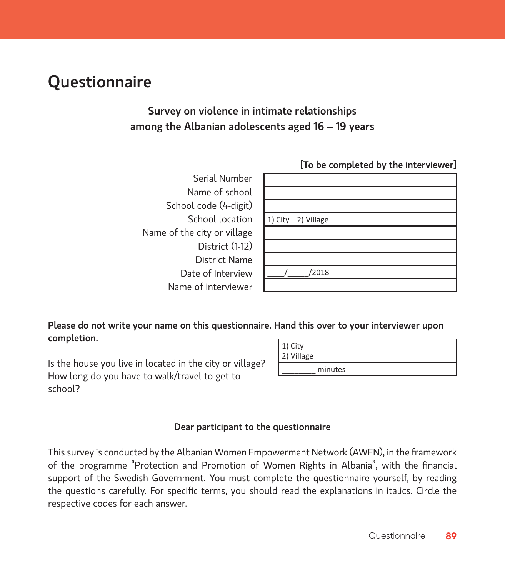# **Questionnaire**

### Survey on violence in intimate relationships among the Albanian adolescents aged 16 – 19 years

|                             | [To be completed by the interviewer] |
|-----------------------------|--------------------------------------|
| Serial Number               |                                      |
| Name of school              |                                      |
| School code (4-digit)       |                                      |
| School location             | 1) City<br>2) Village                |
| Name of the city or village |                                      |
| District (1-12)             |                                      |
| <b>District Name</b>        |                                      |
| Date of Interview           | '2018                                |
| Name of interviewer         |                                      |

Please do not write your name on this questionnaire. Hand this over to your interviewer upon completion.

Is the house you live in located in the city or village? How long do you have to walk/travel to get to school?

| 1) City<br>2) Village |  |
|-----------------------|--|
| minutes               |  |

#### Dear participant to the questionnaire

This survey is conducted by the Albanian Women Empowerment Network (AWEN), in the framework of the programme "Protection and Promotion of Women Rights in Albania", with the financial support of the Swedish Government. You must complete the questionnaire yourself, by reading the questions carefully. For specific terms, you should read the explanations in italics. Circle the respective codes for each answer.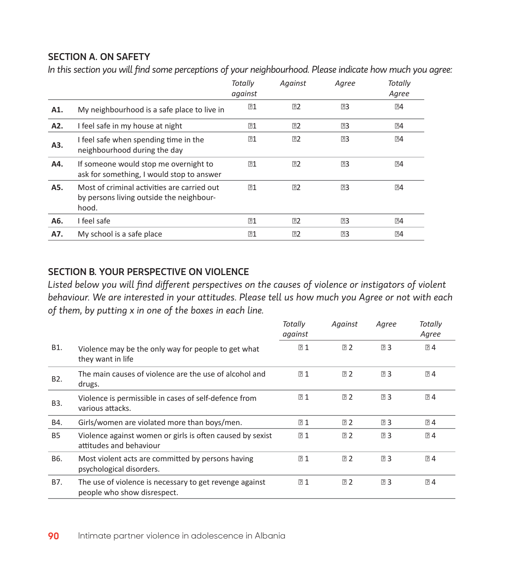#### SECTION A. ON SAFETY

*In this section you will find some perceptions of your neighbourhood. Please indicate how much you agree:*

|     |                                                                                                  | Totally<br>against | Against | Agree     | Totally<br>Agree |
|-----|--------------------------------------------------------------------------------------------------|--------------------|---------|-----------|------------------|
| A1. | My neighbourhood is a safe place to live in                                                      | D1                 | 72      | <b>⊡3</b> | 74               |
| A2. | I feel safe in my house at night                                                                 | E1                 | 22      | <b>⊡3</b> | ි4               |
| A3. | I feel safe when spending time in the<br>neighbourhood during the day                            | E1                 | P2      | ⊡3        | 74               |
| A4. | If someone would stop me overnight to<br>ask for something, I would stop to answer               | 21                 | P2      | <b>⊡3</b> |                  |
| A5. | Most of criminal activities are carried out<br>by persons living outside the neighbour-<br>hood. | P1                 | P2      | P3        | $\mathbb{E}14$   |
| A6. | I feel safe                                                                                      | 21                 | P2      | ⊡3        | ව4               |
| A7. | My school is a safe place                                                                        | P1                 | 72      | 卪3        | P4               |

#### SECTION B. YOUR PERSPECTIVE ON VIOLENCE

*Listed below you will find different perspectives on the causes of violence or instigators of violent behaviour. We are interested in your attitudes. Please tell us how much you Agree or not with each of them, by putting x in one of the boxes in each line.* 

|                  |                                                                                        | Totally<br>against | Against | Agree     | Totally<br>Agree |
|------------------|----------------------------------------------------------------------------------------|--------------------|---------|-----------|------------------|
| B1.              | Violence may be the only way for people to get what<br>they want in life               | 21                 | 2       | <b>23</b> | 74               |
| B <sub>2</sub> . | The main causes of violence are the use of alcohol and<br>drugs.                       | P <sub>1</sub>     | 2       | <b>23</b> | $\overline{2}$ 4 |
| B <sub>3</sub> . | Violence is permissible in cases of self-defence from<br>various attacks.              | 21                 | 2       | <b>23</b> | $\overline{2}$ 4 |
| B4.              | Girls/women are violated more than boys/men.                                           | R <sub>1</sub>     | 72      | 73        | $\overline{2}$ 4 |
| <b>B5</b>        | Violence against women or girls is often caused by sexist<br>attitudes and behaviour   | P <sub>1</sub>     | 72      | 23        | 74               |
| B6.              | Most violent acts are committed by persons having<br>psychological disorders.          | 21                 | 2       | <b>23</b> | $\overline{2}$ 4 |
| B7.              | The use of violence is necessary to get revenge against<br>people who show disrespect. | 21                 | 2       | <b>23</b> | 24               |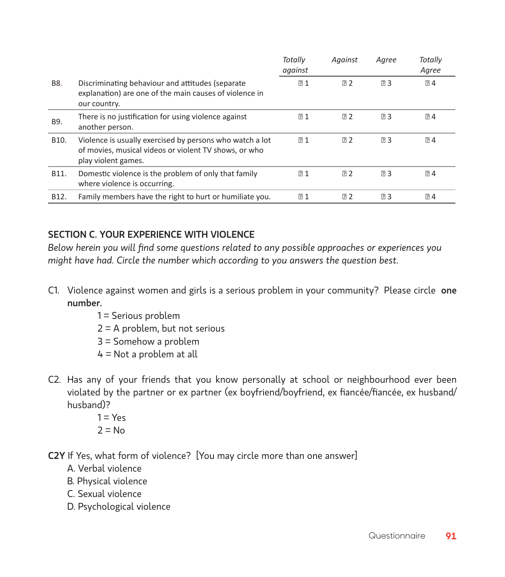|                   |                                                                                                                                          | Totally<br>against | Against | Agree     | Totally<br>Agree |
|-------------------|------------------------------------------------------------------------------------------------------------------------------------------|--------------------|---------|-----------|------------------|
| <b>B8.</b>        | Discriminating behaviour and attitudes (separate<br>explanation) are one of the main causes of violence in<br>our country.               | 21                 | ⊡ 2     | <b>23</b> | 24               |
| B9.               | There is no justification for using violence against<br>another person.                                                                  | P <sub>1</sub>     | 72      | 23        | 74               |
| B10.              | Violence is usually exercised by persons who watch a lot<br>of movies, musical videos or violent TV shows, or who<br>play violent games. | R <sub>1</sub>     | 72      | 73        | 74               |
| B11.              | Domestic violence is the problem of only that family<br>where violence is occurring.                                                     | 21                 | 72      | <b>23</b> | 74               |
| B <sub>12</sub> . | Family members have the right to hurt or humiliate you.                                                                                  | 21                 | ⊡ 2     | ⊡ 3       | 24               |

#### SECTION C. YOUR EXPERIENCE WITH VIOLENCE

*Below herein you will find some questions related to any possible approaches or experiences you might have had. Circle the number which according to you answers the question best.* 

- C1. Violence against women and girls is a serious problem in your community? Please circle one number.
	- 1 = Serious problem
	- 2 = A problem, but not serious
	- 3 = Somehow a problem
	- 4 = Not a problem at all
- C2. Has any of your friends that you know personally at school or neighbourhood ever been violated by the partner or ex partner (ex boyfriend/boyfriend, ex fiancée/fiancée, ex husband/ husband)?
	- $1 = Y_{\text{PS}}$  $2 = No$
- C2Y If Yes, what form of violence? [You may circle more than one answer]
	- A. Verbal violence
	- B. Physical violence
	- C. Sexual violence
	- D. Psychological violence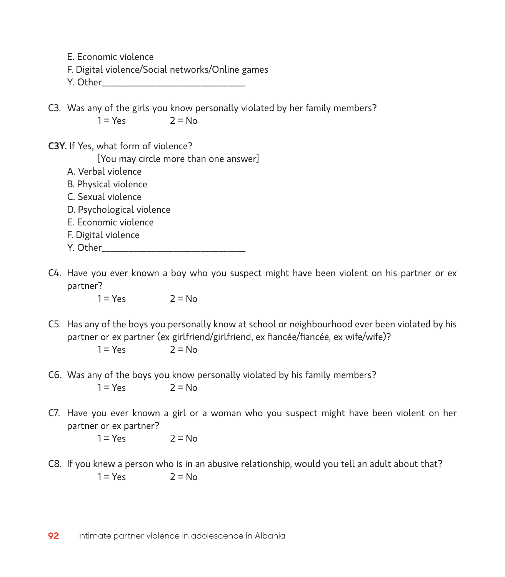E. Economic violence

- F. Digital violence/Social networks/Online games
- Y. Other
- C3. Was any of the girls you know personally violated by her family members?  $1 = Y_{PS}$   $2 = N_Q$
- C3Y. If Yes, what form of violence?

[You may circle more than one answer]

- A. Verbal violence
- B. Physical violence
- C. Sexual violence
- D. Psychological violence
- E. Economic violence
- F. Digital violence
- Y. Other
- C4. Have you ever known a boy who you suspect might have been violent on his partner or ex partner?

 $1 = Y_{\text{PS}}$   $2 = N_{\Omega}$ 

C5. Has any of the boys you personally know at school or neighbourhood ever been violated by his partner or ex partner (ex girlfriend/girlfriend, ex fiancée/fiancée, ex wife/wife)?

 $1 = Y_{PS}$   $2 = N_Q$ 

- C6. Was any of the boys you know personally violated by his family members?  $1 = Y_{PS}$   $2 = N_Q$
- C7. Have you ever known a girl or a woman who you suspect might have been violent on her partner or ex partner?

 $1 = Y_{PS}$   $2 = N_Q$ 

C8. If you knew a person who is in an abusive relationship, would you tell an adult about that?  $1 = Y_{PS}$   $2 = N_Q$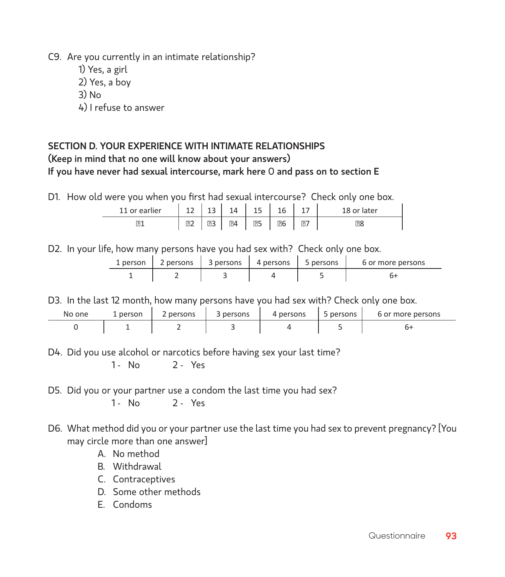C9. Are you currently in an intimate relationship?

- 1) Yes, a girl
- 2) Yes, a boy
- $3)$  No
- 4) I refuse to answer

#### Section D. YOUR EXPERIENCE WITH INTIMATE RELATIONSHIPS (Keep in mind that no one will know about your answers) If you have never had sexual intercourse, mark here O and pass on to section E

D1. How old were you when you first had sexual intercourse? Check only one box.

| 11 or earlier   | 12<br>-- | $\sim$<br>ᅩ | 14              | $\sim$<br>ᅩ | $\sim$ | <u>_</u> | or later |
|-----------------|----------|-------------|-----------------|-------------|--------|----------|----------|
| $\overline{21}$ | 2        | 03          | $\overline{2}4$ | 25          | 26     | 87       | ි8       |

D2. In your life, how many persons have you had sex with? Check only one box.

| 1 person 2 persons 3 persons 3 4 persons 3 5 persons |  | 6 or more persons |
|------------------------------------------------------|--|-------------------|
|                                                      |  |                   |

D3. In the last 12 month, how many persons have you had sex with? Check only one box.

| No one | 1 person | persons | persons | 4 persons | persons | 6 or more persons |
|--------|----------|---------|---------|-----------|---------|-------------------|
|        |          |         |         |           |         |                   |

D4. Did you use alcohol or narcotics before having sex your last time?

1 - No 2 - Yes

D5. Did you or your partner use a condom the last time you had sex?

1 - No 2 - Yes

- D6. What method did you or your partner use the last time you had sex to prevent pregnancy? [You may circle more than one answer]
	- A. No method
	- B. Withdrawal
	- C. Contraceptives
	- D. Some other methods
	- E. Condoms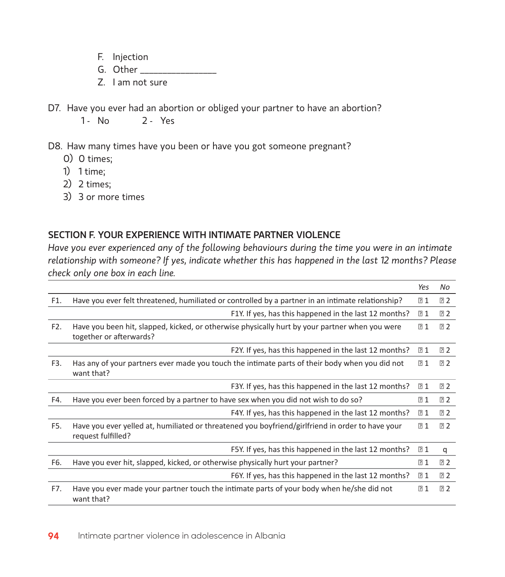- F. Injection
- G. Other \_\_\_\_\_\_\_\_\_\_\_\_\_\_\_\_\_
- Z. I am not sure
- D7. Have you ever had an abortion or obliged your partner to have an abortion?

1 - No 2 - Yes

D8. Haw many times have you been or have you got someone pregnant?

- 0) 0 times;
- 1) 1 time;
- 2) 2 times;
- 3) 3 or more times

#### SECTION F. YOUR EXPERIENCE WITH INTIMATE PARTNER VIOLENCE

*Have you ever experienced any of the following behaviours during the time you were in an intimate relationship with someone? If yes, indicate whether this has happened in the last 12 months? Please check only one box in each line.* 

|                  |                                                                                                                           | Yes | No  |
|------------------|---------------------------------------------------------------------------------------------------------------------------|-----|-----|
| F1.              | Have you ever felt threatened, humiliated or controlled by a partner in an intimate relationship?                         | 21  | ? 2 |
|                  | F1Y. If yes, has this happened in the last 12 months?                                                                     | 21  | 2   |
| F <sub>2</sub> . | Have you been hit, slapped, kicked, or otherwise physically hurt by your partner when you were<br>together or afterwards? | 21  | 72  |
|                  | F2Y. If yes, has this happened in the last 12 months?                                                                     | 21  | ⊡ 2 |
| F3.              | Has any of your partners ever made you touch the intimate parts of their body when you did not<br>want that?              | 21  | 2   |
|                  | F3Y. If yes, has this happened in the last 12 months?                                                                     | 21  | ⊡ 2 |
| F4.              | Have you ever been forced by a partner to have sex when you did not wish to do so?                                        | 21  | 2   |
|                  | F4Y. If yes, has this happened in the last 12 months?                                                                     | 21  | ⊡ 2 |
| F5.              | Have you ever yelled at, humiliated or threatened you boyfriend/girlfriend in order to have your<br>request fulfilled?    | 71  | 72  |
|                  | F5Y. If yes, has this happened in the last 12 months?                                                                     | 21  | q   |
| F6.              | Have you ever hit, slapped, kicked, or otherwise physically hurt your partner?                                            | 21  | 2   |
|                  | F6Y. If yes, has this happened in the last 12 months?                                                                     | 21  | ⊡ 2 |
| F7.              | Have you ever made your partner touch the intimate parts of your body when he/she did not<br>want that?                   | 21  | 2   |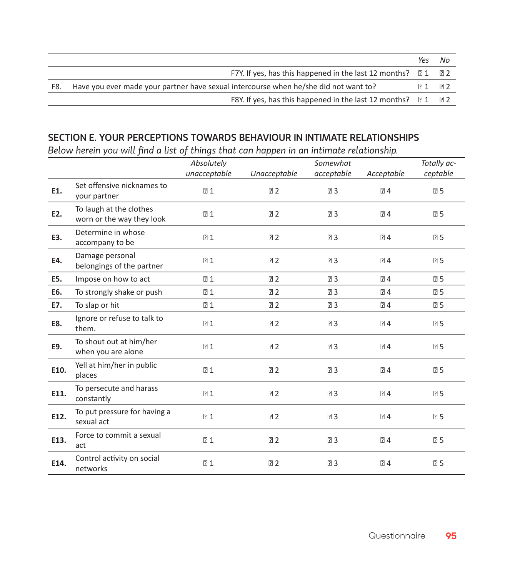|     |                                                                                      | Yes | No         |  |
|-----|--------------------------------------------------------------------------------------|-----|------------|--|
|     | F7Y. If yes, has this happened in the last 12 months? $\Box$ 1                       |     | ា 2        |  |
| F8. | Have you ever made your partner have sexual intercourse when he/she did not want to? |     |            |  |
|     | F8Y. If yes, has this happened in the last 12 months? $\Box$ 1                       |     | <b>R</b> 2 |  |

#### SECTION E. YOUR PERCEPTIONS TOWARDS BEHAVIOUR IN INTIMATE RELATIONSHIPS

*Below herein you will find a list of things that can happen in an intimate relationship.* 

|      |                                                      | Absolutely   |              | Somewhat   |                  | Totally ac- |
|------|------------------------------------------------------|--------------|--------------|------------|------------------|-------------|
|      |                                                      | unacceptable | Unacceptable | acceptable | Acceptable       | ceptable    |
| E1.  | Set offensive nicknames to<br>your partner           | 21           | 2            | 23         | 24               | 25          |
| E2.  | To laugh at the clothes<br>worn or the way they look | 21           | 2            | 23         | 24               | 25          |
| E3.  | Determine in whose<br>accompany to be                | 21           | 2            | 23         | 24               | 25          |
| E4.  | Damage personal<br>belongings of the partner         | 71           | 2            | 23         | 24               | 25          |
| E5.  | Impose on how to act                                 | 21           | 72           | 73         | 74               | 25          |
| E6.  | To strongly shake or push                            | 21           | 2            | 73         | $\overline{2}$ 4 | 25          |
| E7.  | To slap or hit                                       | 21           | 2            | 23         | 24               | 25          |
| E8.  | Ignore or refuse to talk to<br>them.                 | 21           | 2            | 23         | 24               | 25          |
| E9.  | To shout out at him/her<br>when you are alone        | 21           | 2            | 23         | 24               | 25          |
| E10. | Yell at him/her in public<br>places                  | 21           | 2            | 23         | 24               | 25          |
| E11. | To persecute and harass<br>constantly                | 21           | 2            | 23         | 24               | 25          |
| E12. | To put pressure for having a<br>sexual act           | 21           | 2            | 23         | 24               | 25          |
| E13. | Force to commit a sexual<br>act                      | 21           | 2            | 23         | 24               | 25          |
| E14. | Control activity on social<br>networks               | 21           | 2            | 23         | 24               | 25          |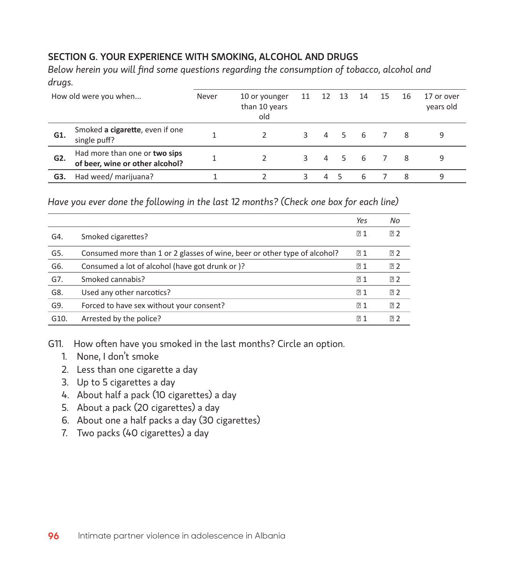#### SECTION G. YOUR EXPERIENCE WITH SMOKING, ALCOHOL AND DRUGS

*Below herein you will find some questions regarding the consumption of tobacco, alcohol and drugs.*

| How old were you when |                                                                  | Never | 10 or younger<br>than 10 years<br>old | 11 | 12 | 13  | 14           | 15 | 16 | 17 or over<br>vears old |
|-----------------------|------------------------------------------------------------------|-------|---------------------------------------|----|----|-----|--------------|----|----|-------------------------|
| G1.                   | Smoked a cigarette, even if one<br>single puff?                  |       |                                       | 3  | 4  |     | -6           |    | 8  | 9                       |
| G2.                   | Had more than one or two sips<br>of beer, wine or other alcohol? |       |                                       |    | 4  | .5. | -6           |    | 8  | 9                       |
| G3.                   | Had weed/ marijuana?                                             |       |                                       |    |    |     | $\mathsf{h}$ |    | 8  | 9                       |

*Have you ever done the following in the last 12 months? (Check one box for each line)* 

|      |                                                                           | Yes | No             |
|------|---------------------------------------------------------------------------|-----|----------------|
| G4.  | Smoked cigarettes?                                                        | P1  | 72             |
| G5.  | Consumed more than 1 or 2 glasses of wine, beer or other type of alcohol? | P1  | 72             |
| G6.  | Consumed a lot of alcohol (have got drunk or)?                            | P1  | 72             |
| G7.  | Smoked cannabis?                                                          | P1  | 72             |
| G8.  | Used any other narcotics?                                                 | P1  | 72             |
| G9.  | Forced to have sex without your consent?                                  | 71  | 72             |
| G10. | Arrested by the police?                                                   | P1  | R <sub>2</sub> |

G11. How often have you smoked in the last months? Circle an option.

- 1. None, I don't smoke
- 2. Less than one cigarette a day
- 3. Up to 5 cigarettes a day
- 4. About half a pack (10 cigarettes) a day
- 5. About a pack (20 cigarettes) a day
- 6. About one a half packs a day (30 cigarettes)
- 7. Two packs (40 cigarettes) a day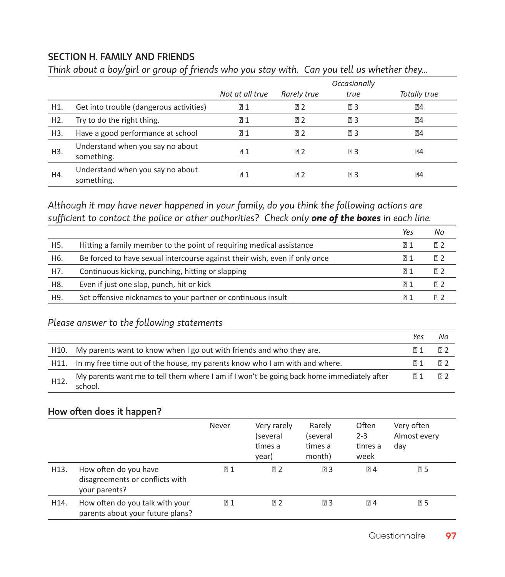#### SECTION H. Family and friends

*Think about a boy/girl or group of friends who you stay with. Can you tell us whether they...*

|                  |                                                |                 |                | <i><b>Occasionally</b></i> |              |
|------------------|------------------------------------------------|-----------------|----------------|----------------------------|--------------|
|                  |                                                | Not at all true | Rarely true    | true                       | Totally true |
| H1.              | Get into trouble (dangerous activities)        | 21              | 72             | 23                         | 24           |
| H <sub>2</sub> . | Try to do the right thing.                     | $P_1$           | 72             | ⊡ 3                        | 74           |
| H3.              | Have a good performance at school              | P1              | 72             | 23                         | 74           |
| H3.              | Understand when you say no about<br>something. | P <sub>1</sub>  | R2             | "                          | 74           |
| H4.              | Understand when you say no about<br>something. | 71              | R <sub>2</sub> | 卪3                         | 74           |

*Although it may have never happened in your family, do you think the following actions are sufficient to contact the police or other authorities? Check only one of the boxes in each line.*

|     |                                                                            | Yes  | No   |
|-----|----------------------------------------------------------------------------|------|------|
| H5. | Hitting a family member to the point of requiring medical assistance       | 1ิ 1 | 卪2   |
| H6. | Be forced to have sexual intercourse against their wish, even if only once | 1? 1 | 日 2  |
| H7. | Continuous kicking, punching, hitting or slapping                          | 1? 1 | 19 2 |
| H8. | Even if just one slap, punch, hit or kick                                  | 1ิ 1 | 19 2 |
| H9. | Set offensive nicknames to your partner or continuous insult               | 1? 1 | 17 フ |

#### *Please answer to the following statements*

|      |                                                                                                       | Yes | No         |
|------|-------------------------------------------------------------------------------------------------------|-----|------------|
| H10. | My parents want to know when I go out with friends and who they are.                                  |     | 日2         |
|      | H11. In my free time out of the house, my parents know who I am with and where.                       |     | <b>P</b> 2 |
| H12. | My parents want me to tell them where I am if I won't be going back home immediately after<br>school. |     | <b>R</b> 2 |

#### How often does it happen?

|      |                                                                           | Never          | Very rarely<br>(several<br>times a<br>year) | Rarely<br>(several<br>times a<br>month) | Often<br>$2 - 3$<br>times a<br>week | Very often<br>Almost every<br>day |
|------|---------------------------------------------------------------------------|----------------|---------------------------------------------|-----------------------------------------|-------------------------------------|-----------------------------------|
| H13. | How often do you have<br>disagreements or conflicts with<br>your parents? | 21             | 72                                          | 73                                      | $P_1$ 4                             | 25                                |
| H14. | How often do you talk with your<br>parents about your future plans?       | R <sub>1</sub> | 72                                          | 73                                      | $\overline{2}$ 4                    | 25                                |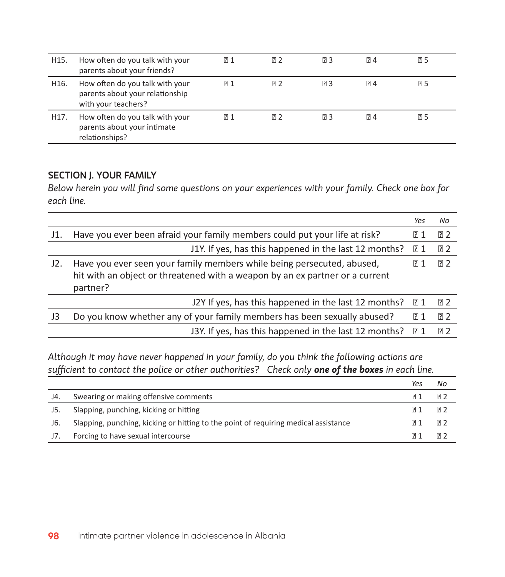| H15. | How often do you talk with your<br>parents about your friends?                            | $[2]$ 1 | 72             | <b>PB</b> 3 | $R_1$ | 05         |
|------|-------------------------------------------------------------------------------------------|---------|----------------|-------------|-------|------------|
| H16. | How often do you talk with your<br>parents about your relationship<br>with your teachers? | ? ⊡     | 72             | <b>P</b> 3  | $R_1$ | <b>Q5</b>  |
| H17. | How often do you talk with your<br>parents about your intimate<br>relationships?          | । পি    | R <sub>2</sub> | <b>PB</b> 3 | $R_1$ | <b>P</b> 5 |

#### SECTION J. YOUR FAMILY

*Below herein you will find some questions on your experiences with your family. Check one box for each line.*

|     |                                                                                                                                                                    | Yes | No             |
|-----|--------------------------------------------------------------------------------------------------------------------------------------------------------------------|-----|----------------|
| J1. | Have you ever been afraid your family members could put your life at risk?                                                                                         | R1  | ার $2$         |
|     | J1Y. If yes, has this happened in the last 12 months?                                                                                                              | R1  | ার $2$         |
| J2. | Have you ever seen your family members while being persecuted, abused,<br>hit with an object or threatened with a weapon by an ex partner or a current<br>partner? | ি 1 | R <sub>2</sub> |
|     | J2Y If yes, has this happened in the last 12 months?                                                                                                               | ি 1 | <u>য় 2</u>    |
| J3  | Do you know whether any of your family members has been sexually abused?                                                                                           | R1  | R2             |
|     | J3Y. If yes, has this happened in the last 12 months?                                                                                                              | ি 1 | R <sub>2</sub> |

*Although it may have never happened in your family, do you think the following actions are sufficient to contact the police or other authorities? Check only one of the boxes in each line.*

|     |                                                                                     | Yes          | Νo          |
|-----|-------------------------------------------------------------------------------------|--------------|-------------|
| J4. | Swearing or making offensive comments                                               | া?           | ี ⊠ 2       |
| J5. | Slapping, punching, kicking or hitting                                              | <u>য়ি</u> 1 | <b>P</b> 2  |
| J6. | Slapping, punching, kicking or hitting to the point of requiring medical assistance | 1? 1         | <u>য় 2</u> |
| J7. | Forcing to have sexual intercourse                                                  |              | R2          |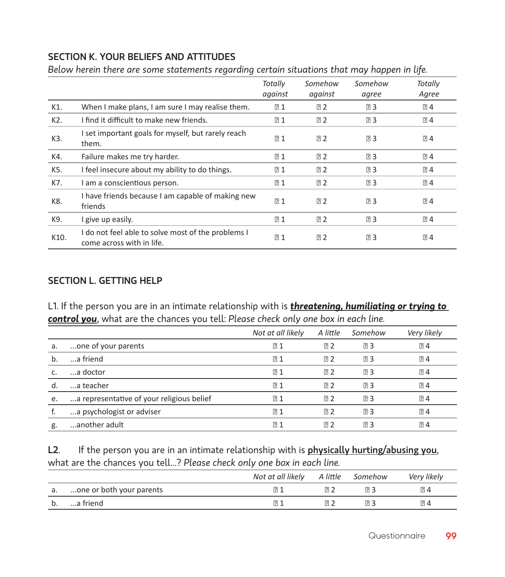#### SECTION K. YOUR BELIEFS AND ATTITUDES

*Below herein there are some statements regarding certain situations that may happen in life.* 

|                  |                                                                                 | Totally<br>against | Somehow<br>against | Somehow<br>agree | Totally<br>Agree |
|------------------|---------------------------------------------------------------------------------|--------------------|--------------------|------------------|------------------|
| K1.              | When I make plans, I am sure I may realise them.                                | 21                 | 2                  | <b>23</b>        | 24               |
| K <sub>2</sub> . | I find it difficult to make new friends.                                        | 21                 | 2                  | <b>23</b>        | 24               |
| K3.              | I set important goals for myself, but rarely reach<br>them.                     | 71                 | ⊡ 2                | 23               | 24               |
| K4.              | Failure makes me try harder.                                                    | 21                 | <b>22</b>          | <b>23</b>        | 24               |
| K5.              | I feel insecure about my ability to do things.                                  | 21                 | <b>22</b>          | <b>23</b>        | ි 4              |
| K7.              | I am a conscientious person.                                                    | 21                 | 2                  | 23               | 24               |
| K8.              | I have friends because I am capable of making new<br>friends                    | 71                 | 72                 | 23               | 24               |
| K9.              | I give up easily.                                                               | 21                 | 72                 | 23               | 24               |
| K10.             | I do not feel able to solve most of the problems I<br>come across with in life. | 71                 | 72                 | 73               | 24               |

#### SECTION L. GETTING HELP

L1. If the person you are in an intimate relationship with is *threatening, humiliating or trying to control you*, what are the chances you tell: *Please check only one box in each line.* 

|    |                                           | Not at all likely | A little       | Somehow | Very likely      |
|----|-------------------------------------------|-------------------|----------------|---------|------------------|
| а. | one of your parents                       | 21                | 72             | 73      | 24               |
| b. | a friend                                  | P <sub>1</sub>    | 72             | 73      | ි 4              |
|    | a doctor                                  | 71                | 日2             | 73      | R34              |
| d. | a teacher                                 | 21                | 72             | 73      | R34              |
| e. | a representative of your religious belief | P <sub>1</sub>    | P <sub>2</sub> | 73      | $\overline{2}$ 4 |
|    | a psychologist or adviser                 | 71                | 日2             | 73      | R34              |
| g. | another adult                             | P1                | R <sub>2</sub> | 73      | R34              |

L2. If the person you are in an intimate relationship with is *physically hurting/abusing you*, what are the chances you tell...? *Please check only one box in each line.* 

|    |                          | Not at all likely | A little Somehow | Very likely    |
|----|--------------------------|-------------------|------------------|----------------|
| а. | one or both your parents | ात्र              | চা               | $\mathbb{R}$ 4 |
| b. | a friend                 | ิ ค               | 7                | $\mathbb{R}$ 4 |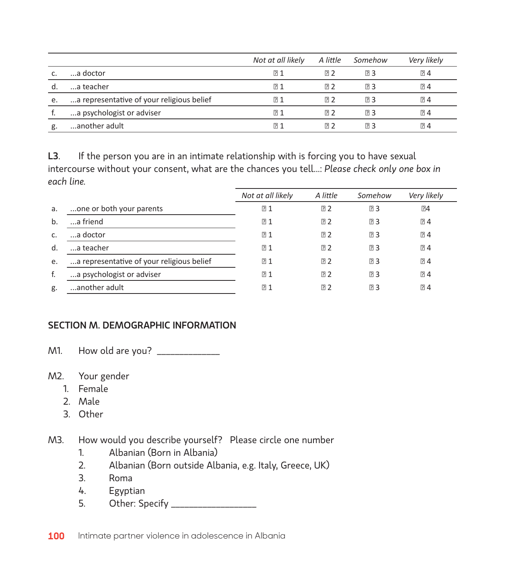|    |                                           | Not at all likely | A little | Somehow | Very likely    |
|----|-------------------------------------------|-------------------|----------|---------|----------------|
|    | a doctor                                  | P <sub>1</sub>    | 日2       | 73      | $R_1$          |
| d. | a teacher                                 | P <sub>1</sub>    | 日2       | 73      | 24             |
| e. | a representative of your religious belief | $\overline{R}$ 1  | 日2       | 코 3     | $R_1$          |
|    | a psychologist or adviser                 | $\overline{R}$ 1  | 17 7     | 73      | $R_1$          |
| g. | another adult                             | P1                | 171 2    | R3      | $\mathbb{R}$ 4 |

L3. If the person you are in an intimate relationship with is forcing you to have sexual intercourse without your consent, what are the chances you tell...: *Please check only one box in each line.* 

|    |                                           | Not at all likely | A little | Somehow | Very likely      |
|----|-------------------------------------------|-------------------|----------|---------|------------------|
| a. | one or both your parents                  | 71                | 72       | 卪3      | 74               |
| b. | a friend                                  | 21                | R2       | 23      | 24               |
| c. | a doctor                                  | 71                | ⊡ 2      | "       | 24               |
| d. | a teacher                                 | 71                | 72       | 卪3      | 74               |
| e. | a representative of your religious belief | P <sub>1</sub>    | R2       | 卪3      | $\overline{2}$ 4 |
| f. | a psychologist or adviser                 | 71                | 72       | 73      | $\overline{2}$ 4 |
| g. | another adult                             | 71                | 72       | 73      | R <sub>2</sub>   |

#### SECTION M. DEMOGRAPHIC INFORMATION

M1. How old are you? \_\_\_\_\_\_\_\_\_\_\_\_\_\_

- M2. Your gender
	- 1. Female
	- 2. Male
	- 3. Other
- M3. How would you describe yourself? Please circle one number
	- 1. Albanian (Born in Albania)
	- 2. Albanian (Born outside Albania, e.g. Italy, Greece, UK)
	- 3. Roma
	- 4. Egyptian
	- 5. Other: Specify \_\_\_\_\_\_\_\_\_\_\_\_\_\_\_\_\_\_\_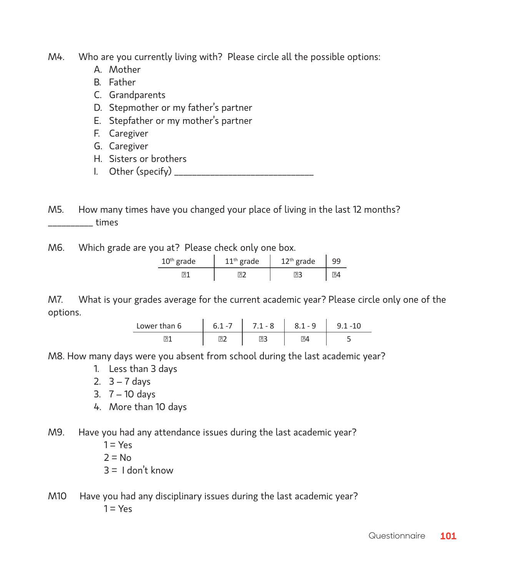M4. Who are you currently living with? Please circle all the possible options:

- A. Mother
- B. Father
- C. Grandparents
- D. Stepmother or my father's partner
- E. Stepfather or my mother's partner
- F. Caregiver
- G. Caregiver
- H. Sisters or brothers
- I. Other (specify)

M5. How many times have you changed your place of living in the last 12 months? \_\_\_\_\_\_\_\_\_\_ times

M6. Which grade are you at? Please check only one box.

| $10th$ grade | $11th$ grade | $12th$ grade | 99   |
|--------------|--------------|--------------|------|
| 'ا⊂          |              |              | ঢ়া⊿ |

M7. What is your grades average for the current academic year? Please circle only one of the options.

| Lower than 6 | <b>6</b><br>- 11 | $1 - 8$ |  |
|--------------|------------------|---------|--|
|              |                  |         |  |

M8. How many days were you absent from school during the last academic year?

- 1. Less than 3 days
- 2.  $3 7$  days
- 3. 7 10 days
- 4. More than 10 days
- M9. Have you had any attendance issues during the last academic year?
	- $1 = Yes$
	- $2 \equiv N_0$
	- $3 = 1$  don't know
- M10 Have you had any disciplinary issues during the last academic year?  $1 = Yes$